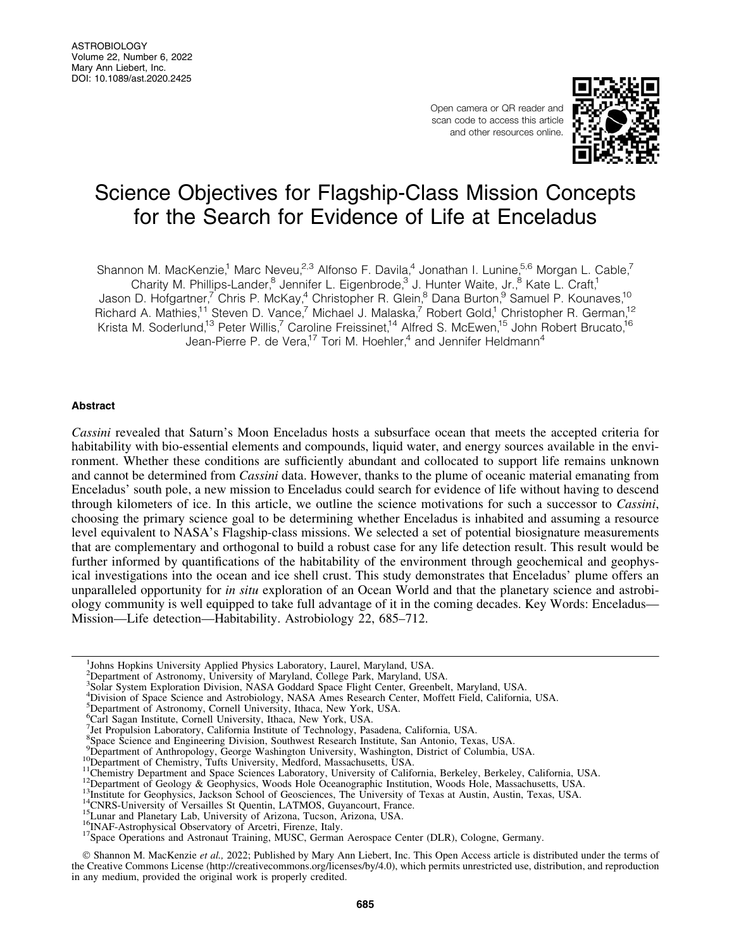Open camera or QR reader and scan code to access this article and other resources online.



# Science Objectives for Flagship-Class Mission Concepts for the Search for Evidence of Life at Enceladus

Shannon M. MacKenzie,<sup>1</sup> Marc Neveu,<sup>2,3</sup> Alfonso F. Davila,<sup>4</sup> Jonathan I. Lunine,<sup>5,6</sup> Morgan L. Cable,<sup>7</sup> Charity M. Phillips-Lander,<sup>8</sup> Jennifer L. Eigenbrode,<sup>3</sup> J. Hunter Waite, Jr.,<sup>8</sup> Kate L. Craft,<sup>1</sup> Jason D. Hofgartner,<sup>7</sup> Chris P. McKay,<sup>4</sup> Christopher R. Glein,<sup>8</sup> Dana Burton,<sup>9</sup> Samuel P. Kounaves,<sup>10</sup> Richard A. Mathies,<sup>11</sup> Steven D. Vance,<sup>7</sup> Michael J. Malaska,<sup>7</sup> Robert Gold,<sup>1</sup> Christopher R. German,<sup>12</sup> Krista M. Soderlund,<sup>13</sup> Peter Willis,<sup>7</sup> Caroline Freissinet,<sup>14</sup> Alfred S. McEwen,<sup>15</sup> John Robert Brucato,<sup>16</sup> Jean-Pierre P. de Vera,<sup>17</sup> Tori M. Hoehler,<sup>4</sup> and Jennifer Heldmann<sup>4</sup>

# Abstract

*Cassini* revealed that Saturn's Moon Enceladus hosts a subsurface ocean that meets the accepted criteria for habitability with bio-essential elements and compounds, liquid water, and energy sources available in the environment. Whether these conditions are sufficiently abundant and collocated to support life remains unknown and cannot be determined from *Cassini* data. However, thanks to the plume of oceanic material emanating from Enceladus' south pole, a new mission to Enceladus could search for evidence of life without having to descend through kilometers of ice. In this article, we outline the science motivations for such a successor to *Cassini*, choosing the primary science goal to be determining whether Enceladus is inhabited and assuming a resource level equivalent to NASA's Flagship-class missions. We selected a set of potential biosignature measurements that are complementary and orthogonal to build a robust case for any life detection result. This result would be further informed by quantifications of the habitability of the environment through geochemical and geophysical investigations into the ocean and ice shell crust. This study demonstrates that Enceladus' plume offers an unparalleled opportunity for *in situ* exploration of an Ocean World and that the planetary science and astrobiology community is well equipped to take full advantage of it in the coming decades. Key Words: Enceladus— Mission—Life detection—Habitability. Astrobiology 22, 685–712.

- 2 Department of Astronomy, University of Maryland, College Park, Maryland, USA. 3 Solar System Exploration Division, NASA Goddard Space Flight Center, Greenbelt, Maryland, USA.
- 4 Division of Space Science and Astrobiology, NASA Ames Research Center, Moffett Field, California, USA.
- <sup>5</sup>Department of Astronomy, Cornell University, Ithaca, New York, USA.
- 6 Carl Sagan Institute, Cornell University, Ithaca, New York, USA.
- 7 Jet Propulsion Laboratory, California Institute of Technology, Pasadena, California, USA.

- Pepartment of Anthropology, George Washington University, Washington, District of Columbia, USA.
- 

- 
- 
- 
- 
- 
- 

© Shannon M. MacKenzie et al., 2022; Published by Mary Ann Liebert, Inc. This Open Access article is distributed under the terms of the Creative Commons License [\(http://creativecommons.org/licenses/by/4.0\)](http://creativecommons.org/licenses/by/4.0), which permits unrestricted use, distribution, and reproduction in any medium, provided the original work is properly credited.

<sup>1</sup> Johns Hopkins University Applied Physics Laboratory, Laurel, Maryland, USA.

<sup>&</sup>lt;sup>8</sup>Space Science and Engineering Division, Southwest Research Institute, San Antonio, Texas, USA.

<sup>&</sup>lt;sup>10</sup>Department of Chemistry, Tufts University, Medford, Massachusetts, USA.<br><sup>11</sup>Chemistry Department and Space Sciences Laboratory, University of California, Berkeley, Berkeley, California, USA.<br><sup>12</sup>Department of Geology &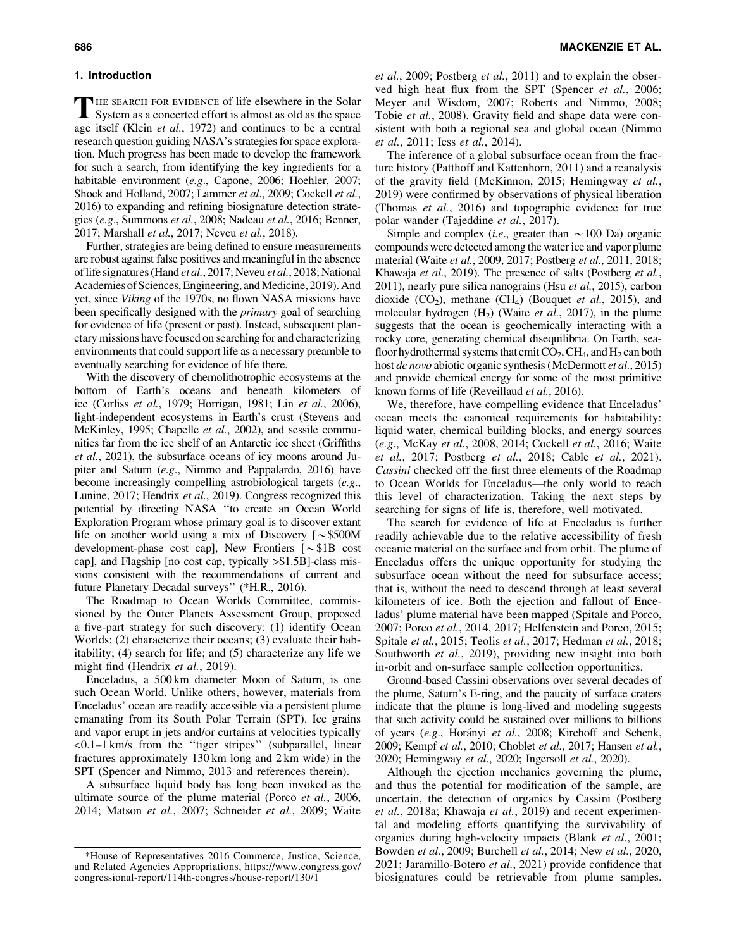# 1. Introduction

The search for evidence of life elsewhere in the Solar System as a concerted effort is almost as old as the space age itself (Klein *et al.*, 1972) and continues to be a central research question guiding NASA's strategies for space exploration. Much progress has been made to develop the framework for such a search, from identifying the key ingredients for a habitable environment (*e.g*., Capone, 2006; Hoehler, 2007; Shock and Holland, 2007; Lammer *et al*., 2009; Cockell *et al.*, 2016) to expanding and refining biosignature detection strategies (*e.g*., Summons *et al.*, 2008; Nadeau *et al.*, 2016; Benner, 2017; Marshall *et al.*, 2017; Neveu *et al.*, 2018).

Further, strategies are being defined to ensure measurements are robust against false positives and meaningful in the absence of life signatures (Hand *et al.*, 2017; Neveu *et al.*, 2018; National Academies of Sciences, Engineering, and Medicine, 2019). And yet, since *Viking* of the 1970s, no flown NASA missions have been specifically designed with the *primary* goal of searching for evidence of life (present or past). Instead, subsequent planetary missions have focused on searching for and characterizing environments that could support life as a necessary preamble to eventually searching for evidence of life there.

With the discovery of chemolithotrophic ecosystems at the bottom of Earth's oceans and beneath kilometers of ice (Corliss *et al.*, 1979; Horrigan, 1981; Lin *et al.*, 2006), light-independent ecosystems in Earth's crust (Stevens and McKinley, 1995; Chapelle *et al.*, 2002), and sessile communities far from the ice shelf of an Antarctic ice sheet (Griffiths *et al.*, 2021), the subsurface oceans of icy moons around Jupiter and Saturn (*e.g*., Nimmo and Pappalardo, 2016) have become increasingly compelling astrobiological targets (*e.g*., Lunine, 2017; Hendrix *et al.*, 2019). Congress recognized this potential by directing NASA ''to create an Ocean World Exploration Program whose primary goal is to discover extant life on another world using a mix of Discovery  $\lceil \sim $500M \rceil$ development-phase cost cap], New Frontiers  $\lceil \sim \$1B \rceil$  cost cap], and Flagship [no cost cap, typically >\$1.5B]-class missions consistent with the recommendations of current and future Planetary Decadal surveys'' (\*H.R., 2016).

The Roadmap to Ocean Worlds Committee, commissioned by the Outer Planets Assessment Group, proposed a five-part strategy for such discovery: (1) identify Ocean Worlds; (2) characterize their oceans; (3) evaluate their habitability; (4) search for life; and (5) characterize any life we might find (Hendrix *et al.*, 2019).

Enceladus, a 500 km diameter Moon of Saturn, is one such Ocean World. Unlike others, however, materials from Enceladus' ocean are readily accessible via a persistent plume emanating from its South Polar Terrain (SPT). Ice grains and vapor erupt in jets and/or curtains at velocities typically <0.1–1 km/s from the ''tiger stripes'' (subparallel, linear fractures approximately 130 km long and 2 km wide) in the SPT (Spencer and Nimmo, 2013 and references therein).

A subsurface liquid body has long been invoked as the ultimate source of the plume material (Porco *et al.*, 2006, 2014; Matson *et al.*, 2007; Schneider *et al.*, 2009; Waite *et al.*, 2009; Postberg *et al.*, 2011) and to explain the observed high heat flux from the SPT (Spencer *et al.*, 2006; Meyer and Wisdom, 2007; Roberts and Nimmo, 2008; Tobie *et al.*, 2008). Gravity field and shape data were consistent with both a regional sea and global ocean (Nimmo *et al.*, 2011; Iess *et al.*, 2014).

The inference of a global subsurface ocean from the fracture history (Patthoff and Kattenhorn, 2011) and a reanalysis of the gravity field (McKinnon, 2015; Hemingway *et al.*, 2019) were confirmed by observations of physical liberation (Thomas *et al.*, 2016) and topographic evidence for true polar wander (Tajeddine *et al.*, 2017).

Simple and complex (*i.e.*, greater than  $\sim$  100 Da) organic compounds were detected among the water ice and vapor plume material (Waite *et al.*, 2009, 2017; Postberg *et al.*, 2011, 2018; Khawaja *et al.*, 2019). The presence of salts (Postberg *et al.*, 2011), nearly pure silica nanograins (Hsu *et al.*, 2015), carbon dioxide  $(CO_2)$ , methane  $(CH_4)$  (Bouquet *et al.*, 2015), and molecular hydrogen (H<sub>2</sub>) (Waite *et al.*, 2017), in the plume suggests that the ocean is geochemically interacting with a rocky core, generating chemical disequilibria. On Earth, seafloor hydrothermal systems that emit  $CO_2$ ,  $CH_4$ , and  $H_2$  can both host *de novo* abiotic organic synthesis (McDermott *et al.*, 2015) and provide chemical energy for some of the most primitive known forms of life (Reveillaud *et al.*, 2016).

We, therefore, have compelling evidence that Enceladus' ocean meets the canonical requirements for habitability: liquid water, chemical building blocks, and energy sources (*e.g*., McKay *et al.*, 2008, 2014; Cockell *et al.*, 2016; Waite *et al.*, 2017; Postberg *et al.*, 2018; Cable *et al.*, 2021). *Cassini* checked off the first three elements of the Roadmap to Ocean Worlds for Enceladus—the only world to reach this level of characterization. Taking the next steps by searching for signs of life is, therefore, well motivated.

The search for evidence of life at Enceladus is further readily achievable due to the relative accessibility of fresh oceanic material on the surface and from orbit. The plume of Enceladus offers the unique opportunity for studying the subsurface ocean without the need for subsurface access; that is, without the need to descend through at least several kilometers of ice. Both the ejection and fallout of Enceladus' plume material have been mapped (Spitale and Porco, 2007; Porco *et al.*, 2014, 2017; Helfenstein and Porco, 2015; Spitale *et al.*, 2015; Teolis *et al.*, 2017; Hedman *et al.*, 2018; Southworth *et al.*, 2019), providing new insight into both in-orbit and on-surface sample collection opportunities.

Ground-based Cassini observations over several decades of the plume, Saturn's E-ring, and the paucity of surface craters indicate that the plume is long-lived and modeling suggests that such activity could be sustained over millions to billions of years (*e.g*., Hora´nyi *et al.*, 2008; Kirchoff and Schenk, 2009; Kempf *et al.*, 2010; Choblet *et al.*, 2017; Hansen *et al.*, 2020; Hemingway *et al.*, 2020; Ingersoll *et al.*, 2020).

Although the ejection mechanics governing the plume, and thus the potential for modification of the sample, are uncertain, the detection of organics by Cassini (Postberg *et al.*, 2018a; Khawaja *et al.*, 2019) and recent experimental and modeling efforts quantifying the survivability of organics during high-velocity impacts (Blank *et al.*, 2001; Bowden *et al.*, 2009; Burchell *et al.*, 2014; New *et al.*, 2020, 2021; Jaramillo-Botero *et al.*, 2021) provide confidence that biosignatures could be retrievable from plume samples.

<sup>\*</sup>House of Representatives 2016 Commerce, Justice, Science, and Related Agencies Appropriations, [https://www.congress.gov/](https://www.congress.gov/congressional-report/114th-congress/house-report/130/1) [congressional-report/114th-congress/house-report/130/1](https://www.congress.gov/congressional-report/114th-congress/house-report/130/1)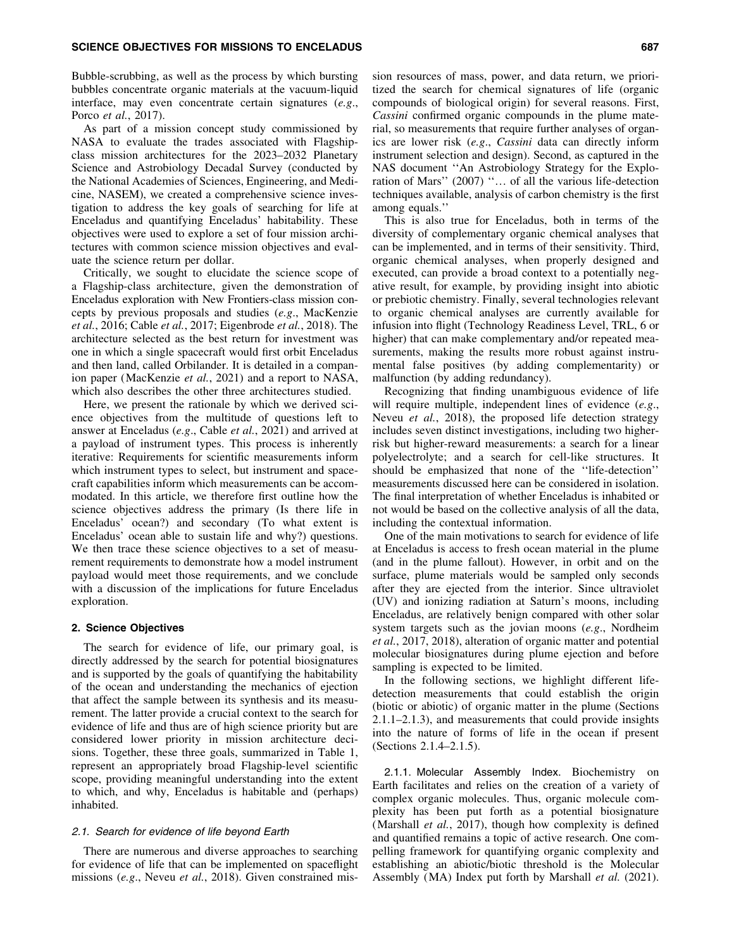Bubble-scrubbing, as well as the process by which bursting bubbles concentrate organic materials at the vacuum-liquid interface, may even concentrate certain signatures (*e.g*., Porco *et al.*, 2017).

As part of a mission concept study commissioned by NASA to evaluate the trades associated with Flagshipclass mission architectures for the 2023–2032 Planetary Science and Astrobiology Decadal Survey (conducted by the National Academies of Sciences, Engineering, and Medicine, NASEM), we created a comprehensive science investigation to address the key goals of searching for life at Enceladus and quantifying Enceladus' habitability. These objectives were used to explore a set of four mission architectures with common science mission objectives and evaluate the science return per dollar.

Critically, we sought to elucidate the science scope of a Flagship-class architecture, given the demonstration of Enceladus exploration with New Frontiers-class mission concepts by previous proposals and studies (*e.g*., MacKenzie *et al.*, 2016; Cable *et al.*, 2017; Eigenbrode *et al.*, 2018). The architecture selected as the best return for investment was one in which a single spacecraft would first orbit Enceladus and then land, called Orbilander. It is detailed in a companion paper (MacKenzie *et al.*, 2021) and a report to NASA, which also describes the other three architectures studied.

Here, we present the rationale by which we derived science objectives from the multitude of questions left to answer at Enceladus (*e.g*., Cable *et al.*, 2021) and arrived at a payload of instrument types. This process is inherently iterative: Requirements for scientific measurements inform which instrument types to select, but instrument and spacecraft capabilities inform which measurements can be accommodated. In this article, we therefore first outline how the science objectives address the primary (Is there life in Enceladus' ocean?) and secondary (To what extent is Enceladus' ocean able to sustain life and why?) questions. We then trace these science objectives to a set of measurement requirements to demonstrate how a model instrument payload would meet those requirements, and we conclude with a discussion of the implications for future Enceladus exploration.

## 2. Science Objectives

The search for evidence of life, our primary goal, is directly addressed by the search for potential biosignatures and is supported by the goals of quantifying the habitability of the ocean and understanding the mechanics of ejection that affect the sample between its synthesis and its measurement. The latter provide a crucial context to the search for evidence of life and thus are of high science priority but are considered lower priority in mission architecture decisions. Together, these three goals, summarized in Table 1, represent an appropriately broad Flagship-level scientific scope, providing meaningful understanding into the extent to which, and why, Enceladus is habitable and (perhaps) inhabited.

## 2.1. Search for evidence of life beyond Earth

There are numerous and diverse approaches to searching for evidence of life that can be implemented on spaceflight missions (*e.g*., Neveu *et al.*, 2018). Given constrained mission resources of mass, power, and data return, we prioritized the search for chemical signatures of life (organic compounds of biological origin) for several reasons. First, *Cassini* confirmed organic compounds in the plume material, so measurements that require further analyses of organics are lower risk (*e.g*., *Cassini* data can directly inform instrument selection and design). Second, as captured in the NAS document ''An Astrobiology Strategy for the Exploration of Mars" (2007) "... of all the various life-detection techniques available, analysis of carbon chemistry is the first among equals.''

This is also true for Enceladus, both in terms of the diversity of complementary organic chemical analyses that can be implemented, and in terms of their sensitivity. Third, organic chemical analyses, when properly designed and executed, can provide a broad context to a potentially negative result, for example, by providing insight into abiotic or prebiotic chemistry. Finally, several technologies relevant to organic chemical analyses are currently available for infusion into flight (Technology Readiness Level, TRL, 6 or higher) that can make complementary and/or repeated measurements, making the results more robust against instrumental false positives (by adding complementarity) or malfunction (by adding redundancy).

Recognizing that finding unambiguous evidence of life will require multiple, independent lines of evidence (*e.g*., Neveu *et al.*, 2018), the proposed life detection strategy includes seven distinct investigations, including two higherrisk but higher-reward measurements: a search for a linear polyelectrolyte; and a search for cell-like structures. It should be emphasized that none of the ''life-detection'' measurements discussed here can be considered in isolation. The final interpretation of whether Enceladus is inhabited or not would be based on the collective analysis of all the data, including the contextual information.

One of the main motivations to search for evidence of life at Enceladus is access to fresh ocean material in the plume (and in the plume fallout). However, in orbit and on the surface, plume materials would be sampled only seconds after they are ejected from the interior. Since ultraviolet (UV) and ionizing radiation at Saturn's moons, including Enceladus, are relatively benign compared with other solar system targets such as the jovian moons (*e.g*., Nordheim *et al.*, 2017, 2018), alteration of organic matter and potential molecular biosignatures during plume ejection and before sampling is expected to be limited.

In the following sections, we highlight different lifedetection measurements that could establish the origin (biotic or abiotic) of organic matter in the plume (Sections 2.1.1–2.1.3), and measurements that could provide insights into the nature of forms of life in the ocean if present (Sections 2.1.4–2.1.5).

2.1.1. Molecular Assembly Index. Biochemistry on Earth facilitates and relies on the creation of a variety of complex organic molecules. Thus, organic molecule complexity has been put forth as a potential biosignature (Marshall *et al.*, 2017), though how complexity is defined and quantified remains a topic of active research. One compelling framework for quantifying organic complexity and establishing an abiotic/biotic threshold is the Molecular Assembly (MA) Index put forth by Marshall *et al.* (2021).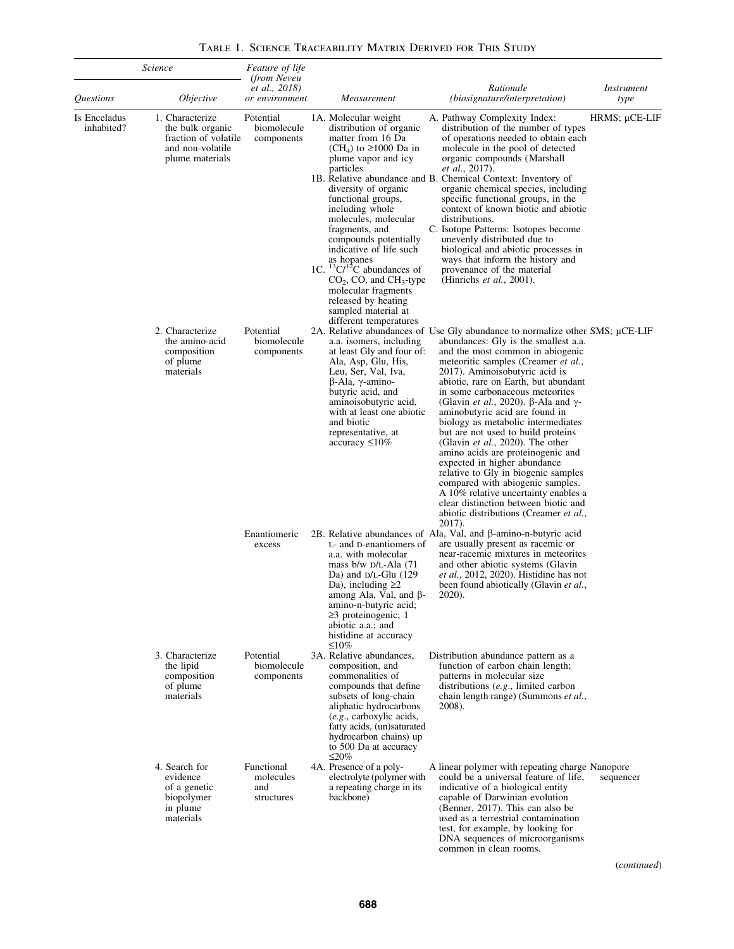| Science                    |                                                                                                    | <i>Feature of life</i><br><i>(from Neveu)</i> |                                                                                                                                                                                                                                                                                                                                                                                                                                                                                                                   |                                                                                                                                                                                                                                                                                                                                                                                                                                                                                                                                                                                                                                                                                                                                                                                                                          |                           |
|----------------------------|----------------------------------------------------------------------------------------------------|-----------------------------------------------|-------------------------------------------------------------------------------------------------------------------------------------------------------------------------------------------------------------------------------------------------------------------------------------------------------------------------------------------------------------------------------------------------------------------------------------------------------------------------------------------------------------------|--------------------------------------------------------------------------------------------------------------------------------------------------------------------------------------------------------------------------------------------------------------------------------------------------------------------------------------------------------------------------------------------------------------------------------------------------------------------------------------------------------------------------------------------------------------------------------------------------------------------------------------------------------------------------------------------------------------------------------------------------------------------------------------------------------------------------|---------------------------|
| Questions                  | <i>Objective</i>                                                                                   | <i>et al., 2018</i> )<br>or environment       | Measurement                                                                                                                                                                                                                                                                                                                                                                                                                                                                                                       | Rationale<br><i>(biosignature/interpretation)</i>                                                                                                                                                                                                                                                                                                                                                                                                                                                                                                                                                                                                                                                                                                                                                                        | <i>Instrument</i><br>type |
| Is Enceladus<br>inhabited? | 1. Characterize<br>the bulk organic<br>fraction of volatile<br>and non-volatile<br>plume materials | Potential<br>biomolecule<br>components        | 1A. Molecular weight<br>distribution of organic<br>matter from 16 Da<br>(CH <sub>4</sub> ) to $\geq$ 1000 Da in<br>plume vapor and icy<br>particles<br>diversity of organic<br>functional groups,<br>including whole<br>molecules, molecular<br>fragments, and<br>compounds potentially<br>indicative of life such<br>as hopanes<br>1C. ${}^{13}C/{}^{12}C$ abundances of<br>$CO2$ , CO, and CH <sub>3</sub> -type<br>molecular fragments<br>released by heating<br>sampled material at<br>different temperatures | A. Pathway Complexity Index:<br>distribution of the number of types<br>of operations needed to obtain each<br>molecule in the pool of detected<br>organic compounds (Marshall<br><i>et al.</i> , 2017).<br>1B. Relative abundance and B. Chemical Context: Inventory of<br>organic chemical species, including<br>specific functional groups, in the<br>context of known biotic and abiotic<br>distributions.<br>C. Isotope Patterns: Isotopes become<br>unevenly distributed due to<br>biological and abiotic processes in<br>ways that inform the history and<br>provenance of the material<br>(Hinrichs <i>et al.</i> , 2001).                                                                                                                                                                                        | $H RMS$ ; $\mu$ CE-LIF    |
|                            | 2. Characterize<br>the amino-acid<br>composition<br>of plume<br>materials                          | Potential<br>biomolecule<br>components        | a.a. isomers, including<br>at least Gly and four of:<br>Ala, Asp, Glu, His,<br>Leu, Ser, Val, Iva,<br>$\beta$ -Ala, $\gamma$ -amino-<br>butyric acid, and<br>aminoisobutyric acid.<br>with at least one abiotic<br>and biotic<br>representative, at<br>$accuracy \leq 10\%$                                                                                                                                                                                                                                       | 2A. Relative abundances of Use Gly abundance to normalize other SMS; µCE-LIF<br>abundances: Gly is the smallest a.a.<br>and the most common in abiogenic<br>meteoritic samples (Creamer et al.,<br>2017). Aminoisobutyric acid is<br>abiotic, rare on Earth, but abundant<br>in some carbonaceous meteorites<br>(Glavin <i>et al.</i> , 2020). $\beta$ -Ala and $\gamma$ -<br>aminobutyric acid are found in<br>biology as metabolic intermediates<br>but are not used to build proteins<br>(Glavin <i>et al.</i> , 2020). The other<br>amino acids are proteinogenic and<br>expected in higher abundance<br>relative to Gly in biogenic samples<br>compared with abiogenic samples.<br>A 10% relative uncertainty enables a<br>clear distinction between biotic and<br>abiotic distributions (Creamer et al.,<br>2017). |                           |
|                            |                                                                                                    | Enantiomeric<br>excess                        | L- and D-enantiomers of<br>a.a. with molecular<br>mass $b/w$ $D/L$ -Ala (71)<br>Da) and $D/L$ -Glu (129<br>Da), including $\geq 2$<br>among Ala, Val, and $\beta$ -<br>amino-n-butyric acid;<br>$\geq$ 3 proteinogenic; 1<br>abiotic a.a.; and<br>histidine at accuracy<br>$\leq 10\%$                                                                                                                                                                                                                            | 2B. Relative abundances of Ala, Val, and $\beta$ -amino-n-butyric acid<br>are usually present as racemic or<br>near-racemic mixtures in meteorites<br>and other abiotic systems (Glavin<br><i>et al.</i> , 2012, 2020). Histidine has not<br>been found abiotically (Glavin et al.,<br>2020).                                                                                                                                                                                                                                                                                                                                                                                                                                                                                                                            |                           |
|                            | 3. Characterize<br>the lipid<br>composition<br>of plume<br>materials                               | Potential<br>biomolecule<br>components        | 3A. Relative abundances,<br>composition, and<br>commonalities of<br>compounds that define<br>subsets of long-chain<br>aliphatic hydrocarbons<br>(e.g., carboxylic acids,<br>fatty acids, (un)saturated<br>hydrocarbon chains) up<br>to 500 Da at accuracy<br>$\leq$ 20%                                                                                                                                                                                                                                           | Distribution abundance pattern as a<br>function of carbon chain length;<br>patterns in molecular size<br>distributions $(e.g.,$ limited carbon<br>chain length range) (Summons et al.,<br>2008).                                                                                                                                                                                                                                                                                                                                                                                                                                                                                                                                                                                                                         |                           |
|                            | 4. Search for<br>evidence<br>of a genetic<br>biopolymer<br>in plume<br>materials                   | Functional<br>molecules<br>and<br>structures  | 4A. Presence of a poly-<br>electrolyte (polymer with<br>a repeating charge in its<br>backbone)                                                                                                                                                                                                                                                                                                                                                                                                                    | A linear polymer with repeating charge Nanopore<br>could be a universal feature of life.<br>indicative of a biological entity<br>capable of Darwinian evolution<br>(Benner, 2017). This can also be<br>used as a terrestrial contamination<br>test, for example, by looking for<br>DNA sequences of microorganisms<br>common in clean rooms.                                                                                                                                                                                                                                                                                                                                                                                                                                                                             | sequencer                 |

Table 1. Science Traceability Matrix Derived for This Study

(*continued*)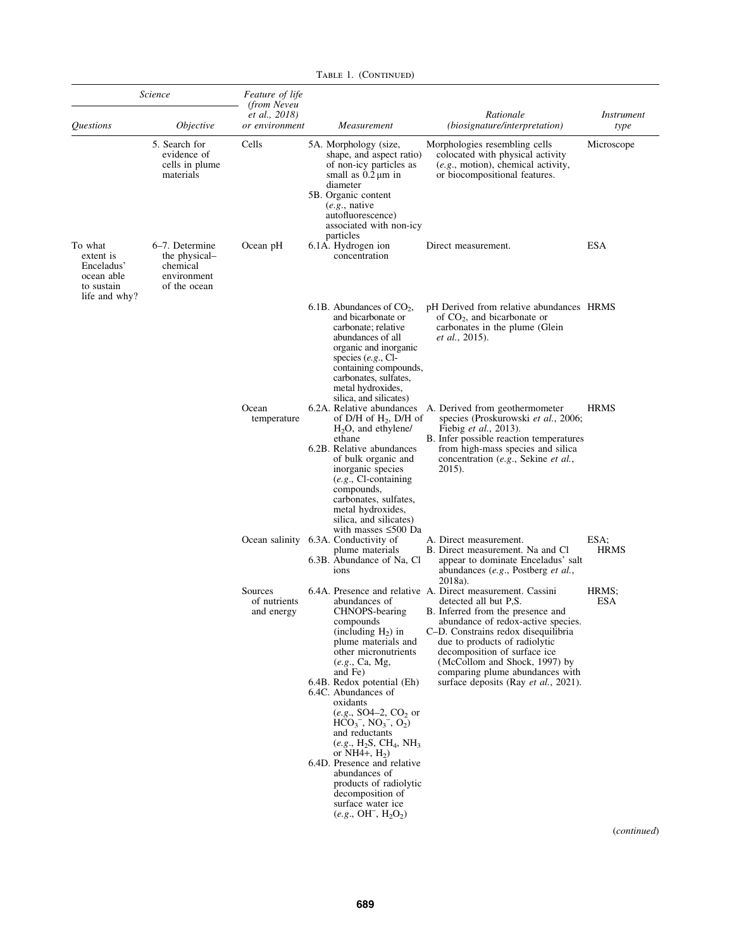|                                                                | Science                                                                    | <i>Feature of life</i><br>(from Neveu<br><i>et al., 2018</i> )                                                                                                                                                                                                                                                                                                                                                                                                                                                                |                                                                                                                                                                                                                                                                                                                                                                                            | Rationale                                                                                                                                                                                                                                                 | <i>Instrument</i>   |  |
|----------------------------------------------------------------|----------------------------------------------------------------------------|-------------------------------------------------------------------------------------------------------------------------------------------------------------------------------------------------------------------------------------------------------------------------------------------------------------------------------------------------------------------------------------------------------------------------------------------------------------------------------------------------------------------------------|--------------------------------------------------------------------------------------------------------------------------------------------------------------------------------------------------------------------------------------------------------------------------------------------------------------------------------------------------------------------------------------------|-----------------------------------------------------------------------------------------------------------------------------------------------------------------------------------------------------------------------------------------------------------|---------------------|--|
| <i><u><b>Questions</b></u></i>                                 | <i>Objective</i>                                                           | or environment                                                                                                                                                                                                                                                                                                                                                                                                                                                                                                                | Measurement                                                                                                                                                                                                                                                                                                                                                                                | (biosignature/interpretation)                                                                                                                                                                                                                             | type                |  |
|                                                                | 5. Search for<br>evidence of<br>cells in plume<br>materials                | Cells                                                                                                                                                                                                                                                                                                                                                                                                                                                                                                                         | 5A. Morphology (size,<br>shape, and aspect ratio)<br>of non-icy particles as<br>small as $0.2 \mu m$ in<br>diameter<br>5B. Organic content<br>$(e.g.,$ native<br>autofluorescence)<br>associated with non-icy<br>particles                                                                                                                                                                 | Morphologies resembling cells<br>colocated with physical activity<br>$(e.g., \text{motion})$ , chemical activity,<br>or biocompositional features.                                                                                                        | Microscope          |  |
| To what<br>extent is<br>Enceladus'<br>ocean able<br>to sustain | 6–7. Determine<br>the physical-<br>chemical<br>environment<br>of the ocean | Ocean pH                                                                                                                                                                                                                                                                                                                                                                                                                                                                                                                      | 6.1A. Hydrogen ion<br>concentration                                                                                                                                                                                                                                                                                                                                                        | Direct measurement.                                                                                                                                                                                                                                       | ESA                 |  |
| life and why?                                                  |                                                                            |                                                                                                                                                                                                                                                                                                                                                                                                                                                                                                                               | 6.1B. Abundances of $CO2$ ,<br>and bicarbonate or<br>carbonate; relative<br>abundances of all<br>organic and inorganic<br>species $(e.g., Cl-)$<br>containing compounds,<br>carbonates, sulfates,<br>metal hydroxides,<br>silica, and silicates)                                                                                                                                           | pH Derived from relative abundances HRMS<br>of $CO2$ , and bicarbonate or<br>carbonates in the plume (Glein<br><i>et al.</i> , 2015).                                                                                                                     |                     |  |
|                                                                |                                                                            | Ocean<br>temperature                                                                                                                                                                                                                                                                                                                                                                                                                                                                                                          | of D/H of $H_2$ , D/H of<br>$H_2O$ , and ethylene/<br>ethane<br>6.2B. Relative abundances<br>of bulk organic and<br>inorganic species<br>$(e.g., Cl-containing)$<br>compounds,<br>carbonates, sulfates,<br>metal hydroxides,<br>silica, and silicates)<br>with masses $\leq 500$ Da                                                                                                        | 6.2A. Relative abundances A. Derived from geothermometer<br>species (Proskurowski et al., 2006;<br>Fiebig et al., 2013).<br>B. Infer possible reaction temperatures<br>from high-mass species and silica<br>concentration (e.g., Sekine et al.,<br>2015). | <b>HRMS</b>         |  |
|                                                                |                                                                            |                                                                                                                                                                                                                                                                                                                                                                                                                                                                                                                               | Ocean salinity 6.3A. Conductivity of<br>plume materials<br>6.3B. Abundance of Na, Cl<br>ions                                                                                                                                                                                                                                                                                               | A. Direct measurement.<br>B. Direct measurement. Na and Cl<br>appear to dominate Enceladus' salt<br>abundances (e.g., Postberg et al.,<br>2018a).                                                                                                         | ESA;<br><b>HRMS</b> |  |
|                                                                | Sources<br>of nutrients<br>and energy                                      | abundances of<br>CHNOPS-bearing<br>compounds<br>(including $H_2$ ) in<br>plume materials and<br>other micronutrients<br>(e.g., Ca, Mg,<br>and Fe)<br>6.4B. Redox potential (Eh)<br>6.4C. Abundances of<br>oxidants<br>$(e.g., SO4-2, CO2$ or<br>$\overline{HCO_3}^-$ , $\overline{NO_3}^-$ , $\overline{O_2}$ )<br>and reductants<br>$(e.g., H_2S, CH_4, NH_3)$<br>or NH4+, $H_2$ )<br>6.4D. Presence and relative<br>abundances of<br>products of radiolytic<br>decomposition of<br>surface water ice<br>$(e.g., OH-, H2O2)$ | 6.4A. Presence and relative A. Direct measurement. Cassini<br>detected all but P.S.<br>B. Inferred from the presence and<br>abundance of redox-active species.<br>C-D. Constrains redox disequilibria<br>due to products of radiolytic<br>decomposition of surface ice<br>(McCollom and Shock, 1997) by<br>comparing plume abundances with<br>surface deposits (Ray <i>et al.</i> , 2021). | HRMS:<br>ESA                                                                                                                                                                                                                                              |                     |  |

TABLE 1. (CONTINUED)

(*continued*)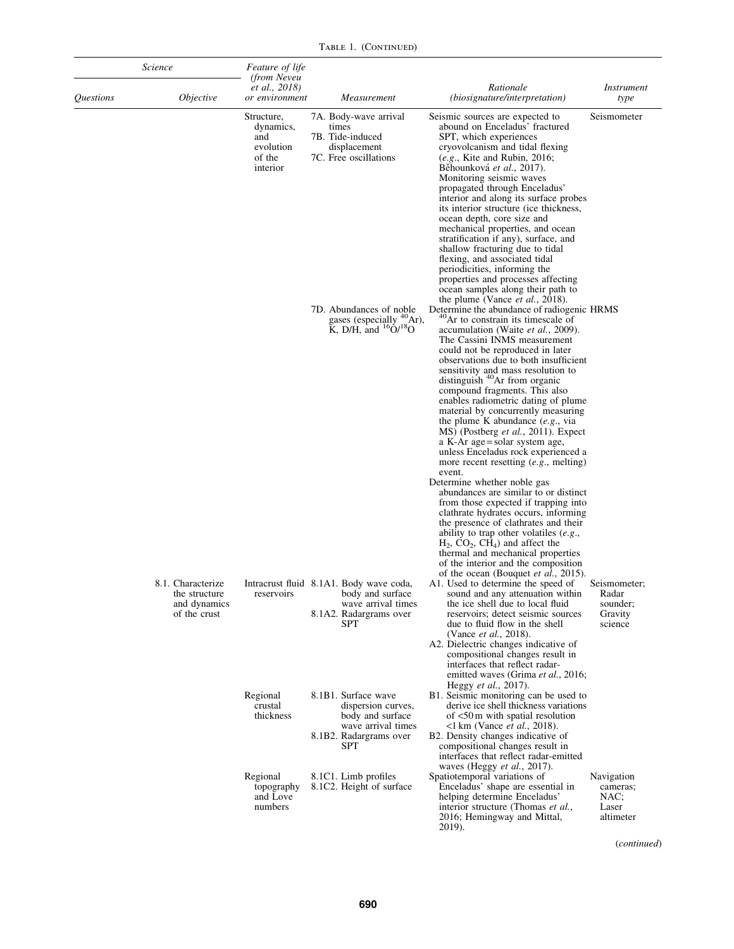TABLE 1. (CONTINUED)

| Science   |                                                                    | <i>Feature of life</i><br>(from Neveu                             |                                                                                                    |                                                                                                                             |                                                                                                                                                                                                                                                                                                                                                                                                                                                                                                                                                                                                                                                                                                                                                                                                                                                                                                                                                                                                                                                                               |                                                         |  |  |
|-----------|--------------------------------------------------------------------|-------------------------------------------------------------------|----------------------------------------------------------------------------------------------------|-----------------------------------------------------------------------------------------------------------------------------|-------------------------------------------------------------------------------------------------------------------------------------------------------------------------------------------------------------------------------------------------------------------------------------------------------------------------------------------------------------------------------------------------------------------------------------------------------------------------------------------------------------------------------------------------------------------------------------------------------------------------------------------------------------------------------------------------------------------------------------------------------------------------------------------------------------------------------------------------------------------------------------------------------------------------------------------------------------------------------------------------------------------------------------------------------------------------------|---------------------------------------------------------|--|--|
| Questions | <i><b>Objective</b></i>                                            | <i>et al., 2018</i> )<br>or environment                           |                                                                                                    | Measurement                                                                                                                 | Rationale<br>(biosignature/interpretation)                                                                                                                                                                                                                                                                                                                                                                                                                                                                                                                                                                                                                                                                                                                                                                                                                                                                                                                                                                                                                                    | <i>Instrument</i><br>type                               |  |  |
|           |                                                                    | Structure,<br>dynamics,<br>and<br>evolution<br>of the<br>interior |                                                                                                    | 7A. Body-wave arrival<br>times<br>7B. Tide-induced<br>displacement<br>7C. Free oscillations                                 | Seismic sources are expected to<br>abound on Enceladus' fractured<br>SPT, which experiences<br>cryovolcanism and tidal flexing<br>$(e.g.,$ Kite and Rubin, 2016;<br>Běhounková et al., 2017).<br>Monitoring seismic waves<br>propagated through Enceladus'<br>interior and along its surface probes<br>its interior structure (ice thickness,<br>ocean depth, core size and<br>mechanical properties, and ocean<br>stratification if any), surface, and<br>shallow fracturing due to tidal<br>flexing, and associated tidal<br>periodicities, informing the<br>properties and processes affecting<br>ocean samples along their path to<br>the plume (Vance et al., 2018).                                                                                                                                                                                                                                                                                                                                                                                                     | Seismometer                                             |  |  |
|           |                                                                    |                                                                   | 7D. Abundances of noble<br>gases (especially <sup>40</sup> Ar),<br>K, D/H, and ${}^{16}O/{}^{18}O$ |                                                                                                                             | Determine the abundance of radiogenic HRMS<br><sup>40</sup> Ar to constrain its timescale of<br>accumulation (Waite et al., 2009).<br>The Cassini INMS measurement<br>could not be reproduced in later<br>observations due to both insufficient<br>sensitivity and mass resolution to<br>distinguish <sup>40</sup> Ar from organic<br>compound fragments. This also<br>enables radiometric dating of plume<br>material by concurrently measuring<br>the plume K abundance (e.g., via<br>MS) (Postberg et al., 2011). Expect<br>a K-Ar age = solar system age,<br>unless Enceladus rock experienced a<br>more recent resetting $(e.g., \text{ melting})$<br>event.<br>Determine whether noble gas<br>abundances are similar to or distinct<br>from those expected if trapping into<br>clathrate hydrates occurs, informing<br>the presence of clathrates and their<br>ability to trap other volatiles $(e.g.,$<br>$H_2$ , $CO_2$ , $CH_4$ ) and affect the<br>thermal and mechanical properties<br>of the interior and the composition<br>of the ocean (Bouquet et al., 2015). |                                                         |  |  |
|           | 8.1. Characterize<br>the structure<br>and dynamics<br>of the crust | reservoirs                                                        |                                                                                                    | Intracrust fluid 8.1A1. Body wave coda,<br>body and surface<br>wave arrival times<br>8.1A2. Radargrams over<br>SPT          | A1. Used to determine the speed of<br>sound and any attenuation within<br>the ice shell due to local fluid<br>reservoirs; detect seismic sources<br>due to fluid flow in the shell<br>(Vance <i>et al.</i> , 2018).<br>A2. Dielectric changes indicative of<br>compositional changes result in<br>interfaces that reflect radar-<br>emitted waves (Grima et al., 2016;<br>Heggy et al., 2017).                                                                                                                                                                                                                                                                                                                                                                                                                                                                                                                                                                                                                                                                                | Seismometer;<br>Radar<br>sounder;<br>Gravity<br>science |  |  |
|           |                                                                    | Regional<br>crustal<br>thickness                                  |                                                                                                    | 8.1B1. Surface wave<br>dispersion curves,<br>body and surface<br>wave arrival times<br>8.1B2. Radargrams over<br><b>SPT</b> | B1. Seismic monitoring can be used to<br>derive ice shell thickness variations<br>of $<$ 50 m with spatial resolution<br>$1 \text{ km}$ (Vance <i>et al.</i> , 2018).<br>B2. Density changes indicative of<br>compositional changes result in<br>interfaces that reflect radar-emitted<br>waves (Heggy et al., 2017).                                                                                                                                                                                                                                                                                                                                                                                                                                                                                                                                                                                                                                                                                                                                                         |                                                         |  |  |
|           |                                                                    | Regional<br>topography<br>and Love<br>numbers                     |                                                                                                    | 8.1C1. Limb profiles<br>8.1C2. Height of surface                                                                            | Spatiotemporal variations of<br>Enceladus' shape are essential in<br>helping determine Enceladus'<br>interior structure (Thomas et al.,<br>2016; Hemingway and Mittal,<br>2019).                                                                                                                                                                                                                                                                                                                                                                                                                                                                                                                                                                                                                                                                                                                                                                                                                                                                                              | Navigation<br>cameras;<br>NAC;<br>Laser<br>altimeter    |  |  |

(*continued*)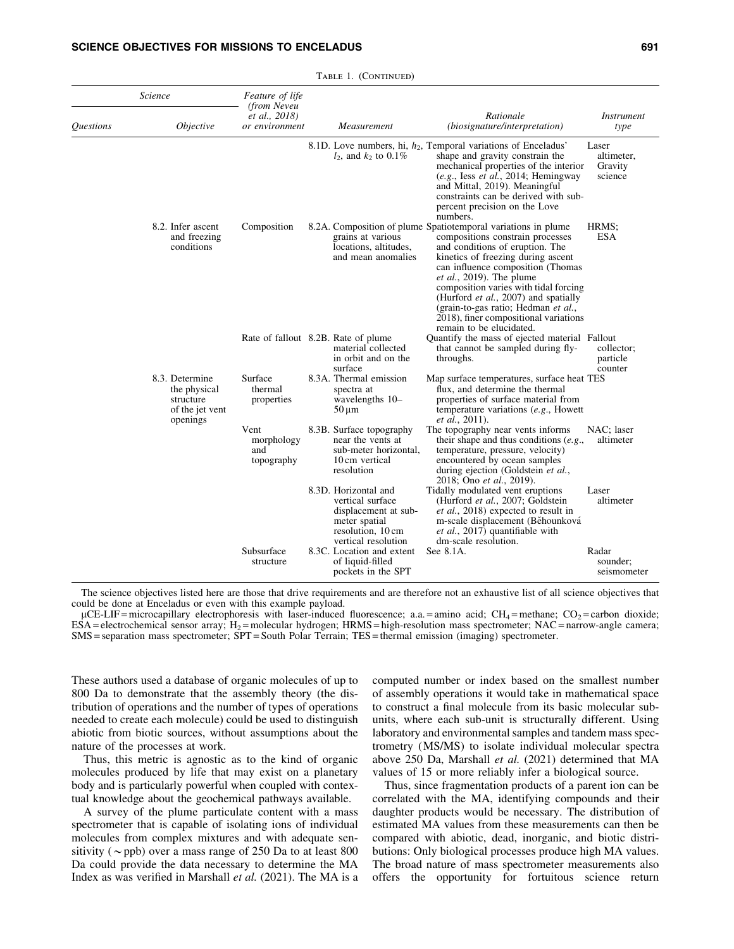| Science                 |                                                                            | Feature of life<br>(from Neveu          |                                                                                                        |                                                                                                                                                                                                                     |                                                                                                                                                                                                                                                                                                                                                                                                                                                    |                                           |  |
|-------------------------|----------------------------------------------------------------------------|-----------------------------------------|--------------------------------------------------------------------------------------------------------|---------------------------------------------------------------------------------------------------------------------------------------------------------------------------------------------------------------------|----------------------------------------------------------------------------------------------------------------------------------------------------------------------------------------------------------------------------------------------------------------------------------------------------------------------------------------------------------------------------------------------------------------------------------------------------|-------------------------------------------|--|
| <i><b>Questions</b></i> | <i>Objective</i>                                                           | <i>et al., 2018</i> )<br>or environment |                                                                                                        | Measurement                                                                                                                                                                                                         | Rationale<br>(biosignature/interpretation)                                                                                                                                                                                                                                                                                                                                                                                                         | <i>Instrument</i><br>type                 |  |
|                         |                                                                            |                                         |                                                                                                        | $l_2$ , and $k_2$ to 0.1%                                                                                                                                                                                           | 8.1D. Love numbers, hi, $h_2$ , Temporal variations of Enceladus'<br>shape and gravity constrain the<br>mechanical properties of the interior<br>(e.g., Iess et al., 2014; Hemingway)<br>and Mittal, 2019). Meaningful<br>constraints can be derived with sub-<br>percent precision on the Love<br>numbers.                                                                                                                                        | Laser<br>altimeter,<br>Gravity<br>science |  |
|                         | 8.2. Infer ascent<br>and freezing<br>conditions                            | Composition                             |                                                                                                        | grains at various<br>locations, altitudes,<br>and mean anomalies                                                                                                                                                    | 8.2A. Composition of plume Spatiotemporal variations in plume<br>compositions constrain processes<br>and conditions of eruption. The<br>kinetics of freezing during ascent<br>can influence composition (Thomas<br>$et al., 2019$ . The plume<br>composition varies with tidal forcing<br>(Hurford <i>et al.</i> , 2007) and spatially<br>(grain-to-gas ratio; Hedman et al.,<br>2018), finer compositional variations<br>remain to be elucidated. | HRMS:<br><b>ESA</b>                       |  |
|                         |                                                                            | Rate of fallout 8.2B. Rate of plume     |                                                                                                        | material collected<br>in orbit and on the<br>surface                                                                                                                                                                | Quantify the mass of ejected material Fallout<br>that cannot be sampled during fly-<br>throughs.                                                                                                                                                                                                                                                                                                                                                   | collector;<br>particle<br>counter         |  |
|                         | 8.3. Determine<br>the physical<br>structure<br>of the jet vent<br>openings | Surface<br>thermal<br>properties        |                                                                                                        | 8.3A. Thermal emission<br>spectra at<br>wavelengths 10-<br>$50 \mu m$                                                                                                                                               | Map surface temperatures, surface heat TES<br>flux, and determine the thermal<br>properties of surface material from<br>temperature variations $(e.g.,$ Howett<br><i>et al.</i> , 2011).                                                                                                                                                                                                                                                           |                                           |  |
|                         | Vent<br>morphology<br>and<br>topography                                    |                                         | 8.3B. Surface topography<br>near the vents at<br>sub-meter horizontal,<br>10 cm vertical<br>resolution | The topography near vents informs<br>their shape and thus conditions $(e.g.,$<br>temperature, pressure, velocity)<br>encountered by ocean samples<br>during ejection (Goldstein et al.,<br>2018; Ono et al., 2019). | NAC; laser<br>altimeter                                                                                                                                                                                                                                                                                                                                                                                                                            |                                           |  |
|                         |                                                                            |                                         |                                                                                                        | 8.3D. Horizontal and<br>vertical surface<br>displacement at sub-<br>meter spatial<br>resolution, 10 cm<br>vertical resolution                                                                                       | Tidally modulated vent eruptions<br>(Hurford et al., 2007; Goldstein<br><i>et al.</i> , 2018) expected to result in<br>m-scale displacement (Běhounková<br>et al., 2017) quantifiable with<br>dm-scale resolution.                                                                                                                                                                                                                                 | Laser<br>altimeter                        |  |
|                         |                                                                            | Subsurface<br>structure                 |                                                                                                        | 8.3C. Location and extent<br>of liquid-filled<br>pockets in the SPT                                                                                                                                                 | See $8.1A$ .                                                                                                                                                                                                                                                                                                                                                                                                                                       | Radar<br>sounder:<br>seismometer          |  |

|  |  | TABLE 1. (CONTINUED) |
|--|--|----------------------|
|--|--|----------------------|

The science objectives listed here are those that drive requirements and are therefore not an exhaustive list of all science objectives that could be done at Enceladus or even with this example payload.

 $\mu$ CE-LIF = microcapillary electrophoresis with laser-induced fluorescence; a.a. = amino acid; CH<sub>4</sub> = methane; CO<sub>2</sub> = carbon dioxide;  $ESA =$ electrochemical sensor array;  $H_2$  = molecular hydrogen; HRMS = high-resolution mass spectrometer; NAC = narrow-angle camera; SMS = separation mass spectrometer; SPT = South Polar Terrain; TES = thermal emission (imaging) spectrometer.

These authors used a database of organic molecules of up to 800 Da to demonstrate that the assembly theory (the distribution of operations and the number of types of operations needed to create each molecule) could be used to distinguish abiotic from biotic sources, without assumptions about the nature of the processes at work.

Thus, this metric is agnostic as to the kind of organic molecules produced by life that may exist on a planetary body and is particularly powerful when coupled with contextual knowledge about the geochemical pathways available.

A survey of the plume particulate content with a mass spectrometer that is capable of isolating ions of individual molecules from complex mixtures and with adequate sensitivity ( $\sim$ ppb) over a mass range of 250 Da to at least 800 Da could provide the data necessary to determine the MA Index as was verified in Marshall *et al.* (2021). The MA is a computed number or index based on the smallest number of assembly operations it would take in mathematical space to construct a final molecule from its basic molecular subunits, where each sub-unit is structurally different. Using laboratory and environmental samples and tandem mass spectrometry (MS/MS) to isolate individual molecular spectra above 250 Da, Marshall *et al.* (2021) determined that MA values of 15 or more reliably infer a biological source.

Thus, since fragmentation products of a parent ion can be correlated with the MA, identifying compounds and their daughter products would be necessary. The distribution of estimated MA values from these measurements can then be compared with abiotic, dead, inorganic, and biotic distributions: Only biological processes produce high MA values. The broad nature of mass spectrometer measurements also offers the opportunity for fortuitous science return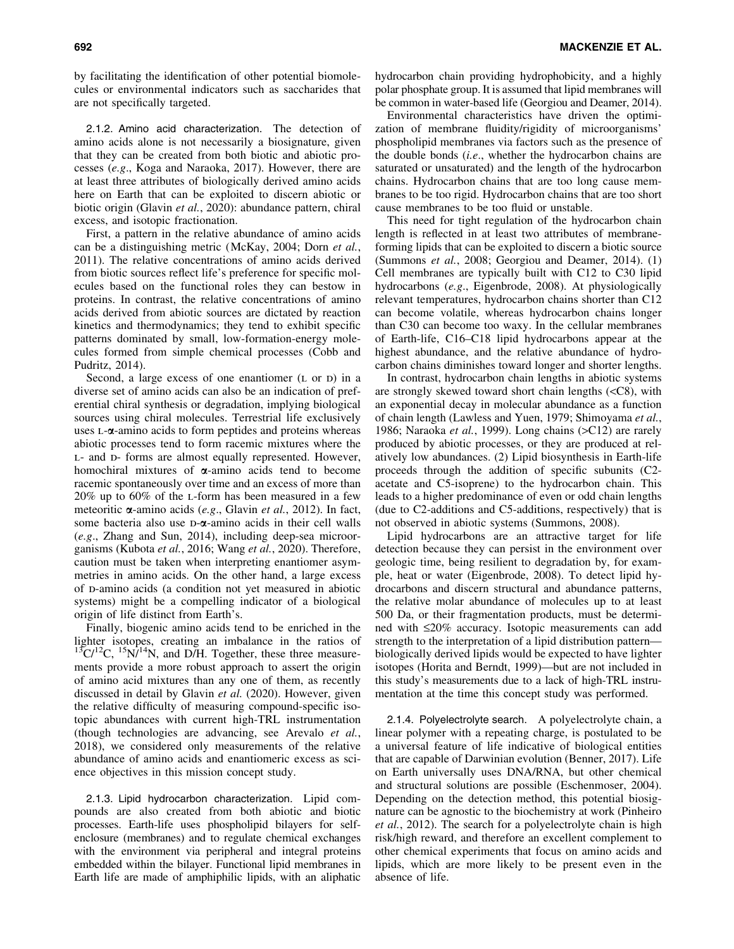by facilitating the identification of other potential biomolecules or environmental indicators such as saccharides that are not specifically targeted.

2.1.2. Amino acid characterization. The detection of amino acids alone is not necessarily a biosignature, given that they can be created from both biotic and abiotic processes (*e.g*., Koga and Naraoka, 2017). However, there are at least three attributes of biologically derived amino acids here on Earth that can be exploited to discern abiotic or biotic origin (Glavin *et al.*, 2020): abundance pattern, chiral excess, and isotopic fractionation.

First, a pattern in the relative abundance of amino acids can be a distinguishing metric (McKay, 2004; Dorn *et al.*, 2011). The relative concentrations of amino acids derived from biotic sources reflect life's preference for specific molecules based on the functional roles they can bestow in proteins. In contrast, the relative concentrations of amino acids derived from abiotic sources are dictated by reaction kinetics and thermodynamics; they tend to exhibit specific patterns dominated by small, low-formation-energy molecules formed from simple chemical processes (Cobb and Pudritz, 2014).

Second, a large excess of one enantiomer  $(L \text{ or } D)$  in a diverse set of amino acids can also be an indication of preferential chiral synthesis or degradation, implying biological sources using chiral molecules. Terrestrial life exclusively uses  $L-\alpha$ -amino acids to form peptides and proteins whereas abiotic processes tend to form racemic mixtures where the L- and D- forms are almost equally represented. However, homochiral mixtures of  $\alpha$ -amino acids tend to become racemic spontaneously over time and an excess of more than 20% up to 60% of the l-form has been measured in a few meteoritic a-amino acids (*e.g*., Glavin *et al.*, 2012). In fact, some bacteria also use  $D-\alpha$ -amino acids in their cell walls (*e.g*., Zhang and Sun, 2014), including deep-sea microorganisms (Kubota *et al.*, 2016; Wang *et al.*, 2020). Therefore, caution must be taken when interpreting enantiomer asymmetries in amino acids. On the other hand, a large excess of D-amino acids (a condition not yet measured in abiotic systems) might be a compelling indicator of a biological origin of life distinct from Earth's.

Finally, biogenic amino acids tend to be enriched in the lighter isotopes, creating an imbalance in the ratios of  $13^{\circ}C/I^{2}C$ ,  $15N/I^{4}N$ , and D/H. Together, these three measurements provide a more robust approach to assert the origin of amino acid mixtures than any one of them, as recently discussed in detail by Glavin *et al.* (2020). However, given the relative difficulty of measuring compound-specific isotopic abundances with current high-TRL instrumentation (though technologies are advancing, see Arevalo *et al.*, 2018), we considered only measurements of the relative abundance of amino acids and enantiomeric excess as science objectives in this mission concept study.

2.1.3. Lipid hydrocarbon characterization. Lipid compounds are also created from both abiotic and biotic processes. Earth-life uses phospholipid bilayers for selfenclosure (membranes) and to regulate chemical exchanges with the environment via peripheral and integral proteins embedded within the bilayer. Functional lipid membranes in Earth life are made of amphiphilic lipids, with an aliphatic hydrocarbon chain providing hydrophobicity, and a highly polar phosphate group. It is assumed that lipid membranes will be common in water-based life (Georgiou and Deamer, 2014).

Environmental characteristics have driven the optimization of membrane fluidity/rigidity of microorganisms' phospholipid membranes via factors such as the presence of the double bonds (*i.e*., whether the hydrocarbon chains are saturated or unsaturated) and the length of the hydrocarbon chains. Hydrocarbon chains that are too long cause membranes to be too rigid. Hydrocarbon chains that are too short cause membranes to be too fluid or unstable.

This need for tight regulation of the hydrocarbon chain length is reflected in at least two attributes of membraneforming lipids that can be exploited to discern a biotic source (Summons *et al.*, 2008; Georgiou and Deamer, 2014). (1) Cell membranes are typically built with C12 to C30 lipid hydrocarbons (*e.g*., Eigenbrode, 2008). At physiologically relevant temperatures, hydrocarbon chains shorter than C12 can become volatile, whereas hydrocarbon chains longer than C30 can become too waxy. In the cellular membranes of Earth-life, C16–C18 lipid hydrocarbons appear at the highest abundance, and the relative abundance of hydrocarbon chains diminishes toward longer and shorter lengths.

In contrast, hydrocarbon chain lengths in abiotic systems are strongly skewed toward short chain lengths (<C8), with an exponential decay in molecular abundance as a function of chain length (Lawless and Yuen, 1979; Shimoyama *et al.*, 1986; Naraoka et al., 1999). Long chains (>C12) are rarely produced by abiotic processes, or they are produced at relatively low abundances. (2) Lipid biosynthesis in Earth-life proceeds through the addition of specific subunits (C2 acetate and C5-isoprene) to the hydrocarbon chain. This leads to a higher predominance of even or odd chain lengths (due to C2-additions and C5-additions, respectively) that is not observed in abiotic systems (Summons, 2008).

Lipid hydrocarbons are an attractive target for life detection because they can persist in the environment over geologic time, being resilient to degradation by, for example, heat or water (Eigenbrode, 2008). To detect lipid hydrocarbons and discern structural and abundance patterns, the relative molar abundance of molecules up to at least 500 Da, or their fragmentation products, must be determined with £20% accuracy. Isotopic measurements can add strength to the interpretation of a lipid distribution pattern biologically derived lipids would be expected to have lighter isotopes (Horita and Berndt, 1999)—but are not included in this study's measurements due to a lack of high-TRL instrumentation at the time this concept study was performed.

2.1.4. Polyelectrolyte search. A polyelectrolyte chain, a linear polymer with a repeating charge, is postulated to be a universal feature of life indicative of biological entities that are capable of Darwinian evolution (Benner, 2017). Life on Earth universally uses DNA/RNA, but other chemical and structural solutions are possible (Eschenmoser, 2004). Depending on the detection method, this potential biosignature can be agnostic to the biochemistry at work (Pinheiro *et al.*, 2012). The search for a polyelectrolyte chain is high risk/high reward, and therefore an excellent complement to other chemical experiments that focus on amino acids and lipids, which are more likely to be present even in the absence of life.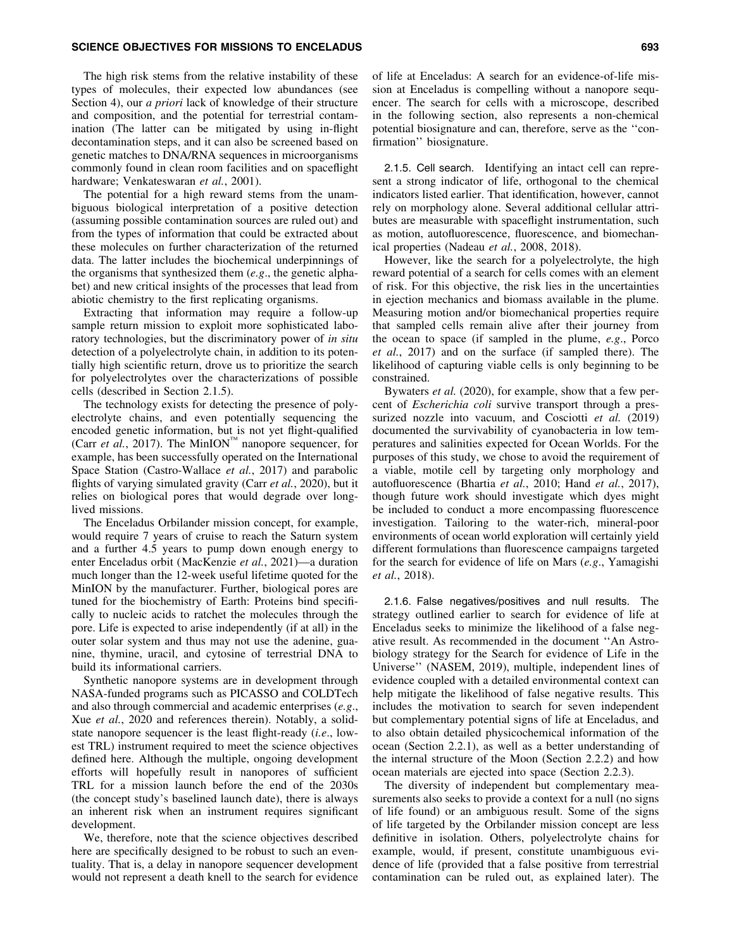## SCIENCE OBJECTIVES FOR MISSIONS TO ENCELADUS **FOR SEXUAL SEXUAL SEXUAL SEXUAL SEXUAL SEXUAL SEXUAL SEXUAL SEXUA**

The high risk stems from the relative instability of these types of molecules, their expected low abundances (see Section 4), our *a priori* lack of knowledge of their structure and composition, and the potential for terrestrial contamination (The latter can be mitigated by using in-flight decontamination steps, and it can also be screened based on genetic matches to DNA/RNA sequences in microorganisms commonly found in clean room facilities and on spaceflight hardware; Venkateswaran *et al.*, 2001).

The potential for a high reward stems from the unambiguous biological interpretation of a positive detection (assuming possible contamination sources are ruled out) and from the types of information that could be extracted about these molecules on further characterization of the returned data. The latter includes the biochemical underpinnings of the organisms that synthesized them (*e.g*., the genetic alphabet) and new critical insights of the processes that lead from abiotic chemistry to the first replicating organisms.

Extracting that information may require a follow-up sample return mission to exploit more sophisticated laboratory technologies, but the discriminatory power of *in situ* detection of a polyelectrolyte chain, in addition to its potentially high scientific return, drove us to prioritize the search for polyelectrolytes over the characterizations of possible cells (described in Section 2.1.5).

The technology exists for detecting the presence of polyelectrolyte chains, and even potentially sequencing the encoded genetic information, but is not yet flight-qualified (Carr *et al.*, 2017). The MinION<sup>"</sup> nanopore sequencer, for example, has been successfully operated on the International Space Station (Castro-Wallace *et al.*, 2017) and parabolic flights of varying simulated gravity (Carr *et al.*, 2020), but it relies on biological pores that would degrade over longlived missions.

The Enceladus Orbilander mission concept, for example, would require 7 years of cruise to reach the Saturn system and a further 4.5 years to pump down enough energy to enter Enceladus orbit (MacKenzie *et al.*, 2021)—a duration much longer than the 12-week useful lifetime quoted for the MinION by the manufacturer. Further, biological pores are tuned for the biochemistry of Earth: Proteins bind specifically to nucleic acids to ratchet the molecules through the pore. Life is expected to arise independently (if at all) in the outer solar system and thus may not use the adenine, guanine, thymine, uracil, and cytosine of terrestrial DNA to build its informational carriers.

Synthetic nanopore systems are in development through NASA-funded programs such as PICASSO and COLDTech and also through commercial and academic enterprises (*e.g*., Xue *et al.*, 2020 and references therein). Notably, a solidstate nanopore sequencer is the least flight-ready (*i.e*., lowest TRL) instrument required to meet the science objectives defined here. Although the multiple, ongoing development efforts will hopefully result in nanopores of sufficient TRL for a mission launch before the end of the 2030s (the concept study's baselined launch date), there is always an inherent risk when an instrument requires significant development.

We, therefore, note that the science objectives described here are specifically designed to be robust to such an eventuality. That is, a delay in nanopore sequencer development would not represent a death knell to the search for evidence of life at Enceladus: A search for an evidence-of-life mission at Enceladus is compelling without a nanopore sequencer. The search for cells with a microscope, described in the following section, also represents a non-chemical potential biosignature and can, therefore, serve as the ''confirmation'' biosignature.

2.1.5. Cell search. Identifying an intact cell can represent a strong indicator of life, orthogonal to the chemical indicators listed earlier. That identification, however, cannot rely on morphology alone. Several additional cellular attributes are measurable with spaceflight instrumentation, such as motion, autofluorescence, fluorescence, and biomechanical properties (Nadeau *et al.*, 2008, 2018).

However, like the search for a polyelectrolyte, the high reward potential of a search for cells comes with an element of risk. For this objective, the risk lies in the uncertainties in ejection mechanics and biomass available in the plume. Measuring motion and/or biomechanical properties require that sampled cells remain alive after their journey from the ocean to space (if sampled in the plume, *e.g*., Porco *et al.*, 2017) and on the surface (if sampled there). The likelihood of capturing viable cells is only beginning to be constrained.

Bywaters *et al.* (2020), for example, show that a few percent of *Escherichia coli* survive transport through a pressurized nozzle into vacuum, and Cosciotti et al. (2019) documented the survivability of cyanobacteria in low temperatures and salinities expected for Ocean Worlds. For the purposes of this study, we chose to avoid the requirement of a viable, motile cell by targeting only morphology and autofluorescence (Bhartia *et al.*, 2010; Hand *et al.*, 2017), though future work should investigate which dyes might be included to conduct a more encompassing fluorescence investigation. Tailoring to the water-rich, mineral-poor environments of ocean world exploration will certainly yield different formulations than fluorescence campaigns targeted for the search for evidence of life on Mars (*e.g*., Yamagishi *et al.*, 2018).

2.1.6. False negatives/positives and null results. The strategy outlined earlier to search for evidence of life at Enceladus seeks to minimize the likelihood of a false negative result. As recommended in the document ''An Astrobiology strategy for the Search for evidence of Life in the Universe'' (NASEM, 2019), multiple, independent lines of evidence coupled with a detailed environmental context can help mitigate the likelihood of false negative results. This includes the motivation to search for seven independent but complementary potential signs of life at Enceladus, and to also obtain detailed physicochemical information of the ocean (Section 2.2.1), as well as a better understanding of the internal structure of the Moon (Section 2.2.2) and how ocean materials are ejected into space (Section 2.2.3).

The diversity of independent but complementary measurements also seeks to provide a context for a null (no signs of life found) or an ambiguous result. Some of the signs of life targeted by the Orbilander mission concept are less definitive in isolation. Others, polyelectrolyte chains for example, would, if present, constitute unambiguous evidence of life (provided that a false positive from terrestrial contamination can be ruled out, as explained later). The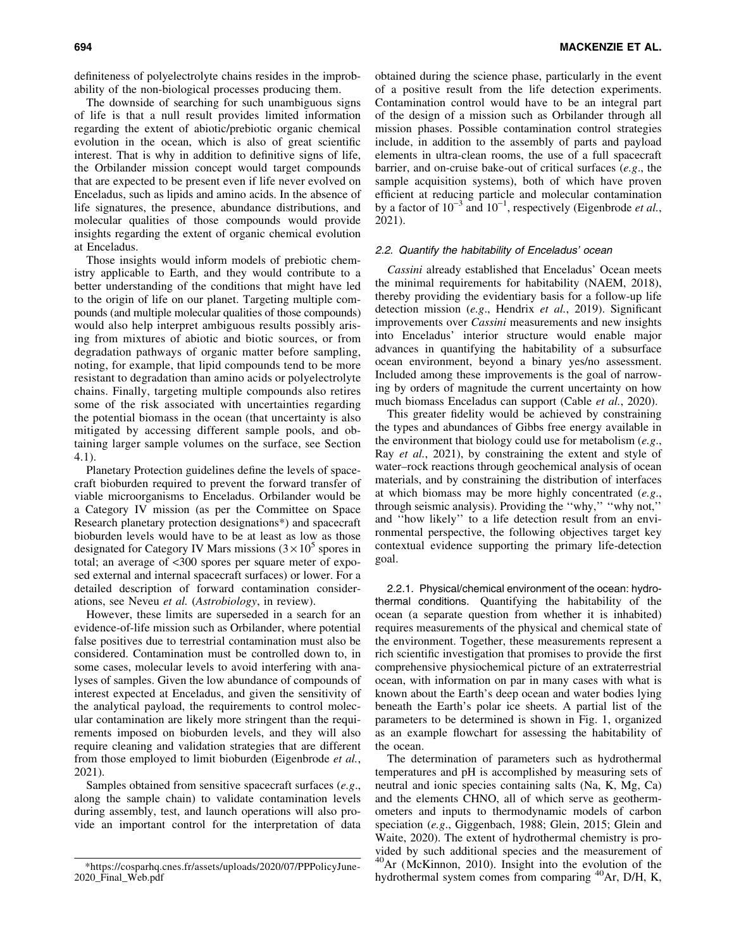definiteness of polyelectrolyte chains resides in the improbability of the non-biological processes producing them.

The downside of searching for such unambiguous signs of life is that a null result provides limited information regarding the extent of abiotic/prebiotic organic chemical evolution in the ocean, which is also of great scientific interest. That is why in addition to definitive signs of life, the Orbilander mission concept would target compounds that are expected to be present even if life never evolved on Enceladus, such as lipids and amino acids. In the absence of life signatures, the presence, abundance distributions, and molecular qualities of those compounds would provide insights regarding the extent of organic chemical evolution at Enceladus.

Those insights would inform models of prebiotic chemistry applicable to Earth, and they would contribute to a better understanding of the conditions that might have led to the origin of life on our planet. Targeting multiple compounds (and multiple molecular qualities of those compounds) would also help interpret ambiguous results possibly arising from mixtures of abiotic and biotic sources, or from degradation pathways of organic matter before sampling, noting, for example, that lipid compounds tend to be more resistant to degradation than amino acids or polyelectrolyte chains. Finally, targeting multiple compounds also retires some of the risk associated with uncertainties regarding the potential biomass in the ocean (that uncertainty is also mitigated by accessing different sample pools, and obtaining larger sample volumes on the surface, see Section 4.1).

Planetary Protection guidelines define the levels of spacecraft bioburden required to prevent the forward transfer of viable microorganisms to Enceladus. Orbilander would be a Category IV mission (as per the Committee on Space Research planetary protection designations\*) and spacecraft bioburden levels would have to be at least as low as those designated for Category IV Mars missions  $(3 \times 10^5$  spores in total; an average of <300 spores per square meter of exposed external and internal spacecraft surfaces) or lower. For a detailed description of forward contamination considerations, see Neveu *et al.* (*Astrobiology*, in review).

However, these limits are superseded in a search for an evidence-of-life mission such as Orbilander, where potential false positives due to terrestrial contamination must also be considered. Contamination must be controlled down to, in some cases, molecular levels to avoid interfering with analyses of samples. Given the low abundance of compounds of interest expected at Enceladus, and given the sensitivity of the analytical payload, the requirements to control molecular contamination are likely more stringent than the requirements imposed on bioburden levels, and they will also require cleaning and validation strategies that are different from those employed to limit bioburden (Eigenbrode *et al.*, 2021).

Samples obtained from sensitive spacecraft surfaces (*e.g*., along the sample chain) to validate contamination levels during assembly, test, and launch operations will also provide an important control for the interpretation of data obtained during the science phase, particularly in the event of a positive result from the life detection experiments. Contamination control would have to be an integral part of the design of a mission such as Orbilander through all mission phases. Possible contamination control strategies include, in addition to the assembly of parts and payload elements in ultra-clean rooms, the use of a full spacecraft barrier, and on-cruise bake-out of critical surfaces (*e.g*., the sample acquisition systems), both of which have proven efficient at reducing particle and molecular contamination by a factor of  $10^{-3}$  and  $10^{-1}$ , respectively (Eigenbrode *et al.*, 2021).

# 2.2. Quantify the habitability of Enceladus' ocean

*Cassini* already established that Enceladus' Ocean meets the minimal requirements for habitability (NAEM, 2018), thereby providing the evidentiary basis for a follow-up life detection mission (*e.g*., Hendrix *et al.*, 2019). Significant improvements over *Cassini* measurements and new insights into Enceladus' interior structure would enable major advances in quantifying the habitability of a subsurface ocean environment, beyond a binary yes/no assessment. Included among these improvements is the goal of narrowing by orders of magnitude the current uncertainty on how much biomass Enceladus can support (Cable *et al.*, 2020).

This greater fidelity would be achieved by constraining the types and abundances of Gibbs free energy available in the environment that biology could use for metabolism (*e.g*., Ray *et al.*, 2021), by constraining the extent and style of water–rock reactions through geochemical analysis of ocean materials, and by constraining the distribution of interfaces at which biomass may be more highly concentrated (*e.g*., through seismic analysis). Providing the ''why,'' ''why not,'' and ''how likely'' to a life detection result from an environmental perspective, the following objectives target key contextual evidence supporting the primary life-detection goal.

2.2.1. Physical/chemical environment of the ocean: hydrothermal conditions. Quantifying the habitability of the ocean (a separate question from whether it is inhabited) requires measurements of the physical and chemical state of the environment. Together, these measurements represent a rich scientific investigation that promises to provide the first comprehensive physiochemical picture of an extraterrestrial ocean, with information on par in many cases with what is known about the Earth's deep ocean and water bodies lying beneath the Earth's polar ice sheets. A partial list of the parameters to be determined is shown in Fig. 1, organized as an example flowchart for assessing the habitability of the ocean.

The determination of parameters such as hydrothermal temperatures and pH is accomplished by measuring sets of neutral and ionic species containing salts (Na, K, Mg, Ca) and the elements CHNO, all of which serve as geothermometers and inputs to thermodynamic models of carbon speciation (*e.g*., Giggenbach, 1988; Glein, 2015; Glein and Waite, 2020). The extent of hydrothermal chemistry is provided by such additional species and the measurement of  $^{40}$ Ar (McKinnon, 2010). Insight into the evolution of the hydrothermal system comes from comparing  ${}^{40}Ar$ , D/H, K,

[<sup>\\*</sup>https://cosparhq.cnes.fr/assets/uploads/2020/07/PPPolicyJune-](https://cosparhq.cnes.fr/assets/uploads/2020/07/PPPolicyJune-2020_Final_Web.pdf)[2020\\_Final\\_Web.pdf](https://cosparhq.cnes.fr/assets/uploads/2020/07/PPPolicyJune-2020_Final_Web.pdf)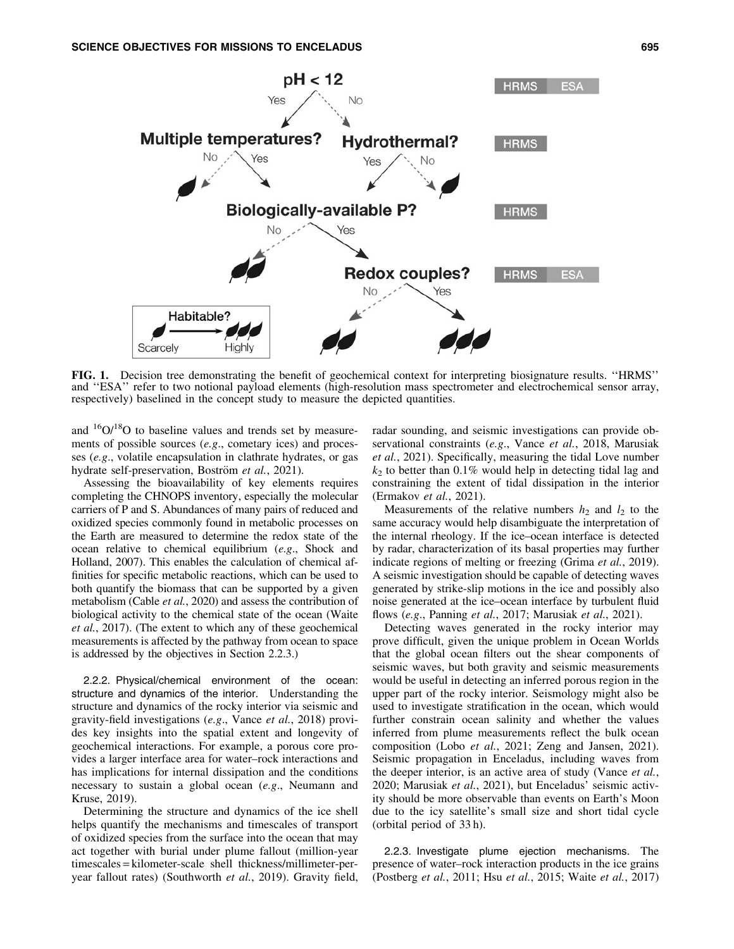

FIG. 1. Decision tree demonstrating the benefit of geochemical context for interpreting biosignature results. ''HRMS'' and ''ESA'' refer to two notional payload elements (high-resolution mass spectrometer and electrochemical sensor array, respectively) baselined in the concept study to measure the depicted quantities.

and  $16O/18O$  to baseline values and trends set by measurements of possible sources (*e.g*., cometary ices) and processes (*e.g*., volatile encapsulation in clathrate hydrates, or gas hydrate self-preservation, Boström et al., 2021).

Assessing the bioavailability of key elements requires completing the CHNOPS inventory, especially the molecular carriers of P and S. Abundances of many pairs of reduced and oxidized species commonly found in metabolic processes on the Earth are measured to determine the redox state of the ocean relative to chemical equilibrium (*e.g*., Shock and Holland, 2007). This enables the calculation of chemical affinities for specific metabolic reactions, which can be used to both quantify the biomass that can be supported by a given metabolism (Cable *et al.*, 2020) and assess the contribution of biological activity to the chemical state of the ocean (Waite *et al.*, 2017). (The extent to which any of these geochemical measurements is affected by the pathway from ocean to space is addressed by the objectives in Section 2.2.3.)

2.2.2. Physical/chemical environment of the ocean: structure and dynamics of the interior. Understanding the structure and dynamics of the rocky interior via seismic and gravity-field investigations (*e.g*., Vance *et al.*, 2018) provides key insights into the spatial extent and longevity of geochemical interactions. For example, a porous core provides a larger interface area for water–rock interactions and has implications for internal dissipation and the conditions necessary to sustain a global ocean (*e.g*., Neumann and Kruse, 2019).

Determining the structure and dynamics of the ice shell helps quantify the mechanisms and timescales of transport of oxidized species from the surface into the ocean that may act together with burial under plume fallout (million-year timescales = kilometer-scale shell thickness/millimeter-peryear fallout rates) (Southworth *et al.*, 2019). Gravity field,

radar sounding, and seismic investigations can provide observational constraints (*e.g*., Vance *et al.*, 2018, Marusiak *et al.*, 2021). Specifically, measuring the tidal Love number  $k_2$  to better than 0.1% would help in detecting tidal lag and constraining the extent of tidal dissipation in the interior (Ermakov *et al.*, 2021).

Measurements of the relative numbers  $h_2$  and  $l_2$  to the same accuracy would help disambiguate the interpretation of the internal rheology. If the ice–ocean interface is detected by radar, characterization of its basal properties may further indicate regions of melting or freezing (Grima *et al.*, 2019). A seismic investigation should be capable of detecting waves generated by strike-slip motions in the ice and possibly also noise generated at the ice–ocean interface by turbulent fluid flows (*e.g*., Panning *et al.*, 2017; Marusiak *et al.*, 2021).

Detecting waves generated in the rocky interior may prove difficult, given the unique problem in Ocean Worlds that the global ocean filters out the shear components of seismic waves, but both gravity and seismic measurements would be useful in detecting an inferred porous region in the upper part of the rocky interior. Seismology might also be used to investigate stratification in the ocean, which would further constrain ocean salinity and whether the values inferred from plume measurements reflect the bulk ocean composition (Lobo *et al.*, 2021; Zeng and Jansen, 2021). Seismic propagation in Enceladus, including waves from the deeper interior, is an active area of study (Vance *et al.*, 2020; Marusiak *et al.*, 2021), but Enceladus' seismic activity should be more observable than events on Earth's Moon due to the icy satellite's small size and short tidal cycle (orbital period of 33 h).

2.2.3. Investigate plume ejection mechanisms. The presence of water–rock interaction products in the ice grains (Postberg *et al.*, 2011; Hsu *et al.*, 2015; Waite *et al.*, 2017)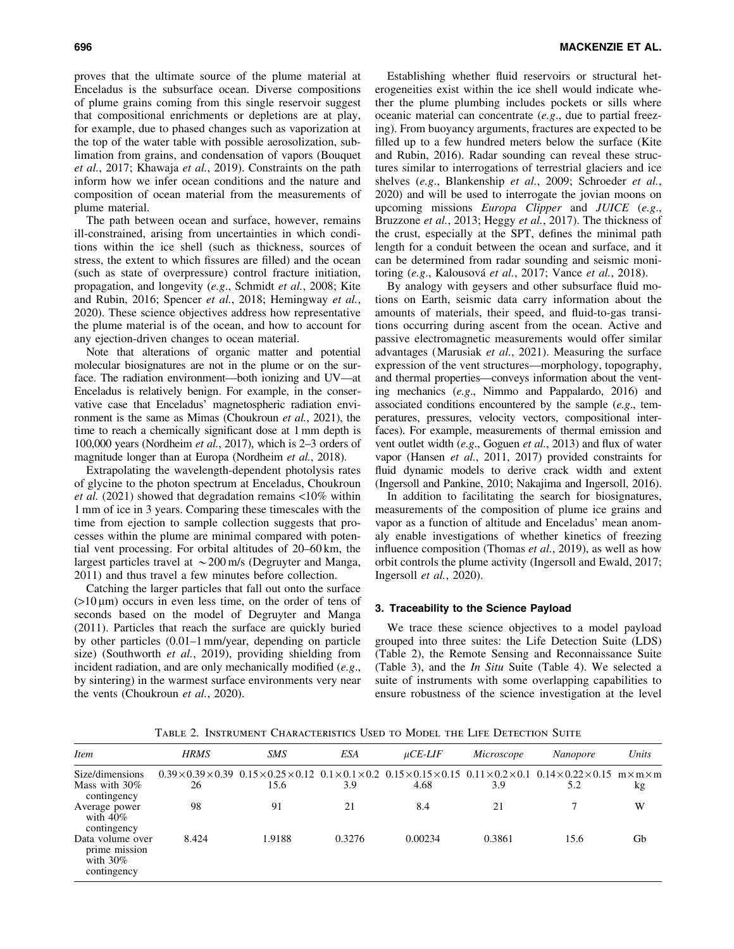proves that the ultimate source of the plume material at Enceladus is the subsurface ocean. Diverse compositions of plume grains coming from this single reservoir suggest that compositional enrichments or depletions are at play, for example, due to phased changes such as vaporization at the top of the water table with possible aerosolization, sublimation from grains, and condensation of vapors (Bouquet *et al.*, 2017; Khawaja *et al.*, 2019). Constraints on the path inform how we infer ocean conditions and the nature and composition of ocean material from the measurements of plume material.

The path between ocean and surface, however, remains ill-constrained, arising from uncertainties in which conditions within the ice shell (such as thickness, sources of stress, the extent to which fissures are filled) and the ocean (such as state of overpressure) control fracture initiation, propagation, and longevity (*e.g*., Schmidt *et al.*, 2008; Kite and Rubin, 2016; Spencer *et al.*, 2018; Hemingway *et al.*, 2020). These science objectives address how representative the plume material is of the ocean, and how to account for any ejection-driven changes to ocean material.

Note that alterations of organic matter and potential molecular biosignatures are not in the plume or on the surface. The radiation environment—both ionizing and UV—at Enceladus is relatively benign. For example, in the conservative case that Enceladus' magnetospheric radiation environment is the same as Mimas (Choukroun *et al.*, 2021), the time to reach a chemically significant dose at 1 mm depth is 100,000 years (Nordheim *et al.*, 2017), which is 2–3 orders of magnitude longer than at Europa (Nordheim *et al.*, 2018).

Extrapolating the wavelength-dependent photolysis rates of glycine to the photon spectrum at Enceladus, Choukroun *et al.* (2021) showed that degradation remains <10% within 1 mm of ice in 3 years. Comparing these timescales with the time from ejection to sample collection suggests that processes within the plume are minimal compared with potential vent processing. For orbital altitudes of 20–60 km, the largest particles travel at  $\sim$  200 m/s (Degruyter and Manga, 2011) and thus travel a few minutes before collection.

Catching the larger particles that fall out onto the surface  $(>10 \,\mu m)$  occurs in even less time, on the order of tens of seconds based on the model of Degruyter and Manga (2011). Particles that reach the surface are quickly buried by other particles (0.01–1 mm/year, depending on particle size) (Southworth *et al.*, 2019), providing shielding from incident radiation, and are only mechanically modified (*e.g*., by sintering) in the warmest surface environments very near the vents (Choukroun *et al.*, 2020).

Establishing whether fluid reservoirs or structural heterogeneities exist within the ice shell would indicate whether the plume plumbing includes pockets or sills where oceanic material can concentrate (*e.g*., due to partial freezing). From buoyancy arguments, fractures are expected to be filled up to a few hundred meters below the surface (Kite and Rubin, 2016). Radar sounding can reveal these structures similar to interrogations of terrestrial glaciers and ice shelves (*e.g*., Blankenship *et al.*, 2009; Schroeder *et al.*, 2020) and will be used to interrogate the jovian moons on upcoming missions *Europa Clipper* and *JUICE* (*e.g*., Bruzzone *et al.*, 2013; Heggy *et al.*, 2017). The thickness of the crust, especially at the SPT, defines the minimal path length for a conduit between the ocean and surface, and it can be determined from radar sounding and seismic monitoring (*e.g.*, Kalousová *et al.*, 2017; Vance *et al.*, 2018).

By analogy with geysers and other subsurface fluid motions on Earth, seismic data carry information about the amounts of materials, their speed, and fluid-to-gas transitions occurring during ascent from the ocean. Active and passive electromagnetic measurements would offer similar advantages (Marusiak *et al.*, 2021). Measuring the surface expression of the vent structures—morphology, topography, and thermal properties—conveys information about the venting mechanics (*e.g*., Nimmo and Pappalardo, 2016) and associated conditions encountered by the sample (*e.g*., temperatures, pressures, velocity vectors, compositional interfaces). For example, measurements of thermal emission and vent outlet width (*e.g*., Goguen *et al.*, 2013) and flux of water vapor (Hansen *et al.*, 2011, 2017) provided constraints for fluid dynamic models to derive crack width and extent (Ingersoll and Pankine, 2010; Nakajima and Ingersoll, 2016).

In addition to facilitating the search for biosignatures, measurements of the composition of plume ice grains and vapor as a function of altitude and Enceladus' mean anomaly enable investigations of whether kinetics of freezing influence composition (Thomas *et al.*, 2019), as well as how orbit controls the plume activity (Ingersoll and Ewald, 2017; Ingersoll *et al.*, 2020).

# 3. Traceability to the Science Payload

We trace these science objectives to a model payload grouped into three suites: the Life Detection Suite (LDS) (Table 2), the Remote Sensing and Reconnaissance Suite (Table 3), and the *In Situ* Suite (Table 4). We selected a suite of instruments with some overlapping capabilities to ensure robustness of the science investigation at the level

Table 2. Instrument Characteristics Used to Model the Life Detection Suite

| <i>Item</i>                                                     | <b>HRMS</b> | <b>SMS</b>                                                                                                                                                                                                   | ESA    | $\mu$ CE-LIF | Microscope | Nanopore | Units |
|-----------------------------------------------------------------|-------------|--------------------------------------------------------------------------------------------------------------------------------------------------------------------------------------------------------------|--------|--------------|------------|----------|-------|
| Size/dimensions                                                 |             | $0.39 \times 0.39 \times 0.39$ $0.15 \times 0.25 \times 0.12$ $0.1 \times 0.1 \times 0.2$ $0.15 \times 0.15 \times 0.15$ $0.11 \times 0.2 \times 0.1$ $0.14 \times 0.22 \times 0.15$ m $\times$ m $\times$ m |        |              |            |          |       |
| Mass with $30\%$<br>contingency                                 | 26          | 15.6                                                                                                                                                                                                         | 3.9    | 4.68         | 3.9        | 5.2      | kg    |
| Average power<br>with $40\%$<br>contingency                     | 98          | 91                                                                                                                                                                                                           | 21     | 8.4          | 21         |          | W     |
| Data volume over<br>prime mission<br>with $30\%$<br>contingency | 8.424       | 1.9188                                                                                                                                                                                                       | 0.3276 | 0.00234      | 0.3861     | 15.6     | Gb    |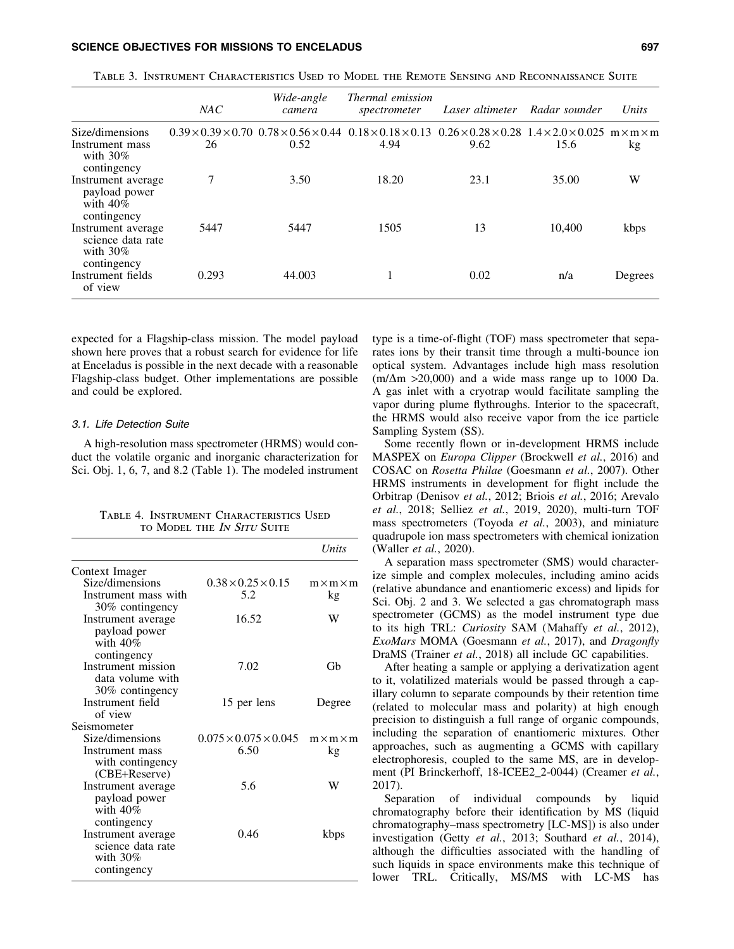# SCIENCE OBJECTIVES FOR MISSIONS TO ENCELADUS **FOR SEXUAL SEXUAL SEXUAL SEXUAL SEXUAL SEXUAL SEXUAL SEXUAL SEXU**

|                                                                       | NAC   | Wide-angle<br>camera                                          | <i>Thermal emission</i><br>spectrometer | Laser altimeter                                                | Radar sounder | Units                 |
|-----------------------------------------------------------------------|-------|---------------------------------------------------------------|-----------------------------------------|----------------------------------------------------------------|---------------|-----------------------|
| Size/dimensions                                                       |       | $0.39 \times 0.39 \times 0.70$ $0.78 \times 0.56 \times 0.44$ | $0.18 \times 0.18 \times 0.13$          | $0.26 \times 0.28 \times 0.28$ 1.4 $\times$ 2.0 $\times$ 0.025 |               | $m \times m \times m$ |
| Instrument mass<br>with $30\%$<br>contingency                         | 26    | 0.52                                                          | 4.94                                    | 9.62                                                           | 15.6          | kg                    |
| Instrument average<br>payload power<br>with $40\%$<br>contingency     | 7     | 3.50                                                          | 18.20                                   | 23.1                                                           | 35.00         | W                     |
| Instrument average<br>science data rate<br>with $30\%$<br>contingency | 5447  | 5447                                                          | 1505                                    | 13                                                             | 10,400        | kbps                  |
| Instrument fields<br>of view                                          | 0.293 | 44,003                                                        |                                         | 0.02                                                           | n/a           | Degrees               |

Table 3. Instrument Characteristics Used to Model the Remote Sensing and Reconnaissance Suite

expected for a Flagship-class mission. The model payload shown here proves that a robust search for evidence for life at Enceladus is possible in the next decade with a reasonable Flagship-class budget. Other implementations are possible and could be explored.

## 3.1. Life Detection Suite

A high-resolution mass spectrometer (HRMS) would conduct the volatile organic and inorganic characterization for Sci. Obj. 1, 6, 7, and 8.2 (Table 1). The modeled instrument

| TABLE 4. INSTRUMENT CHARACTERISTICS USED |  |
|------------------------------------------|--|
| TO MODEL THE IN SITU SUITE               |  |

|                                                                       |                                       | Units                       |
|-----------------------------------------------------------------------|---------------------------------------|-----------------------------|
| Context Imager                                                        |                                       |                             |
| Size/dimensions<br>Instrument mass with                               | $0.38 \times 0.25 \times 0.15$<br>5.2 | $m \times m \times m$<br>kg |
| 30% contingency<br>Instrument average<br>payload power<br>with $40\%$ | 16.52                                 | W                           |
| contingency<br>Instrument mission<br>data volume with                 | 7.02                                  | Gh                          |
| 30% contingency<br>Instrument field<br>of view                        | 15 per lens                           | Degree                      |
| Seismometer                                                           |                                       |                             |
| Size/dimensions                                                       | $0.075 \times 0.075 \times 0.045$     | $m \times m \times m$       |
| Instrument mass<br>with contingency<br>(CBE+Reserve)                  | 6.50                                  | kg                          |
| Instrument average<br>payload power<br>with $40\%$<br>contingency     | 5.6                                   | w                           |
| Instrument average<br>science data rate<br>with $30\%$<br>contingency | 0.46                                  | kbps                        |

type is a time-of-flight (TOF) mass spectrometer that separates ions by their transit time through a multi-bounce ion optical system. Advantages include high mass resolution  $(m/\Delta m > 20,000)$  and a wide mass range up to 1000 Da. A gas inlet with a cryotrap would facilitate sampling the vapor during plume flythroughs. Interior to the spacecraft, the HRMS would also receive vapor from the ice particle Sampling System (SS).

Some recently flown or in-development HRMS include MASPEX on *Europa Clipper* (Brockwell *et al.*, 2016) and COSAC on *Rosetta Philae* (Goesmann *et al.*, 2007). Other HRMS instruments in development for flight include the Orbitrap (Denisov *et al.*, 2012; Briois *et al.*, 2016; Arevalo *et al.*, 2018; Selliez *et al.*, 2019, 2020), multi-turn TOF mass spectrometers (Toyoda *et al.*, 2003), and miniature quadrupole ion mass spectrometers with chemical ionization (Waller *et al.*, 2020).

A separation mass spectrometer (SMS) would characterize simple and complex molecules, including amino acids (relative abundance and enantiomeric excess) and lipids for Sci. Obj. 2 and 3. We selected a gas chromatograph mass spectrometer (GCMS) as the model instrument type due to its high TRL: *Curiosity* SAM (Mahaffy *et al.*, 2012), *ExoMars* MOMA (Goesmann *et al.*, 2017), and *Dragonfly* DraMS (Trainer *et al.*, 2018) all include GC capabilities.

After heating a sample or applying a derivatization agent to it, volatilized materials would be passed through a capillary column to separate compounds by their retention time (related to molecular mass and polarity) at high enough precision to distinguish a full range of organic compounds, including the separation of enantiomeric mixtures. Other approaches, such as augmenting a GCMS with capillary electrophoresis, coupled to the same MS, are in development (PI Brinckerhoff, 18-ICEE2\_2-0044) (Creamer *et al.*, 2017).

Separation of individual compounds by liquid chromatography before their identification by MS (liquid chromatography–mass spectrometry [LC-MS]) is also under investigation (Getty *et al.*, 2013; Southard *et al.*, 2014), although the difficulties associated with the handling of such liquids in space environments make this technique of lower TRL. Critically, MS/MS with LC-MS has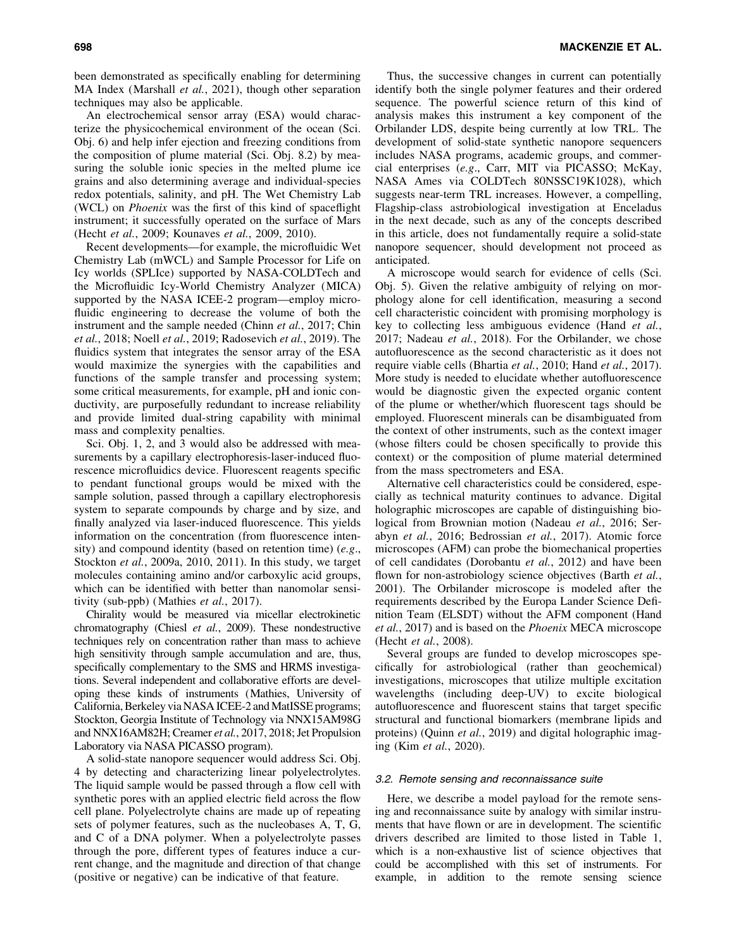been demonstrated as specifically enabling for determining MA Index (Marshall *et al.*, 2021), though other separation techniques may also be applicable.

An electrochemical sensor array (ESA) would characterize the physicochemical environment of the ocean (Sci. Obj. 6) and help infer ejection and freezing conditions from the composition of plume material (Sci. Obj. 8.2) by measuring the soluble ionic species in the melted plume ice grains and also determining average and individual-species redox potentials, salinity, and pH. The Wet Chemistry Lab (WCL) on *Phoenix* was the first of this kind of spaceflight instrument; it successfully operated on the surface of Mars (Hecht *et al.*, 2009; Kounaves *et al.*, 2009, 2010).

Recent developments—for example, the microfluidic Wet Chemistry Lab (mWCL) and Sample Processor for Life on Icy worlds (SPLIce) supported by NASA-COLDTech and the Microfluidic Icy-World Chemistry Analyzer (MICA) supported by the NASA ICEE-2 program—employ microfluidic engineering to decrease the volume of both the instrument and the sample needed (Chinn *et al.*, 2017; Chin *et al.*, 2018; Noell *et al.*, 2019; Radosevich *et al.*, 2019). The fluidics system that integrates the sensor array of the ESA would maximize the synergies with the capabilities and functions of the sample transfer and processing system; some critical measurements, for example, pH and ionic conductivity, are purposefully redundant to increase reliability and provide limited dual-string capability with minimal mass and complexity penalties.

Sci. Obj. 1, 2, and 3 would also be addressed with measurements by a capillary electrophoresis-laser-induced fluorescence microfluidics device. Fluorescent reagents specific to pendant functional groups would be mixed with the sample solution, passed through a capillary electrophoresis system to separate compounds by charge and by size, and finally analyzed via laser-induced fluorescence. This yields information on the concentration (from fluorescence intensity) and compound identity (based on retention time) (*e.g*., Stockton *et al.*, 2009a, 2010, 2011). In this study, we target molecules containing amino and/or carboxylic acid groups, which can be identified with better than nanomolar sensitivity (sub-ppb) (Mathies *et al.*, 2017).

Chirality would be measured via micellar electrokinetic chromatography (Chiesl *et al.*, 2009). These nondestructive techniques rely on concentration rather than mass to achieve high sensitivity through sample accumulation and are, thus, specifically complementary to the SMS and HRMS investigations. Several independent and collaborative efforts are developing these kinds of instruments (Mathies, University of California, Berkeley via NASA ICEE-2 and MatISSE programs; Stockton, Georgia Institute of Technology via NNX15AM98G and NNX16AM82H; Creamer *et al.*, 2017, 2018; Jet Propulsion Laboratory via NASA PICASSO program).

A solid-state nanopore sequencer would address Sci. Obj. 4 by detecting and characterizing linear polyelectrolytes. The liquid sample would be passed through a flow cell with synthetic pores with an applied electric field across the flow cell plane. Polyelectrolyte chains are made up of repeating sets of polymer features, such as the nucleobases A, T, G, and C of a DNA polymer. When a polyelectrolyte passes through the pore, different types of features induce a current change, and the magnitude and direction of that change (positive or negative) can be indicative of that feature.

Thus, the successive changes in current can potentially identify both the single polymer features and their ordered sequence. The powerful science return of this kind of analysis makes this instrument a key component of the Orbilander LDS, despite being currently at low TRL. The development of solid-state synthetic nanopore sequencers includes NASA programs, academic groups, and commercial enterprises (*e.g*., Carr, MIT via PICASSO; McKay, NASA Ames via COLDTech 80NSSC19K1028), which suggests near-term TRL increases. However, a compelling, Flagship-class astrobiological investigation at Enceladus in the next decade, such as any of the concepts described in this article, does not fundamentally require a solid-state nanopore sequencer, should development not proceed as anticipated.

A microscope would search for evidence of cells (Sci. Obj. 5). Given the relative ambiguity of relying on morphology alone for cell identification, measuring a second cell characteristic coincident with promising morphology is key to collecting less ambiguous evidence (Hand *et al.*, 2017; Nadeau *et al.*, 2018). For the Orbilander, we chose autofluorescence as the second characteristic as it does not require viable cells (Bhartia *et al.*, 2010; Hand *et al.*, 2017). More study is needed to elucidate whether autofluorescence would be diagnostic given the expected organic content of the plume or whether/which fluorescent tags should be employed. Fluorescent minerals can be disambiguated from the context of other instruments, such as the context imager (whose filters could be chosen specifically to provide this context) or the composition of plume material determined from the mass spectrometers and ESA.

Alternative cell characteristics could be considered, especially as technical maturity continues to advance. Digital holographic microscopes are capable of distinguishing biological from Brownian motion (Nadeau *et al.*, 2016; Serabyn *et al.*, 2016; Bedrossian *et al.*, 2017). Atomic force microscopes (AFM) can probe the biomechanical properties of cell candidates (Dorobantu *et al.*, 2012) and have been flown for non-astrobiology science objectives (Barth *et al.*, 2001). The Orbilander microscope is modeled after the requirements described by the Europa Lander Science Definition Team (ELSDT) without the AFM component (Hand *et al.*, 2017) and is based on the *Phoenix* MECA microscope (Hecht *et al.*, 2008).

Several groups are funded to develop microscopes specifically for astrobiological (rather than geochemical) investigations, microscopes that utilize multiple excitation wavelengths (including deep-UV) to excite biological autofluorescence and fluorescent stains that target specific structural and functional biomarkers (membrane lipids and proteins) (Quinn *et al.*, 2019) and digital holographic imaging (Kim *et al.*, 2020).

# 3.2. Remote sensing and reconnaissance suite

Here, we describe a model payload for the remote sensing and reconnaissance suite by analogy with similar instruments that have flown or are in development. The scientific drivers described are limited to those listed in Table 1, which is a non-exhaustive list of science objectives that could be accomplished with this set of instruments. For example, in addition to the remote sensing science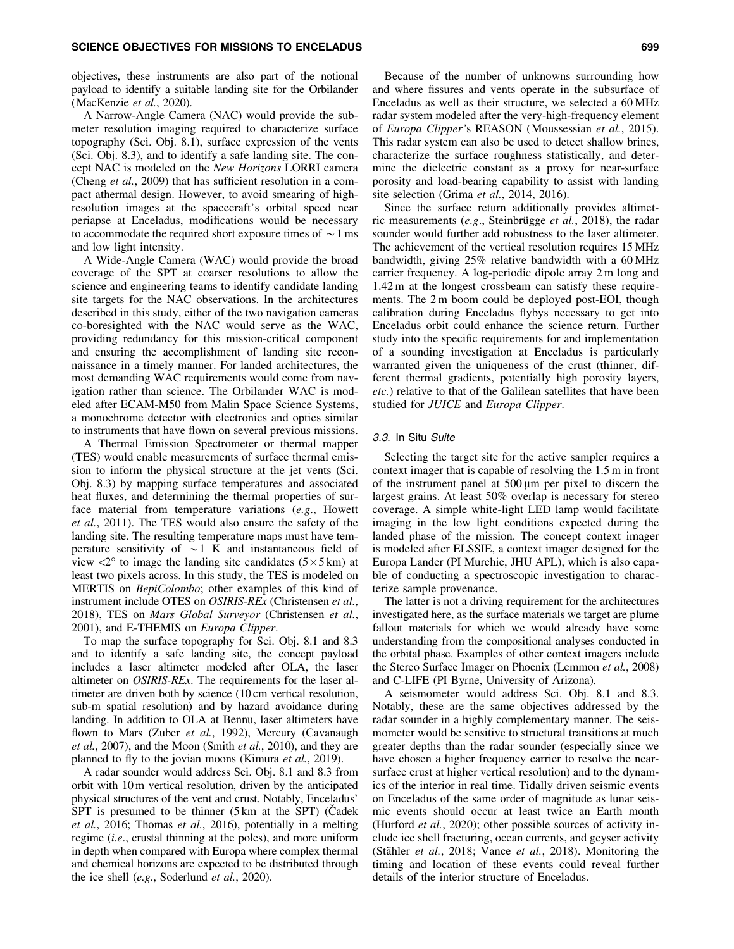objectives, these instruments are also part of the notional payload to identify a suitable landing site for the Orbilander (MacKenzie *et al.*, 2020).

A Narrow-Angle Camera (NAC) would provide the submeter resolution imaging required to characterize surface topography (Sci. Obj. 8.1), surface expression of the vents (Sci. Obj. 8.3), and to identify a safe landing site. The concept NAC is modeled on the *New Horizons* LORRI camera (Cheng *et al.*, 2009) that has sufficient resolution in a compact athermal design. However, to avoid smearing of highresolution images at the spacecraft's orbital speed near periapse at Enceladus, modifications would be necessary to accommodate the required short exposure times of  $\sim$  1 ms and low light intensity.

A Wide-Angle Camera (WAC) would provide the broad coverage of the SPT at coarser resolutions to allow the science and engineering teams to identify candidate landing site targets for the NAC observations. In the architectures described in this study, either of the two navigation cameras co-boresighted with the NAC would serve as the WAC, providing redundancy for this mission-critical component and ensuring the accomplishment of landing site reconnaissance in a timely manner. For landed architectures, the most demanding WAC requirements would come from navigation rather than science. The Orbilander WAC is modeled after ECAM-M50 from Malin Space Science Systems, a monochrome detector with electronics and optics similar to instruments that have flown on several previous missions.

A Thermal Emission Spectrometer or thermal mapper (TES) would enable measurements of surface thermal emission to inform the physical structure at the jet vents (Sci. Obj. 8.3) by mapping surface temperatures and associated heat fluxes, and determining the thermal properties of surface material from temperature variations (*e.g*., Howett *et al.*, 2011). The TES would also ensure the safety of the landing site. The resulting temperature maps must have temperature sensitivity of  $\sim$ 1 K and instantaneous field of view  $\langle 2^{\circ}$  to image the landing site candidates (5  $\times$  5 km) at least two pixels across. In this study, the TES is modeled on MERTIS on *BepiColombo*; other examples of this kind of instrument include OTES on *OSIRIS-REx* (Christensen *et al.*, 2018), TES on *Mars Global Surveyor* (Christensen *et al.*, 2001), and E-THEMIS on *Europa Clipper*.

To map the surface topography for Sci. Obj. 8.1 and 8.3 and to identify a safe landing site, the concept payload includes a laser altimeter modeled after OLA, the laser altimeter on *OSIRIS-REx*. The requirements for the laser altimeter are driven both by science (10 cm vertical resolution, sub-m spatial resolution) and by hazard avoidance during landing. In addition to OLA at Bennu, laser altimeters have flown to Mars (Zuber *et al.*, 1992), Mercury (Cavanaugh *et al.*, 2007), and the Moon (Smith *et al.*, 2010), and they are planned to fly to the jovian moons (Kimura *et al.*, 2019).

A radar sounder would address Sci. Obj. 8.1 and 8.3 from orbit with 10 m vertical resolution, driven by the anticipated physical structures of the vent and crust. Notably, Enceladus'  $SPT$  is presumed to be thinner (5 km at the SPT) (Cadek *et al.*, 2016; Thomas *et al.*, 2016), potentially in a melting regime (*i.e*., crustal thinning at the poles), and more uniform in depth when compared with Europa where complex thermal and chemical horizons are expected to be distributed through the ice shell (*e.g*., Soderlund *et al.*, 2020).

Because of the number of unknowns surrounding how and where fissures and vents operate in the subsurface of Enceladus as well as their structure, we selected a 60 MHz radar system modeled after the very-high-frequency element of *Europa Clipper'*s REASON (Moussessian *et al.*, 2015). This radar system can also be used to detect shallow brines, characterize the surface roughness statistically, and determine the dielectric constant as a proxy for near-surface porosity and load-bearing capability to assist with landing site selection (Grima *et al.*, 2014, 2016).

Since the surface return additionally provides altimetric measurements (*e.g.*, Steinbrügge *et al.*, 2018), the radar sounder would further add robustness to the laser altimeter. The achievement of the vertical resolution requires 15 MHz bandwidth, giving 25% relative bandwidth with a 60 MHz carrier frequency. A log-periodic dipole array 2 m long and 1.42 m at the longest crossbeam can satisfy these requirements. The 2 m boom could be deployed post-EOI, though calibration during Enceladus flybys necessary to get into Enceladus orbit could enhance the science return. Further study into the specific requirements for and implementation of a sounding investigation at Enceladus is particularly warranted given the uniqueness of the crust (thinner, different thermal gradients, potentially high porosity layers, *etc.*) relative to that of the Galilean satellites that have been studied for *JUICE* and *Europa Clipper*.

# 3.3. In Situ Suite

Selecting the target site for the active sampler requires a context imager that is capable of resolving the 1.5 m in front of the instrument panel at  $500 \mu m$  per pixel to discern the largest grains. At least 50% overlap is necessary for stereo coverage. A simple white-light LED lamp would facilitate imaging in the low light conditions expected during the landed phase of the mission. The concept context imager is modeled after ELSSIE, a context imager designed for the Europa Lander (PI Murchie, JHU APL), which is also capable of conducting a spectroscopic investigation to characterize sample provenance.

The latter is not a driving requirement for the architectures investigated here, as the surface materials we target are plume fallout materials for which we would already have some understanding from the compositional analyses conducted in the orbital phase. Examples of other context imagers include the Stereo Surface Imager on Phoenix (Lemmon *et al.*, 2008) and C-LIFE (PI Byrne, University of Arizona).

A seismometer would address Sci. Obj. 8.1 and 8.3. Notably, these are the same objectives addressed by the radar sounder in a highly complementary manner. The seismometer would be sensitive to structural transitions at much greater depths than the radar sounder (especially since we have chosen a higher frequency carrier to resolve the nearsurface crust at higher vertical resolution) and to the dynamics of the interior in real time. Tidally driven seismic events on Enceladus of the same order of magnitude as lunar seismic events should occur at least twice an Earth month (Hurford *et al.*, 2020); other possible sources of activity include ice shell fracturing, ocean currents, and geyser activity (Stähler et al., 2018; Vance et al., 2018). Monitoring the timing and location of these events could reveal further details of the interior structure of Enceladus.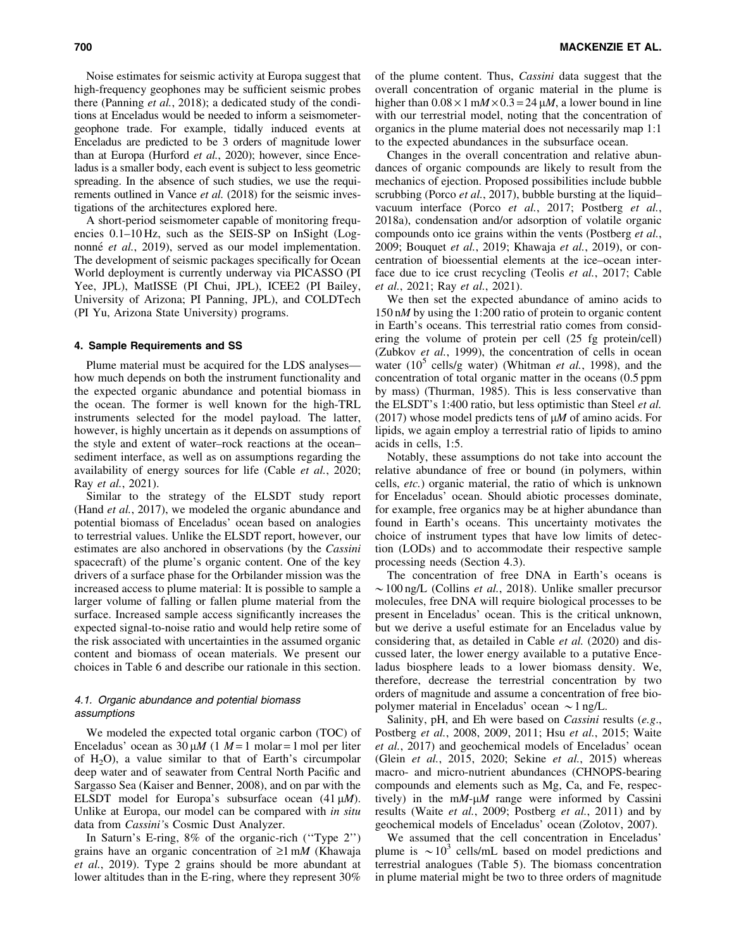Noise estimates for seismic activity at Europa suggest that high-frequency geophones may be sufficient seismic probes there (Panning *et al.*, 2018); a dedicated study of the conditions at Enceladus would be needed to inform a seismometergeophone trade. For example, tidally induced events at Enceladus are predicted to be 3 orders of magnitude lower than at Europa (Hurford *et al.*, 2020); however, since Enceladus is a smaller body, each event is subject to less geometric spreading. In the absence of such studies, we use the requirements outlined in Vance *et al.* (2018) for the seismic investigations of the architectures explored here.

A short-period seismometer capable of monitoring frequencies 0.1–10 Hz, such as the SEIS-SP on InSight (Lognonné *et al.*, 2019), served as our model implementation. The development of seismic packages specifically for Ocean World deployment is currently underway via PICASSO (PI Yee, JPL), MatISSE (PI Chui, JPL), ICEE2 (PI Bailey, University of Arizona; PI Panning, JPL), and COLDTech (PI Yu, Arizona State University) programs.

#### 4. Sample Requirements and SS

Plume material must be acquired for the LDS analyses how much depends on both the instrument functionality and the expected organic abundance and potential biomass in the ocean. The former is well known for the high-TRL instruments selected for the model payload. The latter, however, is highly uncertain as it depends on assumptions of the style and extent of water–rock reactions at the ocean– sediment interface, as well as on assumptions regarding the availability of energy sources for life (Cable *et al.*, 2020; Ray *et al.*, 2021).

Similar to the strategy of the ELSDT study report (Hand *et al.*, 2017), we modeled the organic abundance and potential biomass of Enceladus' ocean based on analogies to terrestrial values. Unlike the ELSDT report, however, our estimates are also anchored in observations (by the *Cassini* spacecraft) of the plume's organic content. One of the key drivers of a surface phase for the Orbilander mission was the increased access to plume material: It is possible to sample a larger volume of falling or fallen plume material from the surface. Increased sample access significantly increases the expected signal-to-noise ratio and would help retire some of the risk associated with uncertainties in the assumed organic content and biomass of ocean materials. We present our choices in Table 6 and describe our rationale in this section.

# 4.1. Organic abundance and potential biomass assumptions

We modeled the expected total organic carbon (TOC) of Enceladus' ocean as  $30 \mu M$  (1  $M=1$  molar = 1 mol per liter of  $H_2O$ , a value similar to that of Earth's circumpolar deep water and of seawater from Central North Pacific and Sargasso Sea (Kaiser and Benner, 2008), and on par with the ELSDT model for Europa's subsurface ocean  $(41 \mu M)$ . Unlike at Europa, our model can be compared with *in situ* data from *Cassini'*s Cosmic Dust Analyzer.

In Saturn's E-ring, 8% of the organic-rich (''Type 2'') grains have an organic concentration of  $\geq 1$  m*M* (Khawaja *et al.*, 2019). Type 2 grains should be more abundant at lower altitudes than in the E-ring, where they represent 30% of the plume content. Thus, *Cassini* data suggest that the overall concentration of organic material in the plume is higher than  $0.08 \times 1$  m*M* ×  $0.3 = 24$   $\mu$ *M*, a lower bound in line with our terrestrial model, noting that the concentration of organics in the plume material does not necessarily map 1:1 to the expected abundances in the subsurface ocean.

Changes in the overall concentration and relative abundances of organic compounds are likely to result from the mechanics of ejection. Proposed possibilities include bubble scrubbing (Porco *et al.*, 2017), bubble bursting at the liquid– vacuum interface (Porco *et al.*, 2017; Postberg *et al.*, 2018a), condensation and/or adsorption of volatile organic compounds onto ice grains within the vents (Postberg *et al.*, 2009; Bouquet *et al.*, 2019; Khawaja *et al.*, 2019), or concentration of bioessential elements at the ice–ocean interface due to ice crust recycling (Teolis *et al.*, 2017; Cable *et al.*, 2021; Ray *et al.*, 2021).

We then set the expected abundance of amino acids to 150 n*M* by using the 1:200 ratio of protein to organic content in Earth's oceans. This terrestrial ratio comes from considering the volume of protein per cell (25 fg protein/cell) (Zubkov *et al.*, 1999), the concentration of cells in ocean water (10<sup>5</sup> cells/g water) (Whitman *et al.*, 1998), and the concentration of total organic matter in the oceans (0.5 ppm by mass) (Thurman, 1985). This is less conservative than the ELSDT's 1:400 ratio, but less optimistic than Steel *et al.* (2017) whose model predicts tens of  $\mu$ *M* of amino acids. For lipids, we again employ a terrestrial ratio of lipids to amino acids in cells, 1:5.

Notably, these assumptions do not take into account the relative abundance of free or bound (in polymers, within cells, *etc.*) organic material, the ratio of which is unknown for Enceladus' ocean. Should abiotic processes dominate, for example, free organics may be at higher abundance than found in Earth's oceans. This uncertainty motivates the choice of instrument types that have low limits of detection (LODs) and to accommodate their respective sample processing needs (Section 4.3).

The concentration of free DNA in Earth's oceans is  $\sim$ 100 ng/L (Collins *et al.*, 2018). Unlike smaller precursor molecules, free DNA will require biological processes to be present in Enceladus' ocean. This is the critical unknown, but we derive a useful estimate for an Enceladus value by considering that, as detailed in Cable *et al.* (2020) and discussed later, the lower energy available to a putative Enceladus biosphere leads to a lower biomass density. We, therefore, decrease the terrestrial concentration by two orders of magnitude and assume a concentration of free biopolymer material in Enceladus' ocean  $\sim$  1 ng/L.

Salinity, pH, and Eh were based on *Cassini* results (*e.g*., Postberg *et al.*, 2008, 2009, 2011; Hsu *et al.*, 2015; Waite *et al.*, 2017) and geochemical models of Enceladus' ocean (Glein *et al.*, 2015, 2020; Sekine *et al.*, 2015) whereas macro- and micro-nutrient abundances (CHNOPS-bearing compounds and elements such as Mg, Ca, and Fe, respectively) in the  $mM$ - $\mu$ *M* range were informed by Cassini results (Waite *et al.*, 2009; Postberg *et al.*, 2011) and by geochemical models of Enceladus' ocean (Zolotov, 2007).

We assumed that the cell concentration in Enceladus' plume is  $\sim 10^3$  cells/mL based on model predictions and terrestrial analogues (Table 5). The biomass concentration in plume material might be two to three orders of magnitude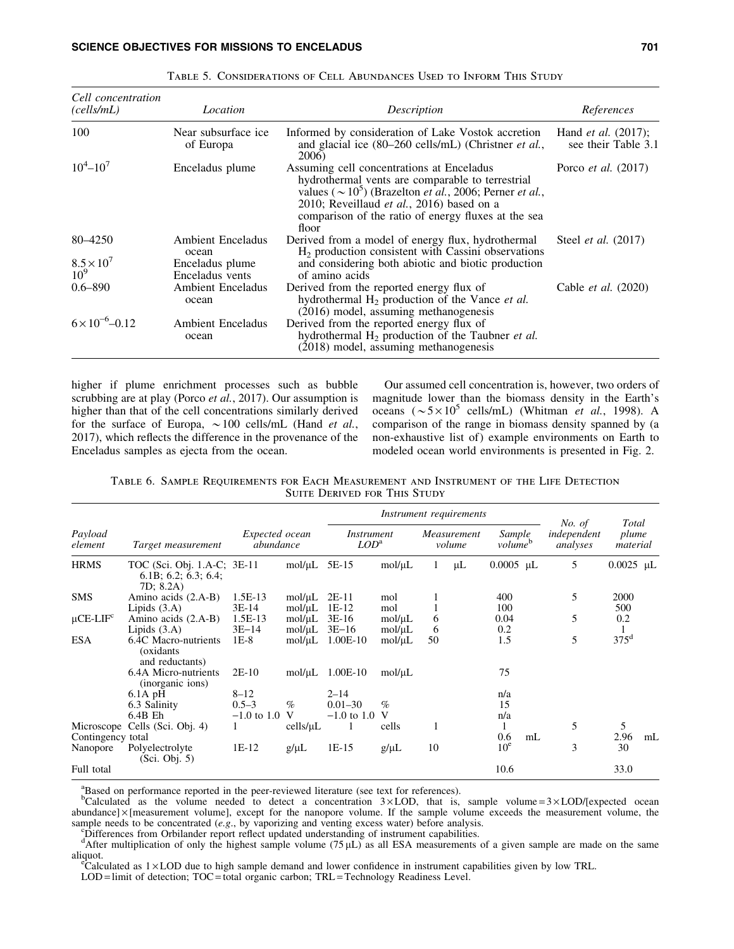# SCIENCE OBJECTIVES FOR MISSIONS TO ENCELADUS 701

| Cell concentration<br>(cells/mL) | Location                                             | Description                                                                                                                                                                                                                                                                                                     | References                                           |
|----------------------------------|------------------------------------------------------|-----------------------------------------------------------------------------------------------------------------------------------------------------------------------------------------------------------------------------------------------------------------------------------------------------------------|------------------------------------------------------|
| 100                              | Near subsurface ice.<br>of Europa                    | Informed by consideration of Lake Vostok accretion<br>and glacial ice (80–260 cells/mL) (Christner <i>et al.</i> ,<br>2006)                                                                                                                                                                                     | Hand <i>et al.</i> $(2017)$ ;<br>see their Table 3.1 |
| $10^4 - 10^7$                    | Enceladus plume                                      | Assuming cell concentrations at Enceladus<br>hydrothermal vents are comparable to terrestrial<br>values ( $\sim$ 10 <sup>5</sup> ) (Brazelton <i>et al.</i> , 2006; Perner <i>et al.</i> ,<br>2010; Reveillaud <i>et al.</i> , 2016) based on a<br>comparison of the ratio of energy fluxes at the sea<br>floor | Porco <i>et al.</i> (2017)                           |
| 80-4250<br>$8.5 \times 10^{7}$   | <b>Ambient Enceladus</b><br>ocean<br>Enceladus plume | Derived from a model of energy flux, hydrothermal<br>$H2$ production consistent with Cassini observations<br>and considering both abiotic and biotic production                                                                                                                                                 | Steel <i>et al.</i> (2017)                           |
| 10 <sup>9</sup>                  | Enceladus vents                                      | of amino acids                                                                                                                                                                                                                                                                                                  |                                                      |
| $0.6 - 890$                      | <b>Ambient Enceladus</b><br>ocean                    | Derived from the reported energy flux of<br>hydrothermal H <sub>2</sub> production of the Vance et al.<br>(2016) model, assuming methanogenesis                                                                                                                                                                 | Cable <i>et al.</i> (2020)                           |
| $6 \times 10^{-6} - 0.12$        | <b>Ambient Enceladus</b><br>ocean                    | Derived from the reported energy flux of<br>hydrothermal $H_2$ production of the Taubner <i>et al.</i><br>(2018) model, assuming methanogenesis                                                                                                                                                                 |                                                      |

Table 5. Considerations of Cell Abundances Used to Inform This Study

higher if plume enrichment processes such as bubble scrubbing are at play (Porco *et al.*, 2017). Our assumption is higher than that of the cell concentrations similarly derived for the surface of Europa,  $\sim$  100 cells/mL (Hand *et al.*, 2017), which reflects the difference in the provenance of the Enceladus samples as ejecta from the ocean.

Our assumed cell concentration is, however, two orders of magnitude lower than the biomass density in the Earth's oceans  $({\sim}5{\times}10^5 \text{ cells/mL})$  (Whitman *et al.*, 1998). A comparison of the range in biomass density spanned by (a non-exhaustive list of) example environments on Earth to modeled ocean world environments is presented in Fig. 2.

Table 6. Sample Requirements for Each Measurement and Instrument of the Life Detection SUITE DERIVED FOR THIS STUDY

|                           |                                                                  |                             |                            | Instrument requirements      |                            |                       |         |                               |                | Total                             |                   |                |
|---------------------------|------------------------------------------------------------------|-----------------------------|----------------------------|------------------------------|----------------------------|-----------------------|---------|-------------------------------|----------------|-----------------------------------|-------------------|----------------|
| Payload<br>element        | Target measurement                                               | Expected ocean<br>abundance |                            | <i>Instrument</i><br>$LOD^a$ |                            | Measurement<br>volume |         | Sample<br>volume <sup>b</sup> |                | No. of<br>independent<br>analyses | plume<br>material |                |
| <b>HRMS</b>               | TOC (Sci. Obj. 1.A-C; 3E-11<br>6.1B; 6.2; 6.3; 6.4;<br>7D: 8.2A) |                             | mol/µL                     | 5E-15                        | $mol/\mu L$                | 1                     | $\mu$ L | $0.0005$ µL                   |                | 5                                 | $0.0025$ µL       |                |
| <b>SMS</b>                | Amino acids (2.A-B)<br>Lipids $(3.A)$                            | $1.5E-13$<br>$3E-14$        | $mol/\mu L$<br>$mol/\mu L$ | $2E-11$<br>$1E-12$           | mol<br>mol                 |                       |         | 400<br>100                    |                | 5                                 | 2000<br>500       |                |
| $\mu$ CE-LIF <sup>c</sup> | Amino acids (2.A-B)<br>Lipids $(3.A)$                            | $1.5E-13$<br>$3E-14$        | $mol/\mu L$<br>$mol/\mu L$ | $3E-16$<br>$3E-16$           | $mol/\mu L$<br>$mol/\mu L$ | 6<br>6                |         | 0.04<br>0.2                   |                | 5                                 | 0.2               |                |
| <b>ESA</b>                | 6.4C Macro-nutrients<br>(oxidants)<br>and reductants)            | $1E-8$                      | mol/µL                     | 1.00E-10                     | $mol/\mu L$                | 50                    |         | 1.5                           |                | 5                                 | $375^{\rm d}$     |                |
|                           | 6.4A Micro-nutrients<br>(inorganic ions)                         | $2E-10$                     | $mol/\mu L$                | $1.00E-10$                   | $mol/\mu L$                |                       |         | 75                            |                |                                   |                   |                |
|                           | $6.1A$ pH                                                        | $8 - 12$                    |                            | $2 - 14$                     |                            |                       |         | n/a                           |                |                                   |                   |                |
|                           | 6.3 Salinity                                                     | $0.5 - 3$                   | $\%$                       | $0.01 - 30$                  | $\%$                       |                       |         | 15                            |                |                                   |                   |                |
|                           | $6.4B$ Eh                                                        | $-1.0$ to 1.0               | V                          | $-1.0$ to 1.0                | V                          |                       |         | n/a                           |                |                                   |                   |                |
|                           | Microscope Cells (Sci. Obj. 4)                                   |                             | cells/µL                   |                              | cells                      | 1                     |         | 1                             |                | 5                                 | 5                 |                |
| Contingency total         |                                                                  |                             |                            |                              |                            |                       |         | 0.6                           | m <sub>L</sub> |                                   | 2.96              | m <sub>L</sub> |
| Nanopore                  | Polyelectrolyte<br>(Sci. Obj. 5)                                 | $1E-12$                     | $g/\mu L$                  | $1E-15$                      | $g/\mu L$                  | 10                    |         | 10 <sup>e</sup>               |                | 3                                 | 30                |                |
| Full total                |                                                                  |                             |                            |                              |                            |                       |         | 10.6                          |                |                                   | 33.0              |                |

<sup>a</sup>Based on performance reported in the peer-reviewed literature (see text for references).<br><sup>b</sup>Calculated as the volume needed to detect a concentration  $3 \times$ LOD, that is, sample volume =  $3 \times$ LOD/[expected ocean  $abundance] \times [measurement volume]$ , except for the nanopore volume. If the sample volume exceeds the measurement volume, the sample needs to be concentrated (*e.g.*, by vaporizing and venting excess water) before analysis.

"Differences from Orbilander report reflect updated understanding of instrument capabilities.<br>"After multiplication of only the highest sample volume (75  $\mu$ L) as all ESA measurements of a given sample are made on the sa aliquot.

 $\epsilon$ Calculated as  $1 \times$ LOD due to high sample demand and lower confidence in instrument capabilities given by low TRL.

LOD = limit of detection; TOC = total organic carbon; TRL = Technology Readiness Level.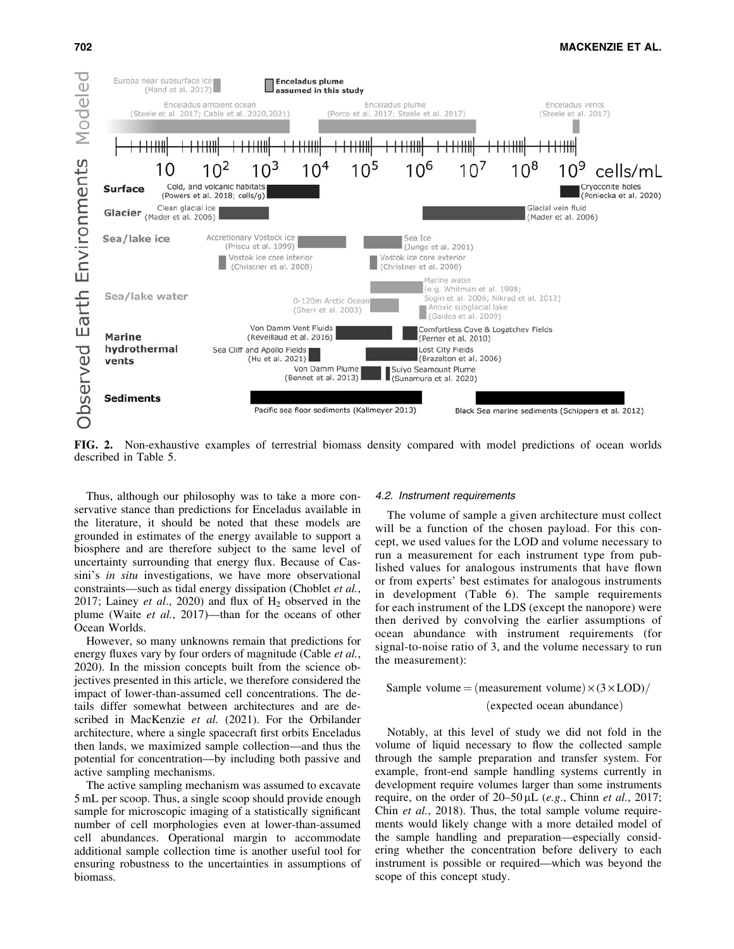

FIG. 2. Non-exhaustive examples of terrestrial biomass density compared with model predictions of ocean worlds described in Table 5.

Thus, although our philosophy was to take a more conservative stance than predictions for Enceladus available in the literature, it should be noted that these models are grounded in estimates of the energy available to support a biosphere and are therefore subject to the same level of uncertainty surrounding that energy flux. Because of Cassini's *in situ* investigations, we have more observational constraints—such as tidal energy dissipation (Choblet *et al.*, 2017; Lainey *et al.*, 2020) and flux of  $H_2$  observed in the plume (Waite *et al.*, 2017)—than for the oceans of other Ocean Worlds.

However, so many unknowns remain that predictions for energy fluxes vary by four orders of magnitude (Cable *et al.*, 2020). In the mission concepts built from the science objectives presented in this article, we therefore considered the impact of lower-than-assumed cell concentrations. The details differ somewhat between architectures and are described in MacKenzie *et al.* (2021). For the Orbilander architecture, where a single spacecraft first orbits Enceladus then lands, we maximized sample collection—and thus the potential for concentration—by including both passive and active sampling mechanisms.

The active sampling mechanism was assumed to excavate 5 mL per scoop. Thus, a single scoop should provide enough sample for microscopic imaging of a statistically significant number of cell morphologies even at lower-than-assumed cell abundances. Operational margin to accommodate additional sample collection time is another useful tool for ensuring robustness to the uncertainties in assumptions of biomass.

#### 4.2. Instrument requirements

The volume of sample a given architecture must collect will be a function of the chosen payload. For this concept, we used values for the LOD and volume necessary to run a measurement for each instrument type from published values for analogous instruments that have flown or from experts' best estimates for analogous instruments in development (Table 6). The sample requirements for each instrument of the LDS (except the nanopore) were then derived by convolving the earlier assumptions of ocean abundance with instrument requirements (for signal-to-noise ratio of 3, and the volume necessary to run the measurement):

Sample volume = (measurement volume)  $\times$  (3  $\times$  LOD)/ (expected ocean abundance)

Notably, at this level of study we did not fold in the volume of liquid necessary to flow the collected sample through the sample preparation and transfer system. For example, front-end sample handling systems currently in development require volumes larger than some instruments require, on the order of 20–50 µL (*e.g.*, Chinn *et al.*, 2017; Chin *et al.*, 2018). Thus, the total sample volume requirements would likely change with a more detailed model of the sample handling and preparation—especially considering whether the concentration before delivery to each instrument is possible or required—which was beyond the scope of this concept study.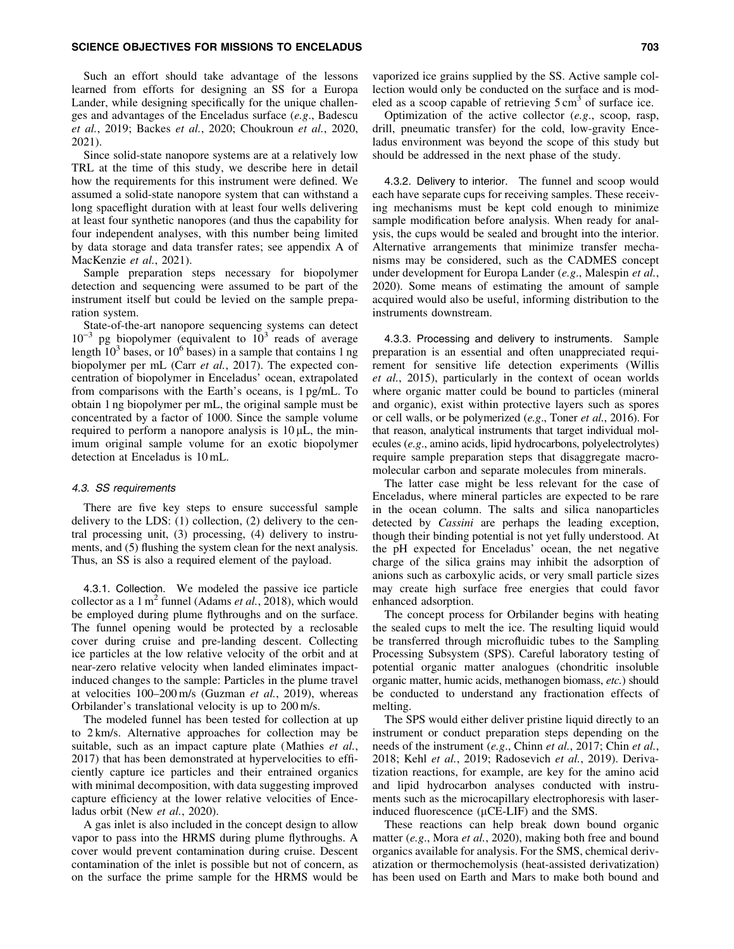Such an effort should take advantage of the lessons learned from efforts for designing an SS for a Europa Lander, while designing specifically for the unique challenges and advantages of the Enceladus surface (*e.g*., Badescu *et al.*, 2019; Backes *et al.*, 2020; Choukroun *et al.*, 2020, 2021).

Since solid-state nanopore systems are at a relatively low TRL at the time of this study, we describe here in detail how the requirements for this instrument were defined. We assumed a solid-state nanopore system that can withstand a long spaceflight duration with at least four wells delivering at least four synthetic nanopores (and thus the capability for four independent analyses, with this number being limited by data storage and data transfer rates; see appendix A of MacKenzie *et al.*, 2021).

Sample preparation steps necessary for biopolymer detection and sequencing were assumed to be part of the instrument itself but could be levied on the sample preparation system.

State-of-the-art nanopore sequencing systems can detect  $10^{-3}$  pg biopolymer (equivalent to  $10^{3}$  reads of average length  $10^3$  bases, or  $10^6$  bases) in a sample that contains 1 ng biopolymer per mL (Carr *et al.*, 2017). The expected concentration of biopolymer in Enceladus' ocean, extrapolated from comparisons with the Earth's oceans, is 1 pg/mL. To obtain 1 ng biopolymer per mL, the original sample must be concentrated by a factor of 1000. Since the sample volume required to perform a nanopore analysis is  $10 \mu L$ , the minimum original sample volume for an exotic biopolymer detection at Enceladus is 10 mL.

# 4.3. SS requirements

There are five key steps to ensure successful sample delivery to the LDS: (1) collection, (2) delivery to the central processing unit, (3) processing, (4) delivery to instruments, and (5) flushing the system clean for the next analysis. Thus, an SS is also a required element of the payload.

4.3.1. Collection. We modeled the passive ice particle collector as a  $1 \text{ m}^2$  funnel (Adams *et al.*, 2018), which would be employed during plume flythroughs and on the surface. The funnel opening would be protected by a reclosable cover during cruise and pre-landing descent. Collecting ice particles at the low relative velocity of the orbit and at near-zero relative velocity when landed eliminates impactinduced changes to the sample: Particles in the plume travel at velocities 100–200 m/s (Guzman *et al.*, 2019), whereas Orbilander's translational velocity is up to 200 m/s.

The modeled funnel has been tested for collection at up to 2 km/s. Alternative approaches for collection may be suitable, such as an impact capture plate (Mathies *et al.*, 2017) that has been demonstrated at hypervelocities to efficiently capture ice particles and their entrained organics with minimal decomposition, with data suggesting improved capture efficiency at the lower relative velocities of Enceladus orbit (New *et al.*, 2020).

A gas inlet is also included in the concept design to allow vapor to pass into the HRMS during plume flythroughs. A cover would prevent contamination during cruise. Descent contamination of the inlet is possible but not of concern, as on the surface the prime sample for the HRMS would be

vaporized ice grains supplied by the SS. Active sample collection would only be conducted on the surface and is modeled as a scoop capable of retrieving  $5 \text{ cm}^3$  of surface ice.

Optimization of the active collector (*e.g*., scoop, rasp, drill, pneumatic transfer) for the cold, low-gravity Enceladus environment was beyond the scope of this study but should be addressed in the next phase of the study.

4.3.2. Delivery to interior. The funnel and scoop would each have separate cups for receiving samples. These receiving mechanisms must be kept cold enough to minimize sample modification before analysis. When ready for analysis, the cups would be sealed and brought into the interior. Alternative arrangements that minimize transfer mechanisms may be considered, such as the CADMES concept under development for Europa Lander (*e.g*., Malespin *et al.*, 2020). Some means of estimating the amount of sample acquired would also be useful, informing distribution to the instruments downstream.

4.3.3. Processing and delivery to instruments. Sample preparation is an essential and often unappreciated requirement for sensitive life detection experiments (Willis *et al.*, 2015), particularly in the context of ocean worlds where organic matter could be bound to particles (mineral and organic), exist within protective layers such as spores or cell walls, or be polymerized (*e.g*., Toner *et al.*, 2016). For that reason, analytical instruments that target individual molecules (*e.g*., amino acids, lipid hydrocarbons, polyelectrolytes) require sample preparation steps that disaggregate macromolecular carbon and separate molecules from minerals.

The latter case might be less relevant for the case of Enceladus, where mineral particles are expected to be rare in the ocean column. The salts and silica nanoparticles detected by *Cassini* are perhaps the leading exception, though their binding potential is not yet fully understood. At the pH expected for Enceladus' ocean, the net negative charge of the silica grains may inhibit the adsorption of anions such as carboxylic acids, or very small particle sizes may create high surface free energies that could favor enhanced adsorption.

The concept process for Orbilander begins with heating the sealed cups to melt the ice. The resulting liquid would be transferred through microfluidic tubes to the Sampling Processing Subsystem (SPS). Careful laboratory testing of potential organic matter analogues (chondritic insoluble organic matter, humic acids, methanogen biomass, *etc.*) should be conducted to understand any fractionation effects of melting.

The SPS would either deliver pristine liquid directly to an instrument or conduct preparation steps depending on the needs of the instrument (*e.g*., Chinn *et al.*, 2017; Chin *et al.*, 2018; Kehl *et al.*, 2019; Radosevich *et al.*, 2019). Derivatization reactions, for example, are key for the amino acid and lipid hydrocarbon analyses conducted with instruments such as the microcapillary electrophoresis with laserinduced fluorescence  $(\mu$ CE-LIF) and the SMS.

These reactions can help break down bound organic matter (*e.g*., Mora *et al.*, 2020), making both free and bound organics available for analysis. For the SMS, chemical derivatization or thermochemolysis (heat-assisted derivatization) has been used on Earth and Mars to make both bound and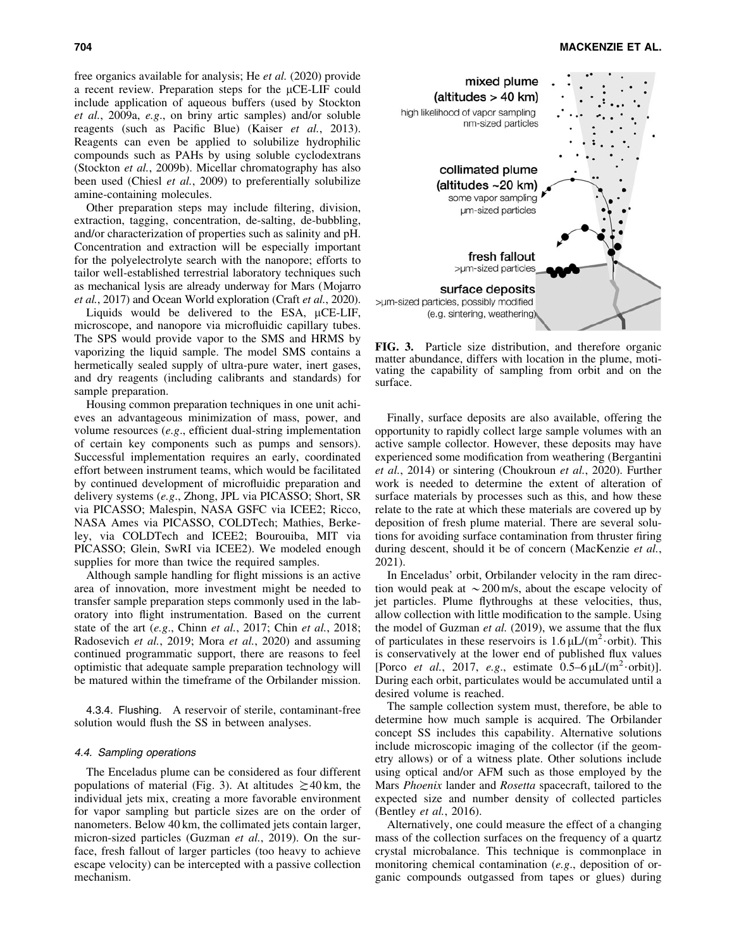free organics available for analysis; He *et al.* (2020) provide a recent review. Preparation steps for the  $\mu$ CE-LIF could include application of aqueous buffers (used by Stockton *et al.*, 2009a, *e.g*., on briny artic samples) and/or soluble reagents (such as Pacific Blue) (Kaiser *et al.*, 2013). Reagents can even be applied to solubilize hydrophilic compounds such as PAHs by using soluble cyclodextrans (Stockton *et al.*, 2009b). Micellar chromatography has also been used (Chiesl *et al.*, 2009) to preferentially solubilize amine-containing molecules.

Other preparation steps may include filtering, division, extraction, tagging, concentration, de-salting, de-bubbling, and/or characterization of properties such as salinity and pH. Concentration and extraction will be especially important for the polyelectrolyte search with the nanopore; efforts to tailor well-established terrestrial laboratory techniques such as mechanical lysis are already underway for Mars (Mojarro *et al.*, 2017) and Ocean World exploration (Craft *et al.*, 2020).

Liquids would be delivered to the ESA,  $\mu$ CE-LIF, microscope, and nanopore via microfluidic capillary tubes. The SPS would provide vapor to the SMS and HRMS by vaporizing the liquid sample. The model SMS contains a hermetically sealed supply of ultra-pure water, inert gases, and dry reagents (including calibrants and standards) for sample preparation.

Housing common preparation techniques in one unit achieves an advantageous minimization of mass, power, and volume resources (*e.g*., efficient dual-string implementation of certain key components such as pumps and sensors). Successful implementation requires an early, coordinated effort between instrument teams, which would be facilitated by continued development of microfluidic preparation and delivery systems (*e.g*., Zhong, JPL via PICASSO; Short, SR via PICASSO; Malespin, NASA GSFC via ICEE2; Ricco, NASA Ames via PICASSO, COLDTech; Mathies, Berkeley, via COLDTech and ICEE2; Bourouiba, MIT via PICASSO; Glein, SwRI via ICEE2). We modeled enough supplies for more than twice the required samples.

Although sample handling for flight missions is an active area of innovation, more investment might be needed to transfer sample preparation steps commonly used in the laboratory into flight instrumentation. Based on the current state of the art (*e.g*., Chinn *et al.*, 2017; Chin *et al.*, 2018; Radosevich *et al.*, 2019; Mora *et al.*, 2020) and assuming continued programmatic support, there are reasons to feel optimistic that adequate sample preparation technology will be matured within the timeframe of the Orbilander mission.

4.3.4. Flushing. A reservoir of sterile, contaminant-free solution would flush the SS in between analyses.

# 4.4. Sampling operations

The Enceladus plume can be considered as four different populations of material (Fig. 3). At altitudes  $\geq 40$  km, the individual jets mix, creating a more favorable environment for vapor sampling but particle sizes are on the order of nanometers. Below 40 km, the collimated jets contain larger, micron-sized particles (Guzman *et al.*, 2019). On the surface, fresh fallout of larger particles (too heavy to achieve escape velocity) can be intercepted with a passive collection mechanism.



FIG. 3. Particle size distribution, and therefore organic matter abundance, differs with location in the plume, motivating the capability of sampling from orbit and on the surface.

Finally, surface deposits are also available, offering the opportunity to rapidly collect large sample volumes with an active sample collector. However, these deposits may have experienced some modification from weathering (Bergantini *et al.*, 2014) or sintering (Choukroun *et al.*, 2020). Further work is needed to determine the extent of alteration of surface materials by processes such as this, and how these relate to the rate at which these materials are covered up by deposition of fresh plume material. There are several solutions for avoiding surface contamination from thruster firing during descent, should it be of concern (MacKenzie *et al.*, 2021).

In Enceladus' orbit, Orbilander velocity in the ram direction would peak at  $\sim 200$  m/s, about the escape velocity of jet particles. Plume flythroughs at these velocities, thus, allow collection with little modification to the sample. Using the model of Guzman *et al.* (2019), we assume that the flux of particulates in these reservoirs is  $1.6 \mu L/(m^2 \cdot \text{orbit})$ . This is conservatively at the lower end of published flux values [Porco *et al.*, 2017, *e.g.*, estimate  $0.5-6 \mu L/(m^2 \cdot \text{orbit})$ ]. During each orbit, particulates would be accumulated until a desired volume is reached.

The sample collection system must, therefore, be able to determine how much sample is acquired. The Orbilander concept SS includes this capability. Alternative solutions include microscopic imaging of the collector (if the geometry allows) or of a witness plate. Other solutions include using optical and/or AFM such as those employed by the Mars *Phoenix* lander and *Rosetta* spacecraft, tailored to the expected size and number density of collected particles (Bentley *et al.*, 2016).

Alternatively, one could measure the effect of a changing mass of the collection surfaces on the frequency of a quartz crystal microbalance. This technique is commonplace in monitoring chemical contamination (*e.g*., deposition of organic compounds outgassed from tapes or glues) during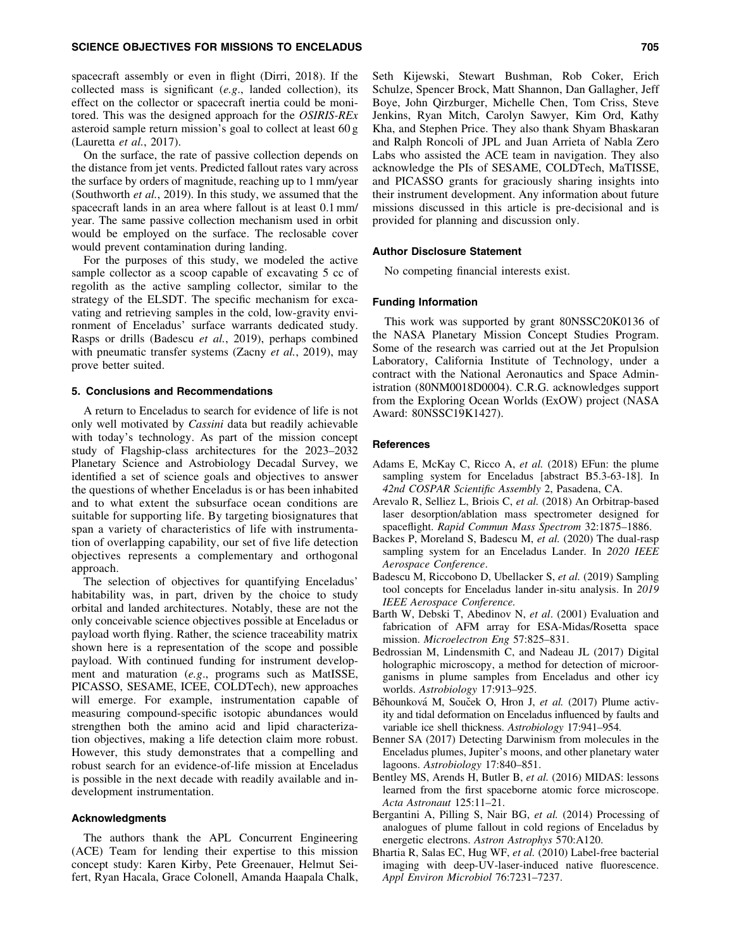spacecraft assembly or even in flight (Dirri, 2018). If the collected mass is significant (*e.g*., landed collection), its effect on the collector or spacecraft inertia could be monitored. This was the designed approach for the *OSIRIS-REx* asteroid sample return mission's goal to collect at least 60 g (Lauretta *et al.*, 2017).

On the surface, the rate of passive collection depends on the distance from jet vents. Predicted fallout rates vary across the surface by orders of magnitude, reaching up to 1 mm/year (Southworth *et al.*, 2019). In this study, we assumed that the spacecraft lands in an area where fallout is at least 0.1 mm/ year. The same passive collection mechanism used in orbit would be employed on the surface. The reclosable cover would prevent contamination during landing.

For the purposes of this study, we modeled the active sample collector as a scoop capable of excavating 5 cc of regolith as the active sampling collector, similar to the strategy of the ELSDT. The specific mechanism for excavating and retrieving samples in the cold, low-gravity environment of Enceladus' surface warrants dedicated study. Rasps or drills (Badescu *et al.*, 2019), perhaps combined with pneumatic transfer systems (Zacny *et al.*, 2019), may prove better suited.

#### 5. Conclusions and Recommendations

A return to Enceladus to search for evidence of life is not only well motivated by *Cassini* data but readily achievable with today's technology. As part of the mission concept study of Flagship-class architectures for the 2023–2032 Planetary Science and Astrobiology Decadal Survey, we identified a set of science goals and objectives to answer the questions of whether Enceladus is or has been inhabited and to what extent the subsurface ocean conditions are suitable for supporting life. By targeting biosignatures that span a variety of characteristics of life with instrumentation of overlapping capability, our set of five life detection objectives represents a complementary and orthogonal approach.

The selection of objectives for quantifying Enceladus' habitability was, in part, driven by the choice to study orbital and landed architectures. Notably, these are not the only conceivable science objectives possible at Enceladus or payload worth flying. Rather, the science traceability matrix shown here is a representation of the scope and possible payload. With continued funding for instrument development and maturation (*e.g*., programs such as MatISSE, PICASSO, SESAME, ICEE, COLDTech), new approaches will emerge. For example, instrumentation capable of measuring compound-specific isotopic abundances would strengthen both the amino acid and lipid characterization objectives, making a life detection claim more robust. However, this study demonstrates that a compelling and robust search for an evidence-of-life mission at Enceladus is possible in the next decade with readily available and indevelopment instrumentation.

#### Acknowledgments

The authors thank the APL Concurrent Engineering (ACE) Team for lending their expertise to this mission concept study: Karen Kirby, Pete Greenauer, Helmut Seifert, Ryan Hacala, Grace Colonell, Amanda Haapala Chalk, Seth Kijewski, Stewart Bushman, Rob Coker, Erich Schulze, Spencer Brock, Matt Shannon, Dan Gallagher, Jeff Boye, John Qirzburger, Michelle Chen, Tom Criss, Steve Jenkins, Ryan Mitch, Carolyn Sawyer, Kim Ord, Kathy Kha, and Stephen Price. They also thank Shyam Bhaskaran and Ralph Roncoli of JPL and Juan Arrieta of Nabla Zero Labs who assisted the ACE team in navigation. They also acknowledge the PIs of SESAME, COLDTech, MaTISSE, and PICASSO grants for graciously sharing insights into their instrument development. Any information about future missions discussed in this article is pre-decisional and is provided for planning and discussion only.

#### Author Disclosure Statement

No competing financial interests exist.

# Funding Information

This work was supported by grant 80NSSC20K0136 of the NASA Planetary Mission Concept Studies Program. Some of the research was carried out at the Jet Propulsion Laboratory, California Institute of Technology, under a contract with the National Aeronautics and Space Administration (80NM0018D0004). C.R.G. acknowledges support from the Exploring Ocean Worlds (ExOW) project (NASA Award: 80NSSC19K1427).

## References

- Adams E, McKay C, Ricco A, *et al.* (2018) EFun: the plume sampling system for Enceladus [abstract B5.3-63-18]. In *42nd COSPAR Scientific Assembly* 2, Pasadena, CA.
- Arevalo R, Selliez L, Briois C, *et al.* (2018) An Orbitrap-based laser desorption/ablation mass spectrometer designed for spaceflight. *Rapid Commun Mass Spectrom* 32:1875–1886.
- Backes P, Moreland S, Badescu M, *et al.* (2020) The dual-rasp sampling system for an Enceladus Lander. In *2020 IEEE Aerospace Conference*.
- Badescu M, Riccobono D, Ubellacker S, *et al.* (2019) Sampling tool concepts for Enceladus lander in-situ analysis. In *2019 IEEE Aerospace Conference.*
- Barth W, Debski T, Abedinov N, *et al*. (2001) Evaluation and fabrication of AFM array for ESA-Midas/Rosetta space mission. *Microelectron Eng* 57:825–831.
- Bedrossian M, Lindensmith C, and Nadeau JL (2017) Digital holographic microscopy, a method for detection of microorganisms in plume samples from Enceladus and other icy worlds. *Astrobiology* 17:913–925.
- Běhounková M, Souček O, Hron J, et al. (2017) Plume activity and tidal deformation on Enceladus influenced by faults and variable ice shell thickness. *Astrobiology* 17:941–954.
- Benner SA (2017) Detecting Darwinism from molecules in the Enceladus plumes, Jupiter's moons, and other planetary water lagoons. *Astrobiology* 17:840–851.
- Bentley MS, Arends H, Butler B, *et al.* (2016) MIDAS: lessons learned from the first spaceborne atomic force microscope. *Acta Astronaut* 125:11–21.
- Bergantini A, Pilling S, Nair BG, *et al.* (2014) Processing of analogues of plume fallout in cold regions of Enceladus by energetic electrons. *Astron Astrophys* 570:A120.
- Bhartia R, Salas EC, Hug WF, *et al.* (2010) Label-free bacterial imaging with deep-UV-laser-induced native fluorescence. *Appl Environ Microbiol* 76:7231–7237.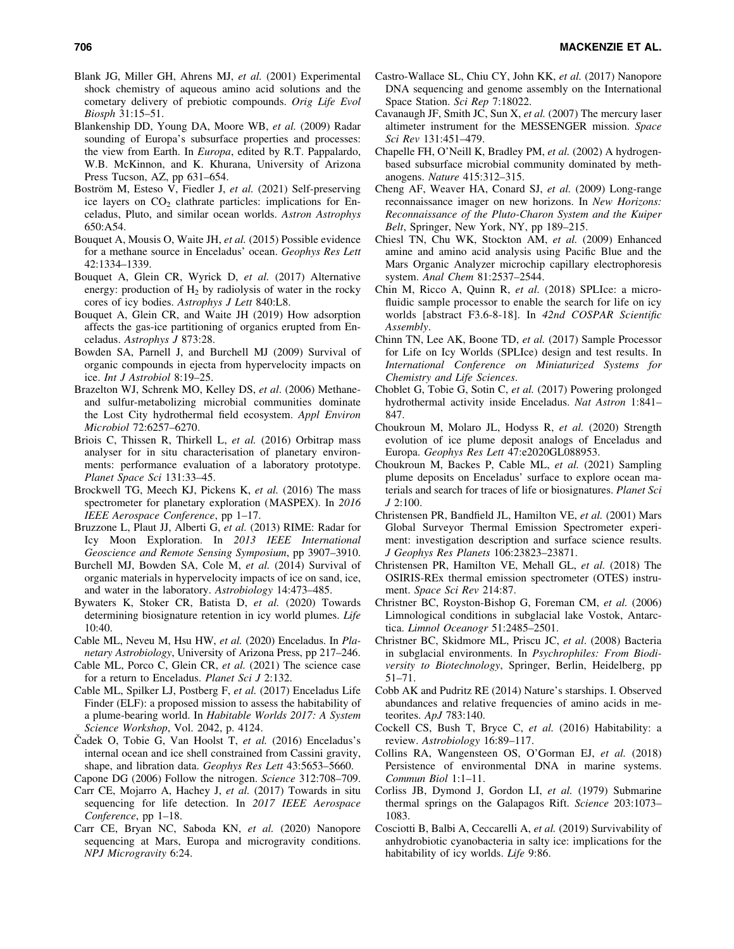- Blank JG, Miller GH, Ahrens MJ, *et al.* (2001) Experimental shock chemistry of aqueous amino acid solutions and the cometary delivery of prebiotic compounds. *Orig Life Evol Biosph* 31:15–51.
- Blankenship DD, Young DA, Moore WB, *et al.* (2009) Radar sounding of Europa's subsurface properties and processes: the view from Earth. In *Europa*, edited by R.T. Pappalardo, W.B. McKinnon, and K. Khurana, University of Arizona Press Tucson, AZ, pp 631–654.
- Boström M, Esteso V, Fiedler J, et al. (2021) Self-preserving ice layers on  $CO<sub>2</sub>$  clathrate particles: implications for Enceladus, Pluto, and similar ocean worlds. *Astron Astrophys* 650:A54.
- Bouquet A, Mousis O, Waite JH, *et al.* (2015) Possible evidence for a methane source in Enceladus' ocean. *Geophys Res Lett* 42:1334–1339.
- Bouquet A, Glein CR, Wyrick D, *et al.* (2017) Alternative energy: production of  $H_2$  by radiolysis of water in the rocky cores of icy bodies. *Astrophys J Lett* 840:L8.
- Bouquet A, Glein CR, and Waite JH (2019) How adsorption affects the gas-ice partitioning of organics erupted from Enceladus. *Astrophys J* 873:28.
- Bowden SA, Parnell J, and Burchell MJ (2009) Survival of organic compounds in ejecta from hypervelocity impacts on ice. *Int J Astrobiol* 8:19–25.
- Brazelton WJ, Schrenk MO, Kelley DS, *et al*. (2006) Methaneand sulfur-metabolizing microbial communities dominate the Lost City hydrothermal field ecosystem. *Appl Environ Microbiol* 72:6257–6270.
- Briois C, Thissen R, Thirkell L, *et al.* (2016) Orbitrap mass analyser for in situ characterisation of planetary environments: performance evaluation of a laboratory prototype. *Planet Space Sci* 131:33–45.
- Brockwell TG, Meech KJ, Pickens K, *et al.* (2016) The mass spectrometer for planetary exploration (MASPEX). In *2016 IEEE Aerospace Conference*, pp 1–17.
- Bruzzone L, Plaut JJ, Alberti G, *et al.* (2013) RIME: Radar for Icy Moon Exploration. In *2013 IEEE International Geoscience and Remote Sensing Symposium*, pp 3907–3910.
- Burchell MJ, Bowden SA, Cole M, *et al.* (2014) Survival of organic materials in hypervelocity impacts of ice on sand, ice, and water in the laboratory. *Astrobiology* 14:473–485.
- Bywaters K, Stoker CR, Batista D, *et al.* (2020) Towards determining biosignature retention in icy world plumes. *Life* 10:40.
- Cable ML, Neveu M, Hsu HW, *et al.* (2020) Enceladus. In *Planetary Astrobiology*, University of Arizona Press, pp 217–246.
- Cable ML, Porco C, Glein CR, *et al.* (2021) The science case for a return to Enceladus. *Planet Sci J* 2:132.
- Cable ML, Spilker LJ, Postberg F, *et al.* (2017) Enceladus Life Finder (ELF): a proposed mission to assess the habitability of a plume-bearing world. In *Habitable Worlds 2017: A System Science Workshop*, Vol. 2042, p. 4124.
- Cadek O, Tobie G, Van Hoolst T, *et al.* (2016) Enceladus's internal ocean and ice shell constrained from Cassini gravity, shape, and libration data. *Geophys Res Lett* 43:5653–5660.
- Capone DG (2006) Follow the nitrogen. *Science* 312:708–709.
- Carr CE, Mojarro A, Hachey J, *et al.* (2017) Towards in situ sequencing for life detection. In *2017 IEEE Aerospace Conference*, pp 1–18.
- Carr CE, Bryan NC, Saboda KN, *et al.* (2020) Nanopore sequencing at Mars, Europa and microgravity conditions. *NPJ Microgravity* 6:24.
- Castro-Wallace SL, Chiu CY, John KK, *et al.* (2017) Nanopore DNA sequencing and genome assembly on the International Space Station. *Sci Rep* 7:18022.
- Cavanaugh JF, Smith JC, Sun X, *et al.* (2007) The mercury laser altimeter instrument for the MESSENGER mission. *Space Sci Rev* 131:451–479.
- Chapelle FH, O'Neill K, Bradley PM, *et al.* (2002) A hydrogenbased subsurface microbial community dominated by methanogens. *Nature* 415:312–315.
- Cheng AF, Weaver HA, Conard SJ, *et al.* (2009) Long-range reconnaissance imager on new horizons. In *New Horizons: Reconnaissance of the Pluto-Charon System and the Kuiper Belt*, Springer, New York, NY, pp 189–215.
- Chiesl TN, Chu WK, Stockton AM, *et al.* (2009) Enhanced amine and amino acid analysis using Pacific Blue and the Mars Organic Analyzer microchip capillary electrophoresis system. *Anal Chem* 81:2537–2544.
- Chin M, Ricco A, Quinn R, *et al.* (2018) SPLIce: a microfluidic sample processor to enable the search for life on icy worlds [abstract F3.6-8-18]. In *42nd COSPAR Scientific Assembly*.
- Chinn TN, Lee AK, Boone TD, *et al.* (2017) Sample Processor for Life on Icy Worlds (SPLIce) design and test results. In *International Conference on Miniaturized Systems for Chemistry and Life Sciences*.
- Choblet G, Tobie G, Sotin C, *et al.* (2017) Powering prolonged hydrothermal activity inside Enceladus. *Nat Astron* 1:841– 847.
- Choukroun M, Molaro JL, Hodyss R, *et al.* (2020) Strength evolution of ice plume deposit analogs of Enceladus and Europa. *Geophys Res Lett* 47:e2020GL088953.
- Choukroun M, Backes P, Cable ML, *et al.* (2021) Sampling plume deposits on Enceladus' surface to explore ocean materials and search for traces of life or biosignatures. *Planet Sci J* 2:100.
- Christensen PR, Bandfield JL, Hamilton VE, *et al.* (2001) Mars Global Surveyor Thermal Emission Spectrometer experiment: investigation description and surface science results. *J Geophys Res Planets* 106:23823–23871.
- Christensen PR, Hamilton VE, Mehall GL, *et al.* (2018) The OSIRIS-REx thermal emission spectrometer (OTES) instrument. *Space Sci Rev* 214:87.
- Christner BC, Royston-Bishop G, Foreman CM, *et al.* (2006) Limnological conditions in subglacial lake Vostok, Antarctica. *Limnol Oceanogr* 51:2485–2501.
- Christner BC, Skidmore ML, Priscu JC, *et al*. (2008) Bacteria in subglacial environments. In *Psychrophiles: From Biodiversity to Biotechnology*, Springer, Berlin, Heidelberg, pp 51–71.
- Cobb AK and Pudritz RE (2014) Nature's starships. I. Observed abundances and relative frequencies of amino acids in meteorites. *ApJ* 783:140.
- Cockell CS, Bush T, Bryce C, *et al.* (2016) Habitability: a review. *Astrobiology* 16:89–117.
- Collins RA, Wangensteen OS, O'Gorman EJ, *et al.* (2018) Persistence of environmental DNA in marine systems. *Commun Biol* 1:1–11.
- Corliss JB, Dymond J, Gordon LI, *et al.* (1979) Submarine thermal springs on the Galapagos Rift. *Science* 203:1073– 1083.
- Cosciotti B, Balbi A, Ceccarelli A, *et al.* (2019) Survivability of anhydrobiotic cyanobacteria in salty ice: implications for the habitability of icy worlds. *Life* 9:86.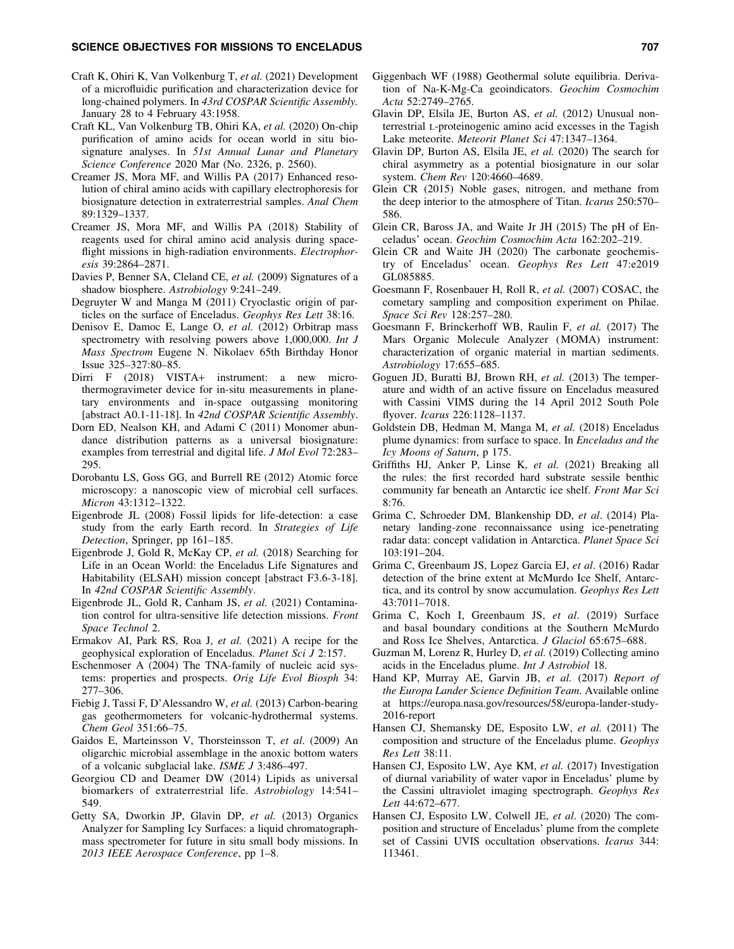- Craft K, Ohiri K, Van Volkenburg T, *et al.* (2021) Development of a microfluidic purification and characterization device for long-chained polymers. In *43rd COSPAR Scientific Assembly.* January 28 to 4 February 43:1958.
- Craft KL, Van Volkenburg TB, Ohiri KA, *et al.* (2020) On-chip purification of amino acids for ocean world in situ biosignature analyses. In *51st Annual Lunar and Planetary Science Conference* 2020 Mar (No. 2326, p. 2560).
- Creamer JS, Mora MF, and Willis PA (2017) Enhanced resolution of chiral amino acids with capillary electrophoresis for biosignature detection in extraterrestrial samples. *Anal Chem* 89:1329–1337.
- Creamer JS, Mora MF, and Willis PA (2018) Stability of reagents used for chiral amino acid analysis during spaceflight missions in high-radiation environments. *Electrophoresis* 39:2864–2871.
- Davies P, Benner SA, Cleland CE, *et al.* (2009) Signatures of a shadow biosphere. *Astrobiology* 9:241–249.
- Degruyter W and Manga M (2011) Cryoclastic origin of particles on the surface of Enceladus. *Geophys Res Lett* 38:16.
- Denisov E, Damoc E, Lange O, *et al.* (2012) Orbitrap mass spectrometry with resolving powers above 1,000,000. *Int J Mass Spectrom* Eugene N. Nikolaev 65th Birthday Honor Issue 325–327:80–85.
- Dirri F (2018) VISTA+ instrument: a new microthermogravimeter device for in-situ measurements in planetary environments and in-space outgassing monitoring [abstract A0.1-11-18]. In *42nd COSPAR Scientific Assembly*.
- Dorn ED, Nealson KH, and Adami C (2011) Monomer abundance distribution patterns as a universal biosignature: examples from terrestrial and digital life. *J Mol Evol* 72:283– 295.
- Dorobantu LS, Goss GG, and Burrell RE (2012) Atomic force microscopy: a nanoscopic view of microbial cell surfaces. *Micron* 43:1312–1322.
- Eigenbrode JL (2008) Fossil lipids for life-detection: a case study from the early Earth record. In *Strategies of Life Detection*, Springer, pp 161–185.
- Eigenbrode J, Gold R, McKay CP, *et al.* (2018) Searching for Life in an Ocean World: the Enceladus Life Signatures and Habitability (ELSAH) mission concept [abstract F3.6-3-18]. In *42nd COSPAR Scientific Assembly*.
- Eigenbrode JL, Gold R, Canham JS, *et al.* (2021) Contamination control for ultra-sensitive life detection missions. *Front Space Technol* 2.
- Ermakov AI, Park RS, Roa J, *et al.* (2021) A recipe for the geophysical exploration of Enceladus. *Planet Sci J* 2:157.
- Eschenmoser A (2004) The TNA-family of nucleic acid systems: properties and prospects. *Orig Life Evol Biosph* 34: 277–306.
- Fiebig J, Tassi F, D'Alessandro W, *et al.* (2013) Carbon-bearing gas geothermometers for volcanic-hydrothermal systems. *Chem Geol* 351:66–75.
- Gaidos E, Marteinsson V, Thorsteinsson T, *et al*. (2009) An oligarchic microbial assemblage in the anoxic bottom waters of a volcanic subglacial lake. *ISME J* 3:486–497.
- Georgiou CD and Deamer DW (2014) Lipids as universal biomarkers of extraterrestrial life. *Astrobiology* 14:541– 549.
- Getty SA, Dworkin JP, Glavin DP, *et al.* (2013) Organics Analyzer for Sampling Icy Surfaces: a liquid chromatographmass spectrometer for future in situ small body missions. In *2013 IEEE Aerospace Conference*, pp 1–8.
- Giggenbach WF (1988) Geothermal solute equilibria. Derivation of Na-K-Mg-Ca geoindicators. *Geochim Cosmochim Acta* 52:2749–2765.
- Glavin DP, Elsila JE, Burton AS, *et al.* (2012) Unusual nonterrestrial l-proteinogenic amino acid excesses in the Tagish Lake meteorite. *Meteorit Planet Sci* 47:1347–1364.
- Glavin DP, Burton AS, Elsila JE, *et al.* (2020) The search for chiral asymmetry as a potential biosignature in our solar system. *Chem Rev* 120:4660–4689.
- Glein CR (2015) Noble gases, nitrogen, and methane from the deep interior to the atmosphere of Titan. *Icarus* 250:570– 586.
- Glein CR, Baross JA, and Waite Jr JH (2015) The pH of Enceladus' ocean. *Geochim Cosmochim Acta* 162:202–219.
- Glein CR and Waite JH (2020) The carbonate geochemistry of Enceladus' ocean. *Geophys Res Lett* 47:e2019 GL085885.
- Goesmann F, Rosenbauer H, Roll R, *et al.* (2007) COSAC, the cometary sampling and composition experiment on Philae. *Space Sci Rev* 128:257–280.
- Goesmann F, Brinckerhoff WB, Raulin F, *et al.* (2017) The Mars Organic Molecule Analyzer (MOMA) instrument: characterization of organic material in martian sediments. *Astrobiology* 17:655–685.
- Goguen JD, Buratti BJ, Brown RH, *et al.* (2013) The temperature and width of an active fissure on Enceladus measured with Cassini VIMS during the 14 April 2012 South Pole flyover. *Icarus* 226:1128–1137.
- Goldstein DB, Hedman M, Manga M, *et al.* (2018) Enceladus plume dynamics: from surface to space. In *Enceladus and the Icy Moons of Saturn*, p 175.
- Griffiths HJ, Anker P, Linse K, *et al.* (2021) Breaking all the rules: the first recorded hard substrate sessile benthic community far beneath an Antarctic ice shelf. *Front Mar Sci* 8:76.
- Grima C, Schroeder DM, Blankenship DD, *et al*. (2014) Planetary landing-zone reconnaissance using ice-penetrating radar data: concept validation in Antarctica. *Planet Space Sci* 103:191–204.
- Grima C, Greenbaum JS, Lopez Garcia EJ, *et al*. (2016) Radar detection of the brine extent at McMurdo Ice Shelf, Antarctica, and its control by snow accumulation. *Geophys Res Lett* 43:7011–7018.
- Grima C, Koch I, Greenbaum JS, *et al*. (2019) Surface and basal boundary conditions at the Southern McMurdo and Ross Ice Shelves, Antarctica. *J Glaciol* 65:675–688.
- Guzman M, Lorenz R, Hurley D, *et al.* (2019) Collecting amino acids in the Enceladus plume. *Int J Astrobiol* 18.
- Hand KP, Murray AE, Garvin JB, *et al.* (2017) *Report of the Europa Lander Science Definition Team*. Available online at [https://europa.nasa.gov/resources/58/europa-lander-study-](https://europa.nasa.gov/resources/58/europa-lander-study-2016-report)[2016-report](https://europa.nasa.gov/resources/58/europa-lander-study-2016-report)
- Hansen CJ, Shemansky DE, Esposito LW, *et al.* (2011) The composition and structure of the Enceladus plume. *Geophys Res Lett* 38:11.
- Hansen CJ, Esposito LW, Aye KM, *et al.* (2017) Investigation of diurnal variability of water vapor in Enceladus' plume by the Cassini ultraviolet imaging spectrograph. *Geophys Res Lett* 44:672–677.
- Hansen CJ, Esposito LW, Colwell JE, *et al*. (2020) The composition and structure of Enceladus' plume from the complete set of Cassini UVIS occultation observations. *Icarus* 344: 113461.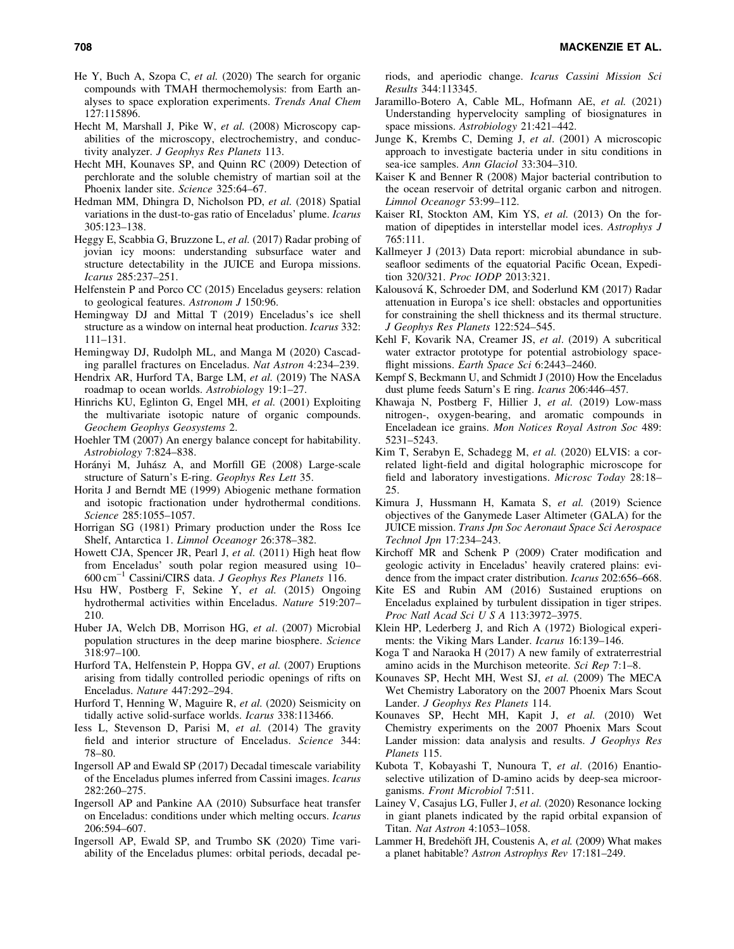- He Y, Buch A, Szopa C, *et al.* (2020) The search for organic compounds with TMAH thermochemolysis: from Earth analyses to space exploration experiments. *Trends Anal Chem* 127:115896.
- Hecht M, Marshall J, Pike W, *et al.* (2008) Microscopy capabilities of the microscopy, electrochemistry, and conductivity analyzer. *J Geophys Res Planets* 113.
- Hecht MH, Kounaves SP, and Quinn RC (2009) Detection of perchlorate and the soluble chemistry of martian soil at the Phoenix lander site. *Science* 325:64–67.
- Hedman MM, Dhingra D, Nicholson PD, *et al.* (2018) Spatial variations in the dust-to-gas ratio of Enceladus' plume. *Icarus* 305:123–138.
- Heggy E, Scabbia G, Bruzzone L, *et al.* (2017) Radar probing of jovian icy moons: understanding subsurface water and structure detectability in the JUICE and Europa missions. *Icarus* 285:237–251.
- Helfenstein P and Porco CC (2015) Enceladus geysers: relation to geological features. *Astronom J* 150:96.
- Hemingway DJ and Mittal T (2019) Enceladus's ice shell structure as a window on internal heat production. *Icarus* 332: 111–131.
- Hemingway DJ, Rudolph ML, and Manga M (2020) Cascading parallel fractures on Enceladus. *Nat Astron* 4:234–239.
- Hendrix AR, Hurford TA, Barge LM, *et al.* (2019) The NASA roadmap to ocean worlds. *Astrobiology* 19:1–27.
- Hinrichs KU, Eglinton G, Engel MH, *et al.* (2001) Exploiting the multivariate isotopic nature of organic compounds. *Geochem Geophys Geosystems* 2.
- Hoehler TM (2007) An energy balance concept for habitability. *Astrobiology* 7:824–838.
- Horányi M, Juhász A, and Morfill GE (2008) Large-scale structure of Saturn's E-ring. *Geophys Res Lett* 35.
- Horita J and Berndt ME (1999) Abiogenic methane formation and isotopic fractionation under hydrothermal conditions. *Science* 285:1055–1057.
- Horrigan SG (1981) Primary production under the Ross Ice Shelf, Antarctica 1. *Limnol Oceanogr* 26:378–382.
- Howett CJA, Spencer JR, Pearl J, *et al.* (2011) High heat flow from Enceladus' south polar region measured using 10– 600 cm-<sup>1</sup> Cassini/CIRS data. *J Geophys Res Planets* 116.
- Hsu HW, Postberg F, Sekine Y, *et al.* (2015) Ongoing hydrothermal activities within Enceladus. *Nature* 519:207– 210.
- Huber JA, Welch DB, Morrison HG, *et al*. (2007) Microbial population structures in the deep marine biosphere. *Science* 318:97–100.
- Hurford TA, Helfenstein P, Hoppa GV, *et al.* (2007) Eruptions arising from tidally controlled periodic openings of rifts on Enceladus. *Nature* 447:292–294.
- Hurford T, Henning W, Maguire R, *et al.* (2020) Seismicity on tidally active solid-surface worlds. *Icarus* 338:113466.
- Iess L, Stevenson D, Parisi M, *et al.* (2014) The gravity field and interior structure of Enceladus. *Science* 344: 78–80.
- Ingersoll AP and Ewald SP (2017) Decadal timescale variability of the Enceladus plumes inferred from Cassini images. *Icarus* 282:260–275.
- Ingersoll AP and Pankine AA (2010) Subsurface heat transfer on Enceladus: conditions under which melting occurs. *Icarus* 206:594–607.
- Ingersoll AP, Ewald SP, and Trumbo SK (2020) Time variability of the Enceladus plumes: orbital periods, decadal pe-

riods, and aperiodic change. *Icarus Cassini Mission Sci Results* 344:113345.

- Jaramillo-Botero A, Cable ML, Hofmann AE, *et al.* (2021) Understanding hypervelocity sampling of biosignatures in space missions. *Astrobiology* 21:421–442.
- Junge K, Krembs C, Deming J, *et al*. (2001) A microscopic approach to investigate bacteria under in situ conditions in sea-ice samples. *Ann Glaciol* 33:304–310.
- Kaiser K and Benner R (2008) Major bacterial contribution to the ocean reservoir of detrital organic carbon and nitrogen. *Limnol Oceanogr* 53:99–112.
- Kaiser RI, Stockton AM, Kim YS, *et al.* (2013) On the formation of dipeptides in interstellar model ices. *Astrophys J* 765:111.
- Kallmeyer J (2013) Data report: microbial abundance in subseafloor sediments of the equatorial Pacific Ocean, Expedition 320/321. *Proc IODP* 2013:321.
- Kalousová K, Schroeder DM, and Soderlund KM (2017) Radar attenuation in Europa's ice shell: obstacles and opportunities for constraining the shell thickness and its thermal structure. *J Geophys Res Planets* 122:524–545.
- Kehl F, Kovarik NA, Creamer JS, *et al*. (2019) A subcritical water extractor prototype for potential astrobiology spaceflight missions. *Earth Space Sci* 6:2443–2460.
- Kempf S, Beckmann U, and Schmidt J (2010) How the Enceladus dust plume feeds Saturn's E ring. *Icarus* 206:446–457.
- Khawaja N, Postberg F, Hillier J, *et al.* (2019) Low-mass nitrogen-, oxygen-bearing, and aromatic compounds in Enceladean ice grains. *Mon Notices Royal Astron Soc* 489: 5231–5243.
- Kim T, Serabyn E, Schadegg M, *et al.* (2020) ELVIS: a correlated light-field and digital holographic microscope for field and laboratory investigations. *Microsc Today* 28:18– 25.
- Kimura J, Hussmann H, Kamata S, *et al.* (2019) Science objectives of the Ganymede Laser Altimeter (GALA) for the JUICE mission. *Trans Jpn Soc Aeronaut Space Sci Aerospace Technol Jpn* 17:234–243.
- Kirchoff MR and Schenk P (2009) Crater modification and geologic activity in Enceladus' heavily cratered plains: evidence from the impact crater distribution. *Icarus* 202:656–668.
- Kite ES and Rubin AM (2016) Sustained eruptions on Enceladus explained by turbulent dissipation in tiger stripes. *Proc Natl Acad Sci U S A* 113:3972–3975.
- Klein HP, Lederberg J, and Rich A (1972) Biological experiments: the Viking Mars Lander. *Icarus* 16:139–146.
- Koga T and Naraoka H (2017) A new family of extraterrestrial amino acids in the Murchison meteorite. *Sci Rep* 7:1–8.
- Kounaves SP, Hecht MH, West SJ, *et al.* (2009) The MECA Wet Chemistry Laboratory on the 2007 Phoenix Mars Scout Lander. *J Geophys Res Planets* 114.
- Kounaves SP, Hecht MH, Kapit J, *et al.* (2010) Wet Chemistry experiments on the 2007 Phoenix Mars Scout Lander mission: data analysis and results. *J Geophys Res Planets* 115.
- Kubota T, Kobayashi T, Nunoura T, *et al*. (2016) Enantioselective utilization of D-amino acids by deep-sea microorganisms. *Front Microbiol* 7:511.
- Lainey V, Casajus LG, Fuller J, *et al.* (2020) Resonance locking in giant planets indicated by the rapid orbital expansion of Titan. *Nat Astron* 4:1053–1058.
- Lammer H, Bredehöft JH, Coustenis A, et al. (2009) What makes a planet habitable? *Astron Astrophys Rev* 17:181–249.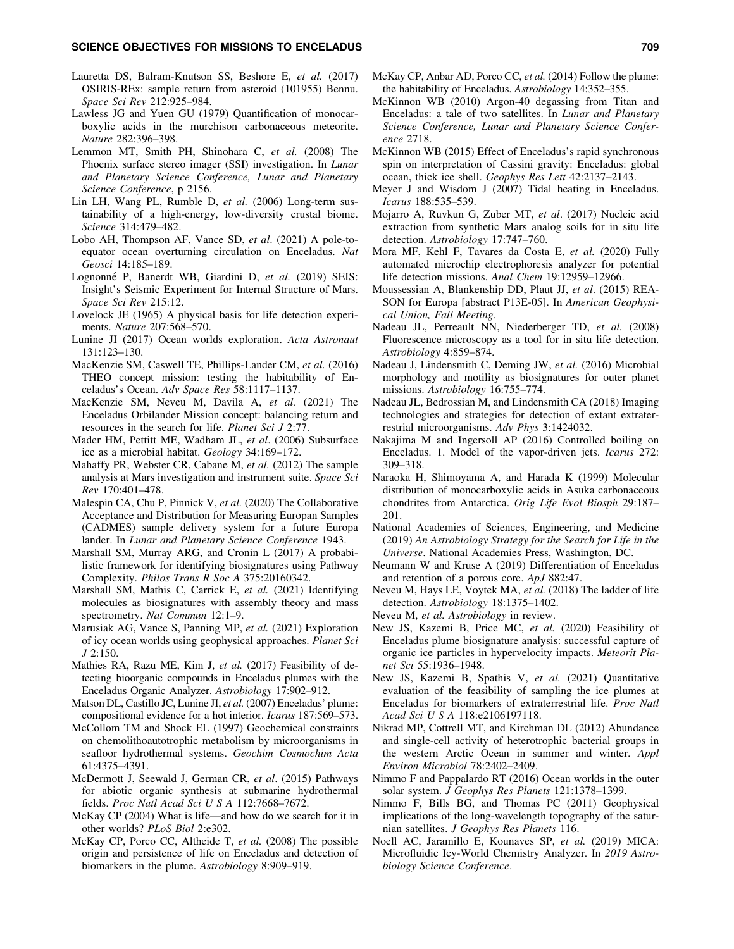- Lauretta DS, Balram-Knutson SS, Beshore E, *et al.* (2017) OSIRIS-REx: sample return from asteroid (101955) Bennu. *Space Sci Rev* 212:925–984.
- Lawless JG and Yuen GU (1979) Quantification of monocarboxylic acids in the murchison carbonaceous meteorite. *Nature* 282:396–398.
- Lemmon MT, Smith PH, Shinohara C, *et al.* (2008) The Phoenix surface stereo imager (SSI) investigation. In *Lunar and Planetary Science Conference, Lunar and Planetary Science Conference*, p 2156.
- Lin LH, Wang PL, Rumble D, *et al.* (2006) Long-term sustainability of a high-energy, low-diversity crustal biome. *Science* 314:479–482.
- Lobo AH, Thompson AF, Vance SD, *et al*. (2021) A pole-toequator ocean overturning circulation on Enceladus. *Nat Geosci* 14:185–189.
- Lognonné P, Banerdt WB, Giardini D, et al. (2019) SEIS: Insight's Seismic Experiment for Internal Structure of Mars. *Space Sci Rev* 215:12.
- Lovelock JE (1965) A physical basis for life detection experiments. *Nature* 207:568–570.
- Lunine JI (2017) Ocean worlds exploration. *Acta Astronaut* 131:123–130.
- MacKenzie SM, Caswell TE, Phillips-Lander CM, *et al.* (2016) THEO concept mission: testing the habitability of Enceladus's Ocean. *Adv Space Res* 58:1117–1137.
- MacKenzie SM, Neveu M, Davila A, *et al.* (2021) The Enceladus Orbilander Mission concept: balancing return and resources in the search for life. *Planet Sci J* 2:77.
- Mader HM, Pettitt ME, Wadham JL, *et al*. (2006) Subsurface ice as a microbial habitat. *Geology* 34:169–172.
- Mahaffy PR, Webster CR, Cabane M, *et al.* (2012) The sample analysis at Mars investigation and instrument suite. *Space Sci Rev* 170:401–478.
- Malespin CA, Chu P, Pinnick V, *et al.* (2020) The Collaborative Acceptance and Distribution for Measuring Europan Samples (CADMES) sample delivery system for a future Europa lander. In *Lunar and Planetary Science Conference* 1943.
- Marshall SM, Murray ARG, and Cronin L (2017) A probabilistic framework for identifying biosignatures using Pathway Complexity. *Philos Trans R Soc A* 375:20160342.
- Marshall SM, Mathis C, Carrick E, *et al.* (2021) Identifying molecules as biosignatures with assembly theory and mass spectrometry. *Nat Commun* 12:1–9.
- Marusiak AG, Vance S, Panning MP, *et al.* (2021) Exploration of icy ocean worlds using geophysical approaches. *Planet Sci J* 2:150.
- Mathies RA, Razu ME, Kim J, *et al.* (2017) Feasibility of detecting bioorganic compounds in Enceladus plumes with the Enceladus Organic Analyzer. *Astrobiology* 17:902–912.
- Matson DL, Castillo JC, Lunine JI, *et al.*(2007) Enceladus' plume: compositional evidence for a hot interior. *Icarus* 187:569–573.
- McCollom TM and Shock EL (1997) Geochemical constraints on chemolithoautotrophic metabolism by microorganisms in seafloor hydrothermal systems. *Geochim Cosmochim Acta* 61:4375–4391.
- McDermott J, Seewald J, German CR, *et al*. (2015) Pathways for abiotic organic synthesis at submarine hydrothermal fields. *Proc Natl Acad Sci U S A* 112:7668–7672.
- McKay CP (2004) What is life—and how do we search for it in other worlds? *PLoS Biol* 2:e302.
- McKay CP, Porco CC, Altheide T, *et al.* (2008) The possible origin and persistence of life on Enceladus and detection of biomarkers in the plume. *Astrobiology* 8:909–919.
- McKay CP, Anbar AD, Porco CC, *et al.* (2014) Follow the plume: the habitability of Enceladus. *Astrobiology* 14:352–355.
- McKinnon WB (2010) Argon-40 degassing from Titan and Enceladus: a tale of two satellites. In *Lunar and Planetary Science Conference, Lunar and Planetary Science Conference* 2718.
- McKinnon WB (2015) Effect of Enceladus's rapid synchronous spin on interpretation of Cassini gravity: Enceladus: global ocean, thick ice shell. *Geophys Res Lett* 42:2137–2143.
- Meyer J and Wisdom J (2007) Tidal heating in Enceladus. *Icarus* 188:535–539.
- Mojarro A, Ruvkun G, Zuber MT, *et al*. (2017) Nucleic acid extraction from synthetic Mars analog soils for in situ life detection. *Astrobiology* 17:747–760.
- Mora MF, Kehl F, Tavares da Costa E, *et al.* (2020) Fully automated microchip electrophoresis analyzer for potential life detection missions. *Anal Chem* 19:12959–12966.
- Moussessian A, Blankenship DD, Plaut JJ, *et al*. (2015) REA-SON for Europa [abstract P13E-05]. In *American Geophysical Union, Fall Meeting*.
- Nadeau JL, Perreault NN, Niederberger TD, *et al.* (2008) Fluorescence microscopy as a tool for in situ life detection. *Astrobiology* 4:859–874.
- Nadeau J, Lindensmith C, Deming JW, *et al.* (2016) Microbial morphology and motility as biosignatures for outer planet missions. *Astrobiology* 16:755–774.
- Nadeau JL, Bedrossian M, and Lindensmith CA (2018) Imaging technologies and strategies for detection of extant extraterrestrial microorganisms. *Adv Phys* 3:1424032.
- Nakajima M and Ingersoll AP (2016) Controlled boiling on Enceladus. 1. Model of the vapor-driven jets. *Icarus* 272: 309–318.
- Naraoka H, Shimoyama A, and Harada K (1999) Molecular distribution of monocarboxylic acids in Asuka carbonaceous chondrites from Antarctica. *Orig Life Evol Biosph* 29:187– 201.
- National Academies of Sciences, Engineering, and Medicine (2019) *An Astrobiology Strategy for the Search for Life in the Universe*. National Academies Press, Washington, DC.
- Neumann W and Kruse A (2019) Differentiation of Enceladus and retention of a porous core. *ApJ* 882:47.
- Neveu M, Hays LE, Voytek MA, *et al.* (2018) The ladder of life detection. *Astrobiology* 18:1375–1402.
- Neveu M, *et al. Astrobiology* in review.
- New JS, Kazemi B, Price MC, *et al.* (2020) Feasibility of Enceladus plume biosignature analysis: successful capture of organic ice particles in hypervelocity impacts. *Meteorit Planet Sci* 55:1936–1948.
- New JS, Kazemi B, Spathis V, *et al.* (2021) Quantitative evaluation of the feasibility of sampling the ice plumes at Enceladus for biomarkers of extraterrestrial life. *Proc Natl Acad Sci U S A* 118:e2106197118.
- Nikrad MP, Cottrell MT, and Kirchman DL (2012) Abundance and single-cell activity of heterotrophic bacterial groups in the western Arctic Ocean in summer and winter. *Appl Environ Microbiol* 78:2402–2409.
- Nimmo F and Pappalardo RT (2016) Ocean worlds in the outer solar system. *J Geophys Res Planets* 121:1378–1399.
- Nimmo F, Bills BG, and Thomas PC (2011) Geophysical implications of the long-wavelength topography of the saturnian satellites. *J Geophys Res Planets* 116.
- Noell AC, Jaramillo E, Kounaves SP, *et al.* (2019) MICA: Microfluidic Icy-World Chemistry Analyzer. In *2019 Astrobiology Science Conference*.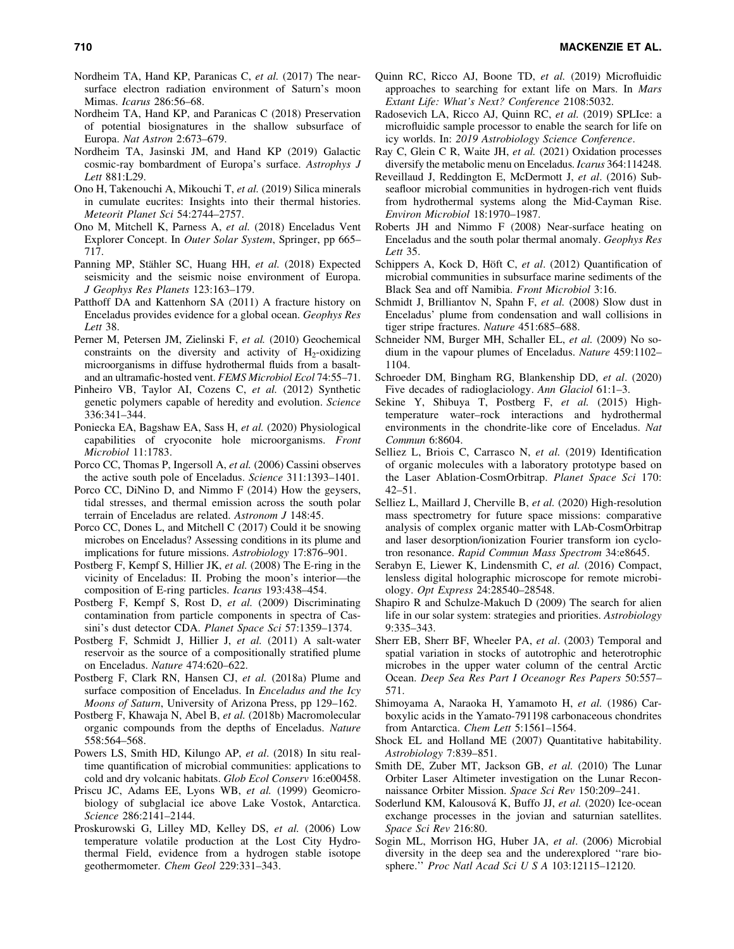- Nordheim TA, Hand KP, Paranicas C, *et al.* (2017) The nearsurface electron radiation environment of Saturn's moon Mimas. *Icarus* 286:56–68.
- Nordheim TA, Hand KP, and Paranicas C (2018) Preservation of potential biosignatures in the shallow subsurface of Europa. *Nat Astron* 2:673–679.
- Nordheim TA, Jasinski JM, and Hand KP (2019) Galactic cosmic-ray bombardment of Europa's surface. *Astrophys J Lett* 881:L29.
- Ono H, Takenouchi A, Mikouchi T, *et al.* (2019) Silica minerals in cumulate eucrites: Insights into their thermal histories. *Meteorit Planet Sci* 54:2744–2757.
- Ono M, Mitchell K, Parness A, *et al.* (2018) Enceladus Vent Explorer Concept. In *Outer Solar System*, Springer, pp 665– 717.
- Panning MP, Stähler SC, Huang HH, et al. (2018) Expected seismicity and the seismic noise environment of Europa. *J Geophys Res Planets* 123:163–179.
- Patthoff DA and Kattenhorn SA (2011) A fracture history on Enceladus provides evidence for a global ocean. *Geophys Res Lett* 38.
- Perner M, Petersen JM, Zielinski F, *et al.* (2010) Geochemical constraints on the diversity and activity of  $H_2$ -oxidizing microorganisms in diffuse hydrothermal fluids from a basaltand an ultramafic-hosted vent. *FEMS Microbiol Ecol* 74:55–71.
- Pinheiro VB, Taylor AI, Cozens C, *et al.* (2012) Synthetic genetic polymers capable of heredity and evolution. *Science* 336:341–344.
- Poniecka EA, Bagshaw EA, Sass H, *et al.* (2020) Physiological capabilities of cryoconite hole microorganisms. *Front Microbiol* 11:1783.
- Porco CC, Thomas P, Ingersoll A, *et al.* (2006) Cassini observes the active south pole of Enceladus. *Science* 311:1393–1401.
- Porco CC, DiNino D, and Nimmo F (2014) How the geysers, tidal stresses, and thermal emission across the south polar terrain of Enceladus are related. *Astronom J* 148:45.
- Porco CC, Dones L, and Mitchell C (2017) Could it be snowing microbes on Enceladus? Assessing conditions in its plume and implications for future missions. *Astrobiology* 17:876–901.
- Postberg F, Kempf S, Hillier JK, *et al.* (2008) The E-ring in the vicinity of Enceladus: II. Probing the moon's interior—the composition of E-ring particles. *Icarus* 193:438–454.
- Postberg F, Kempf S, Rost D, *et al.* (2009) Discriminating contamination from particle components in spectra of Cassini's dust detector CDA. *Planet Space Sci* 57:1359–1374.
- Postberg F, Schmidt J, Hillier J, *et al.* (2011) A salt-water reservoir as the source of a compositionally stratified plume on Enceladus. *Nature* 474:620–622.
- Postberg F, Clark RN, Hansen CJ, *et al.* (2018a) Plume and surface composition of Enceladus. In *Enceladus and the Icy Moons of Saturn*, University of Arizona Press, pp 129–162.
- Postberg F, Khawaja N, Abel B, *et al.* (2018b) Macromolecular organic compounds from the depths of Enceladus. *Nature* 558:564–568.
- Powers LS, Smith HD, Kilungo AP, *et al*. (2018) In situ realtime quantification of microbial communities: applications to cold and dry volcanic habitats. *Glob Ecol Conserv* 16:e00458.
- Priscu JC, Adams EE, Lyons WB, *et al.* (1999) Geomicrobiology of subglacial ice above Lake Vostok, Antarctica. *Science* 286:2141–2144.
- Proskurowski G, Lilley MD, Kelley DS, *et al.* (2006) Low temperature volatile production at the Lost City Hydrothermal Field, evidence from a hydrogen stable isotope geothermometer. *Chem Geol* 229:331–343.
- Quinn RC, Ricco AJ, Boone TD, *et al.* (2019) Microfluidic approaches to searching for extant life on Mars. In *Mars Extant Life: What's Next? Conference* 2108:5032.
- Radosevich LA, Ricco AJ, Quinn RC, *et al.* (2019) SPLIce: a microfluidic sample processor to enable the search for life on icy worlds. In: *2019 Astrobiology Science Conference*.
- Ray C, Glein C R, Waite JH, *et al.* (2021) Oxidation processes diversify the metabolic menu on Enceladus. *Icarus* 364:114248.
- Reveillaud J, Reddington E, McDermott J, *et al*. (2016) Subseafloor microbial communities in hydrogen-rich vent fluids from hydrothermal systems along the Mid-Cayman Rise. *Environ Microbiol* 18:1970–1987.
- Roberts JH and Nimmo F (2008) Near-surface heating on Enceladus and the south polar thermal anomaly. *Geophys Res Lett* 35.
- Schippers A, Kock D, Höft C, et al. (2012) Quantification of microbial communities in subsurface marine sediments of the Black Sea and off Namibia. *Front Microbiol* 3:16.
- Schmidt J, Brilliantov N, Spahn F, *et al.* (2008) Slow dust in Enceladus' plume from condensation and wall collisions in tiger stripe fractures. *Nature* 451:685–688.
- Schneider NM, Burger MH, Schaller EL, *et al.* (2009) No sodium in the vapour plumes of Enceladus. *Nature* 459:1102– 1104.
- Schroeder DM, Bingham RG, Blankenship DD, *et al*. (2020) Five decades of radioglaciology. *Ann Glaciol* 61:1–3.
- Sekine Y, Shibuya T, Postberg F, *et al.* (2015) Hightemperature water–rock interactions and hydrothermal environments in the chondrite-like core of Enceladus. *Nat Commun* 6:8604.
- Selliez L, Briois C, Carrasco N, *et al.* (2019) Identification of organic molecules with a laboratory prototype based on the Laser Ablation-CosmOrbitrap. *Planet Space Sci* 170: 42–51.
- Selliez L, Maillard J, Cherville B, *et al.* (2020) High-resolution mass spectrometry for future space missions: comparative analysis of complex organic matter with LAb-CosmOrbitrap and laser desorption/ionization Fourier transform ion cyclotron resonance. *Rapid Commun Mass Spectrom* 34:e8645.
- Serabyn E, Liewer K, Lindensmith C, *et al.* (2016) Compact, lensless digital holographic microscope for remote microbiology. *Opt Express* 24:28540–28548.
- Shapiro R and Schulze-Makuch D (2009) The search for alien life in our solar system: strategies and priorities. *Astrobiology* 9:335–343.
- Sherr EB, Sherr BF, Wheeler PA, *et al*. (2003) Temporal and spatial variation in stocks of autotrophic and heterotrophic microbes in the upper water column of the central Arctic Ocean. *Deep Sea Res Part I Oceanogr Res Papers* 50:557– 571.
- Shimoyama A, Naraoka H, Yamamoto H, *et al.* (1986) Carboxylic acids in the Yamato-791198 carbonaceous chondrites from Antarctica. *Chem Lett* 5:1561–1564.
- Shock EL and Holland ME (2007) Quantitative habitability. *Astrobiology* 7:839–851.
- Smith DE, Zuber MT, Jackson GB, *et al.* (2010) The Lunar Orbiter Laser Altimeter investigation on the Lunar Reconnaissance Orbiter Mission. *Space Sci Rev* 150:209–241.
- Soderlund KM, Kalousová K, Buffo JJ, *et al.* (2020) Ice-ocean exchange processes in the jovian and saturnian satellites. *Space Sci Rev* 216:80.
- Sogin ML, Morrison HG, Huber JA, *et al*. (2006) Microbial diversity in the deep sea and the underexplored ''rare biosphere.'' *Proc Natl Acad Sci U S A* 103:12115–12120.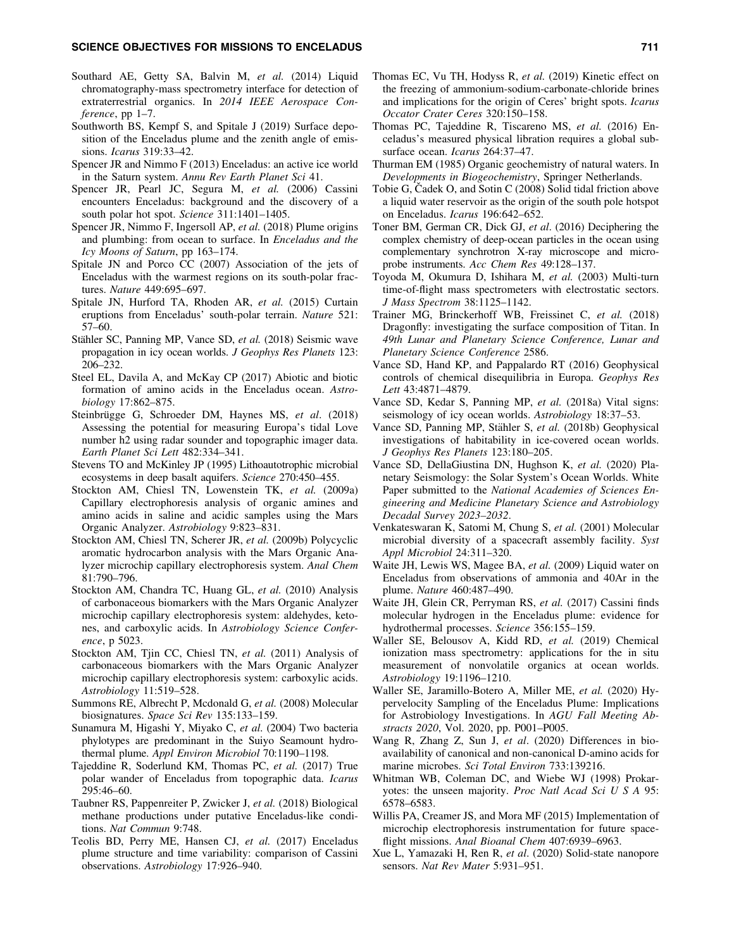#### SCIENCE OBJECTIVES FOR MISSIONS TO ENCELADUS 711 AND 2012 12:00 2013

- Southard AE, Getty SA, Balvin M, et al. (2014) Liquid chromatography-mass spectrometry interface for detection of extraterrestrial organics. In *2014 IEEE Aerospace Conference*, pp 1–7.
- Southworth BS, Kempf S, and Spitale J (2019) Surface deposition of the Enceladus plume and the zenith angle of emissions. *Icarus* 319:33–42.
- Spencer JR and Nimmo F (2013) Enceladus: an active ice world in the Saturn system. *Annu Rev Earth Planet Sci* 41.
- Spencer JR, Pearl JC, Segura M, *et al.* (2006) Cassini encounters Enceladus: background and the discovery of a south polar hot spot. *Science* 311:1401–1405.
- Spencer JR, Nimmo F, Ingersoll AP, *et al.* (2018) Plume origins and plumbing: from ocean to surface. In *Enceladus and the Icy Moons of Saturn*, pp 163–174.
- Spitale JN and Porco CC (2007) Association of the jets of Enceladus with the warmest regions on its south-polar fractures. *Nature* 449:695–697.
- Spitale JN, Hurford TA, Rhoden AR, *et al.* (2015) Curtain eruptions from Enceladus' south-polar terrain. *Nature* 521: 57–60.
- Stähler SC, Panning MP, Vance SD, et al. (2018) Seismic wave propagation in icy ocean worlds. *J Geophys Res Planets* 123: 206–232.
- Steel EL, Davila A, and McKay CP (2017) Abiotic and biotic formation of amino acids in the Enceladus ocean. *Astrobiology* 17:862–875.
- Steinbrügge G, Schroeder DM, Haynes MS, et al. (2018) Assessing the potential for measuring Europa's tidal Love number h2 using radar sounder and topographic imager data. *Earth Planet Sci Lett* 482:334–341.
- Stevens TO and McKinley JP (1995) Lithoautotrophic microbial ecosystems in deep basalt aquifers. *Science* 270:450–455.
- Stockton AM, Chiesl TN, Lowenstein TK, *et al.* (2009a) Capillary electrophoresis analysis of organic amines and amino acids in saline and acidic samples using the Mars Organic Analyzer. *Astrobiology* 9:823–831.
- Stockton AM, Chiesl TN, Scherer JR, *et al.* (2009b) Polycyclic aromatic hydrocarbon analysis with the Mars Organic Analyzer microchip capillary electrophoresis system. *Anal Chem* 81:790–796.
- Stockton AM, Chandra TC, Huang GL, *et al.* (2010) Analysis of carbonaceous biomarkers with the Mars Organic Analyzer microchip capillary electrophoresis system: aldehydes, ketones, and carboxylic acids. In *Astrobiology Science Conference*, p 5023.
- Stockton AM, Tjin CC, Chiesl TN, *et al.* (2011) Analysis of carbonaceous biomarkers with the Mars Organic Analyzer microchip capillary electrophoresis system: carboxylic acids. *Astrobiology* 11:519–528.
- Summons RE, Albrecht P, Mcdonald G, *et al.* (2008) Molecular biosignatures. *Space Sci Rev* 135:133–159.
- Sunamura M, Higashi Y, Miyako C, *et al*. (2004) Two bacteria phylotypes are predominant in the Suiyo Seamount hydrothermal plume. *Appl Environ Microbiol* 70:1190–1198.
- Tajeddine R, Soderlund KM, Thomas PC, *et al.* (2017) True polar wander of Enceladus from topographic data. *Icarus* 295:46–60.
- Taubner RS, Pappenreiter P, Zwicker J, *et al.* (2018) Biological methane productions under putative Enceladus-like conditions. *Nat Commun* 9:748.
- Teolis BD, Perry ME, Hansen CJ, *et al.* (2017) Enceladus plume structure and time variability: comparison of Cassini observations. *Astrobiology* 17:926–940.
- Thomas EC, Vu TH, Hodyss R, *et al.* (2019) Kinetic effect on the freezing of ammonium-sodium-carbonate-chloride brines and implications for the origin of Ceres' bright spots. *Icarus Occator Crater Ceres* 320:150–158.
- Thomas PC, Tajeddine R, Tiscareno MS, *et al.* (2016) Enceladus's measured physical libration requires a global subsurface ocean. *Icarus* 264:37–47.
- Thurman EM (1985) Organic geochemistry of natural waters. In *Developments in Biogeochemistry*, Springer Netherlands.
- Tobie G, Čadek O, and Sotin C (2008) Solid tidal friction above a liquid water reservoir as the origin of the south pole hotspot on Enceladus. *Icarus* 196:642–652.
- Toner BM, German CR, Dick GJ, *et al*. (2016) Deciphering the complex chemistry of deep-ocean particles in the ocean using complementary synchrotron X-ray microscope and microprobe instruments. *Acc Chem Res* 49:128–137.
- Toyoda M, Okumura D, Ishihara M, *et al.* (2003) Multi-turn time-of-flight mass spectrometers with electrostatic sectors. *J Mass Spectrom* 38:1125–1142.
- Trainer MG, Brinckerhoff WB, Freissinet C, *et al.* (2018) Dragonfly: investigating the surface composition of Titan. In *49th Lunar and Planetary Science Conference, Lunar and Planetary Science Conference* 2586.
- Vance SD, Hand KP, and Pappalardo RT (2016) Geophysical controls of chemical disequilibria in Europa. *Geophys Res Lett* 43:4871–4879.
- Vance SD, Kedar S, Panning MP, *et al.* (2018a) Vital signs: seismology of icy ocean worlds. *Astrobiology* 18:37–53.
- Vance SD, Panning MP, Stähler S, et al. (2018b) Geophysical investigations of habitability in ice-covered ocean worlds. *J Geophys Res Planets* 123:180–205.
- Vance SD, DellaGiustina DN, Hughson K, *et al.* (2020) Planetary Seismology: the Solar System's Ocean Worlds. White Paper submitted to the *National Academies of Sciences Engineering and Medicine Planetary Science and Astrobiology Decadal Survey 2023–2032*.
- Venkateswaran K, Satomi M, Chung S, *et al.* (2001) Molecular microbial diversity of a spacecraft assembly facility. *Syst Appl Microbiol* 24:311–320.
- Waite JH, Lewis WS, Magee BA, *et al.* (2009) Liquid water on Enceladus from observations of ammonia and 40Ar in the plume. *Nature* 460:487–490.
- Waite JH, Glein CR, Perryman RS, *et al.* (2017) Cassini finds molecular hydrogen in the Enceladus plume: evidence for hydrothermal processes. *Science* 356:155–159.
- Waller SE, Belousov A, Kidd RD, *et al.* (2019) Chemical ionization mass spectrometry: applications for the in situ measurement of nonvolatile organics at ocean worlds. *Astrobiology* 19:1196–1210.
- Waller SE, Jaramillo-Botero A, Miller ME, *et al.* (2020) Hypervelocity Sampling of the Enceladus Plume: Implications for Astrobiology Investigations. In *AGU Fall Meeting Abstracts 2020*, Vol. 2020, pp. P001–P005.
- Wang R, Zhang Z, Sun J, *et al*. (2020) Differences in bioavailability of canonical and non-canonical D-amino acids for marine microbes. *Sci Total Environ* 733:139216.
- Whitman WB, Coleman DC, and Wiebe WJ (1998) Prokaryotes: the unseen majority. *Proc Natl Acad Sci U S A* 95: 6578–6583.
- Willis PA, Creamer JS, and Mora MF (2015) Implementation of microchip electrophoresis instrumentation for future spaceflight missions. *Anal Bioanal Chem* 407:6939–6963.
- Xue L, Yamazaki H, Ren R, *et al*. (2020) Solid-state nanopore sensors. *Nat Rev Mater* 5:931–951.